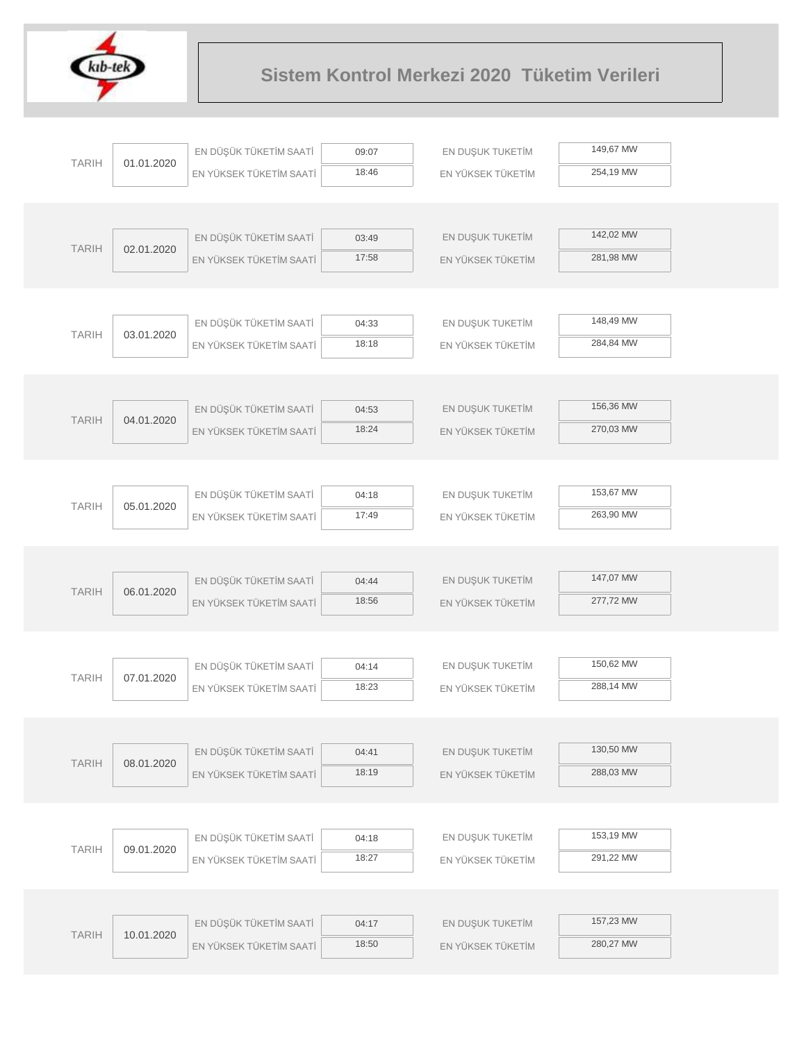

|              |            | EN DÜŞÜK TÜKETİM SAATİ  | 09:07          | EN DUŞUK TUKETİM  | 149,67 MW |  |
|--------------|------------|-------------------------|----------------|-------------------|-----------|--|
| <b>TARIH</b> | 01.01.2020 | EN YÜKSEK TÜKETİM SAATİ | 18:46          | EN YÜKSEK TÜKETİM | 254,19 MW |  |
|              |            |                         |                |                   |           |  |
|              |            |                         |                |                   |           |  |
| <b>TARIH</b> | 02.01.2020 | EN DÜŞÜK TÜKETİM SAATİ  | 03:49          | EN DUŞUK TUKETİM  | 142,02 MW |  |
|              |            | EN YÜKSEK TÜKETİM SAATİ | 17:58          | EN YÜKSEK TÜKETİM | 281,98 MW |  |
|              |            |                         |                |                   |           |  |
|              |            |                         |                |                   |           |  |
| <b>TARIH</b> | 03.01.2020 | EN DÜŞÜK TÜKETİM SAATİ  | 04:33          | EN DUŞUK TUKETİM  | 148,49 MW |  |
|              |            | EN YÜKSEK TÜKETİM SAATİ | 18:18          | EN YÜKSEK TÜKETİM | 284,84 MW |  |
|              |            |                         |                |                   |           |  |
|              |            |                         |                |                   |           |  |
| <b>TARIH</b> | 04.01.2020 | EN DÜŞÜK TÜKETİM SAATİ  | 04:53          | EN DUŞUK TUKETİM  | 156,36 MW |  |
|              |            | EN YÜKSEK TÜKETİM SAATİ | 18:24          | EN YÜKSEK TÜKETİM | 270,03 MW |  |
|              |            |                         |                |                   |           |  |
|              |            |                         |                |                   |           |  |
| <b>TARIH</b> | 05.01.2020 | EN DÜŞÜK TÜKETİM SAATİ  | 04:18          | EN DUŞUK TUKETİM  | 153,67 MW |  |
|              |            | EN YÜKSEK TÜKETİM SAATİ | 17:49          | EN YÜKSEK TÜKETİM | 263,90 MW |  |
|              |            |                         |                |                   |           |  |
|              |            |                         |                |                   | 147,07 MW |  |
| <b>TARIH</b> | 06.01.2020 | EN DÜŞÜK TÜKETİM SAATİ  | 04:44          | EN DUŞUK TUKETİM  |           |  |
|              |            | EN YÜKSEK TÜKETİM SAATİ | 18:56          | EN YÜKSEK TÜKETİM | 277,72 MW |  |
|              |            |                         |                |                   |           |  |
|              |            |                         |                |                   | 150,62 MW |  |
| <b>TARIH</b> | 07.01.2020 | EN DÜŞÜK TÜKETİM SAATİ  | 04:14<br>18:23 | EN DUŞUK TUKETİM  | 288,14 MW |  |
|              |            | EN YÜKSEK TÜKETİM SAATİ |                | EN YÜKSEK TÜKETİM |           |  |
|              |            |                         |                |                   |           |  |
|              |            | EN DÜŞÜK TÜKETİM SAATİ  | 04:41          | EN DUŞUK TUKETİM  | 130,50 MW |  |
| <b>TARIH</b> | 08.01.2020 | EN YÜKSEK TÜKETİM SAATİ | 18:19          | EN YÜKSEK TÜKETİM | 288,03 MW |  |
|              |            |                         |                |                   |           |  |
|              |            |                         |                |                   |           |  |
|              |            | EN DÜŞÜK TÜKETİM SAATİ  | 04:18          | EN DUŞUK TUKETİM  | 153,19 MW |  |
| <b>TARIH</b> | 09.01.2020 | EN YÜKSEK TÜKETİM SAATİ | 18:27          | EN YÜKSEK TÜKETİM | 291,22 MW |  |
|              |            |                         |                |                   |           |  |
|              |            |                         |                |                   |           |  |
|              |            | EN DÜŞÜK TÜKETİM SAATİ  | 04:17          | EN DUŞUK TUKETİM  | 157,23 MW |  |
| <b>TARIH</b> | 10.01.2020 | EN YÜKSEK TÜKETİM SAATİ | 18:50          | EN YÜKSEK TÜKETİM | 280,27 MW |  |
|              |            |                         |                |                   |           |  |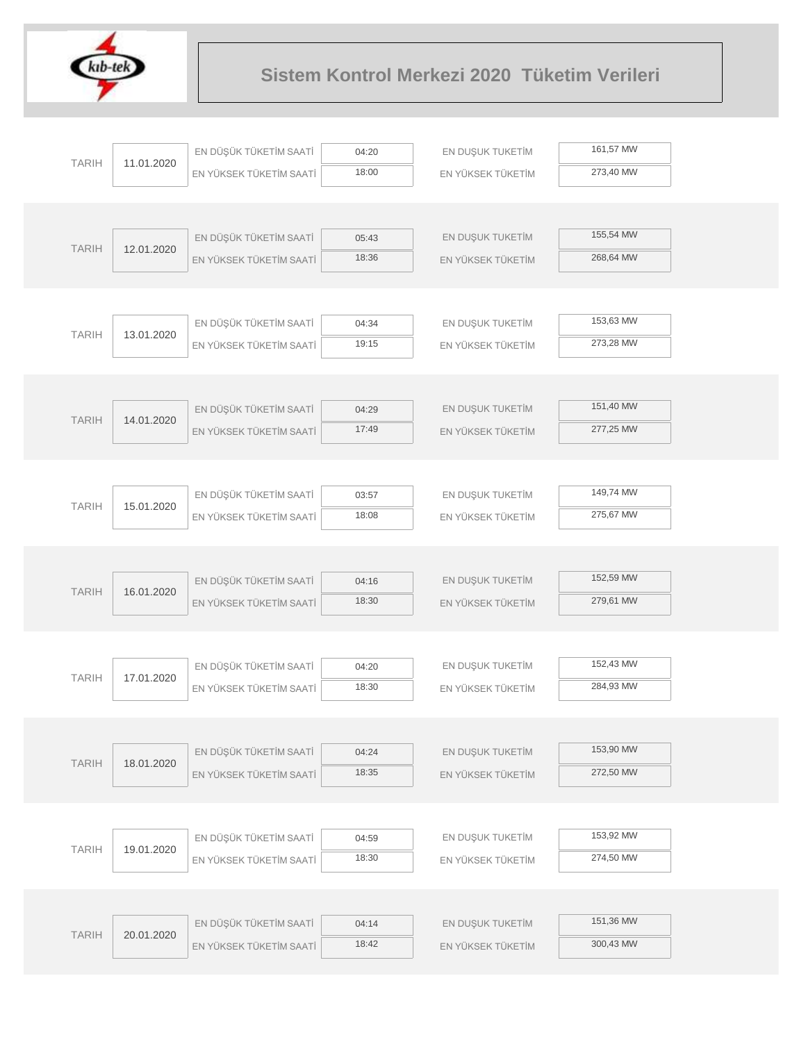

|              |            | EN DÜŞÜK TÜKETİM SAATİ  | 04:20          | EN DUŞUK TUKETİM  | 161,57 MW |  |
|--------------|------------|-------------------------|----------------|-------------------|-----------|--|
| <b>TARIH</b> | 11.01.2020 | EN YÜKSEK TÜKETİM SAATİ | 18:00          | EN YÜKSEK TÜKETİM | 273,40 MW |  |
|              |            |                         |                |                   |           |  |
|              |            |                         |                |                   |           |  |
| <b>TARIH</b> | 12.01.2020 | EN DÜŞÜK TÜKETİM SAATİ  | 05:43          | EN DUŞUK TUKETİM  | 155,54 MW |  |
|              |            | EN YÜKSEK TÜKETİM SAATİ | 18:36          | EN YÜKSEK TÜKETİM | 268,64 MW |  |
|              |            |                         |                |                   |           |  |
|              |            |                         |                |                   |           |  |
| <b>TARIH</b> | 13.01.2020 | EN DÜŞÜK TÜKETİM SAATİ  | 04:34          | EN DUŞUK TUKETİM  | 153,63 MW |  |
|              |            | EN YÜKSEK TÜKETİM SAATİ | 19:15          | EN YÜKSEK TÜKETİM | 273,28 MW |  |
|              |            |                         |                |                   |           |  |
|              |            |                         |                |                   |           |  |
| <b>TARIH</b> | 14.01.2020 | EN DÜŞÜK TÜKETİM SAATİ  | 04:29          | EN DUŞUK TUKETİM  | 151,40 MW |  |
|              |            | EN YÜKSEK TÜKETİM SAATİ | 17:49          | EN YÜKSEK TÜKETİM | 277,25 MW |  |
|              |            |                         |                |                   |           |  |
|              |            |                         |                |                   |           |  |
| <b>TARIH</b> | 15.01.2020 | EN DÜŞÜK TÜKETİM SAATİ  | 03:57          | EN DUŞUK TUKETİM  | 149,74 MW |  |
|              |            | EN YÜKSEK TÜKETİM SAATİ | 18:08          | EN YÜKSEK TÜKETİM | 275,67 MW |  |
|              |            |                         |                |                   |           |  |
|              |            |                         |                |                   |           |  |
| <b>TARIH</b> | 16.01.2020 | EN DÜŞÜK TÜKETİM SAATİ  | 04:16          | EN DUŞUK TUKETİM  | 152,59 MW |  |
|              |            | EN YÜKSEK TÜKETİM SAATİ | 18:30          | EN YÜKSEK TÜKETİM | 279,61 MW |  |
|              |            |                         |                |                   |           |  |
|              |            |                         |                |                   | 152,43 MW |  |
| <b>TARIH</b> | 17.01.2020 | EN DÜŞÜK TÜKETİM SAATİ  | 04:20<br>18:30 | EN DUŞUK TUKETİM  | 284,93 MW |  |
|              |            | EN YÜKSEK TÜKETİM SAATİ |                | EN YÜKSEK TÜKETİM |           |  |
|              |            |                         |                |                   |           |  |
|              |            | EN DÜŞÜK TÜKETİM SAATİ  | 04:24          | EN DUŞUK TUKETİM  | 153,90 MW |  |
| <b>TARIH</b> | 18.01.2020 | EN YÜKSEK TÜKETİM SAATİ | 18:35          | EN YÜKSEK TÜKETİM | 272,50 MW |  |
|              |            |                         |                |                   |           |  |
|              |            |                         |                |                   |           |  |
|              |            | EN DÜŞÜK TÜKETİM SAATİ  | 04:59          | EN DUŞUK TUKETİM  | 153,92 MW |  |
| <b>TARIH</b> | 19.01.2020 | EN YÜKSEK TÜKETİM SAATİ | 18:30          | EN YÜKSEK TÜKETİM | 274,50 MW |  |
|              |            |                         |                |                   |           |  |
|              |            |                         |                |                   |           |  |
|              |            | EN DÜŞÜK TÜKETİM SAATİ  | 04:14          | EN DUŞUK TUKETİM  | 151,36 MW |  |
| <b>TARIH</b> | 20.01.2020 | EN YÜKSEK TÜKETİM SAATİ | 18:42          | EN YÜKSEK TÜKETİM | 300,43 MW |  |
|              |            |                         |                |                   |           |  |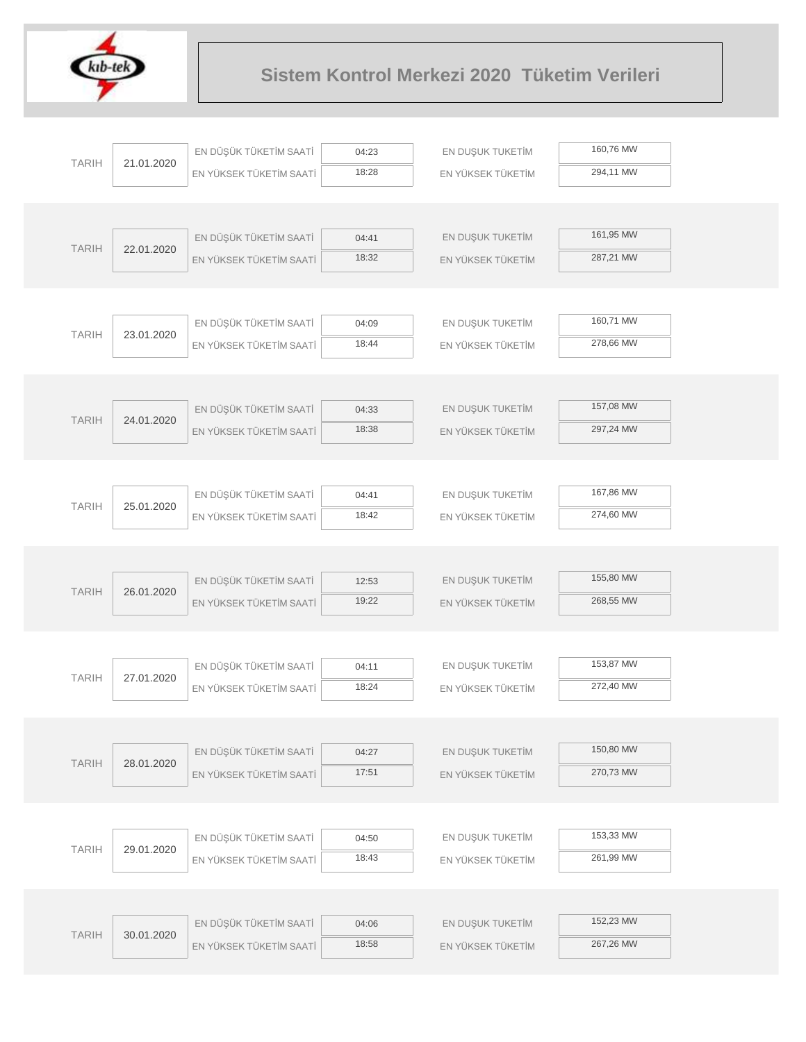

|              |            | EN DÜŞÜK TÜKETİM SAATİ  | 04:23          | EN DUŞUK TUKETİM                      | 160,76 MW |  |
|--------------|------------|-------------------------|----------------|---------------------------------------|-----------|--|
| <b>TARIH</b> | 21.01.2020 | EN YÜKSEK TÜKETİM SAATİ | 18:28          | EN YÜKSEK TÜKETİM                     | 294,11 MW |  |
|              |            |                         |                |                                       |           |  |
|              |            |                         |                |                                       |           |  |
| <b>TARIH</b> | 22.01.2020 | EN DÜŞÜK TÜKETİM SAATİ  | 04:41          | EN DUŞUK TUKETİM                      | 161,95 MW |  |
|              |            | EN YÜKSEK TÜKETİM SAATİ | 18:32          | EN YÜKSEK TÜKETİM                     | 287,21 MW |  |
|              |            |                         |                |                                       |           |  |
|              |            |                         |                |                                       |           |  |
| <b>TARIH</b> | 23.01.2020 | EN DÜŞÜK TÜKETİM SAATİ  | 04:09          | EN DUŞUK TUKETİM                      | 160,71 MW |  |
|              |            | EN YÜKSEK TÜKETİM SAATİ | 18:44          | EN YÜKSEK TÜKETİM                     | 278,66 MW |  |
|              |            |                         |                |                                       |           |  |
|              |            | EN DÜŞÜK TÜKETİM SAATİ  |                |                                       | 157,08 MW |  |
| <b>TARIH</b> | 24.01.2020 | EN YÜKSEK TÜKETİM SAATİ | 04:33<br>18:38 | EN DUŞUK TUKETİM<br>EN YÜKSEK TÜKETİM | 297,24 MW |  |
|              |            |                         |                |                                       |           |  |
|              |            |                         |                |                                       |           |  |
|              |            | EN DÜŞÜK TÜKETİM SAATİ  | 04:41          | EN DUŞUK TUKETİM                      | 167,86 MW |  |
| <b>TARIH</b> | 25.01.2020 | EN YÜKSEK TÜKETİM SAATİ | 18:42          | EN YÜKSEK TÜKETİM                     | 274,60 MW |  |
|              |            |                         |                |                                       |           |  |
|              |            |                         |                |                                       |           |  |
|              |            | EN DÜŞÜK TÜKETİM SAATİ  | 12:53          | EN DUŞUK TUKETİM                      | 155,80 MW |  |
| <b>TARIH</b> | 26.01.2020 | EN YÜKSEK TÜKETİM SAATİ | 19:22          | EN YÜKSEK TÜKETİM                     | 268,55 MW |  |
|              |            |                         |                |                                       |           |  |
|              |            |                         |                |                                       |           |  |
| <b>TARIH</b> | 27.01.2020 | EN DÜŞÜK TÜKETİM SAATİ  | 04:11          | EN DUŞUK TUKETİM                      | 153,87 MW |  |
|              |            | EN YÜKSEK TÜKETİM SAATİ | 18:24          | EN YÜKSEK TÜKETİM                     | 272,40 MW |  |
|              |            |                         |                |                                       |           |  |
|              |            |                         |                |                                       | 150,80 MW |  |
| <b>TARIH</b> | 28.01.2020 | EN DÜŞÜK TÜKETİM SAATİ  | 04:27<br>17:51 | EN DUŞUK TUKETİM                      | 270,73 MW |  |
|              |            | EN YÜKSEK TÜKETİM SAATİ |                | EN YÜKSEK TÜKETİM                     |           |  |
|              |            |                         |                |                                       |           |  |
|              |            | EN DÜŞÜK TÜKETİM SAATİ  | 04:50          | EN DUŞUK TUKETİM                      | 153,33 MW |  |
| <b>TARIH</b> | 29.01.2020 | EN YÜKSEK TÜKETİM SAATİ | 18:43          | EN YÜKSEK TÜKETİM                     | 261,99 MW |  |
|              |            |                         |                |                                       |           |  |
|              |            |                         |                |                                       |           |  |
|              |            | EN DÜŞÜK TÜKETİM SAATİ  | 04:06          | EN DUŞUK TUKETİM                      | 152,23 MW |  |
| <b>TARIH</b> | 30.01.2020 | EN YÜKSEK TÜKETİM SAATİ | 18:58          | EN YÜKSEK TÜKETİM                     | 267,26 MW |  |
|              |            |                         |                |                                       |           |  |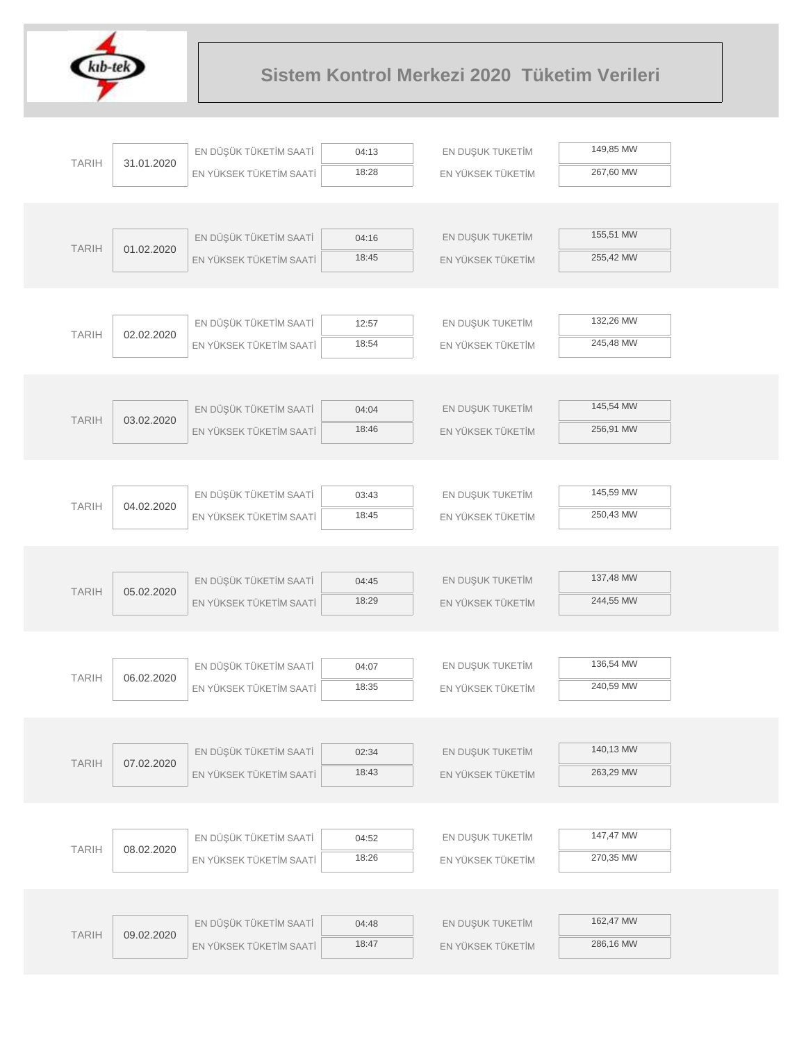

| 149,85 MW<br>EN DÜŞÜK TÜKETİM SAATİ<br>EN DUŞUK TUKETİM<br>04:13<br><b>TARIH</b><br>31.01.2020<br>267,60 MW<br>18:28<br>EN YÜKSEK TÜKETİM<br>EN YÜKSEK TÜKETİM SAATİ<br>155,51 MW<br>EN DÜŞÜK TÜKETİM SAATİ<br>EN DUŞUK TUKETİM<br>04:16<br><b>TARIH</b><br>01.02.2020<br>18:45<br>255,42 MW<br>EN YÜKSEK TÜKETİM SAATİ<br>EN YÜKSEK TÜKETİM<br>132,26 MW<br>EN DÜŞÜK TÜKETİM SAATİ<br>EN DUŞUK TUKETİM<br>12:57<br><b>TARIH</b><br>02.02.2020<br>18:54<br>245,48 MW<br>EN YÜKSEK TÜKETİM SAATİ<br>EN YÜKSEK TÜKETİM<br>145,54 MW<br>EN DÜŞÜK TÜKETİM SAATİ<br>EN DUŞUK TUKETİM<br>04:04<br><b>TARIH</b><br>03.02.2020<br>18:46<br>256,91 MW<br>EN YÜKSEK TÜKETİM SAATİ<br>EN YÜKSEK TÜKETİM<br>145,59 MW<br>EN DÜŞÜK TÜKETİM SAATİ<br>EN DUŞUK TUKETİM<br>03:43<br><b>TARIH</b><br>04.02.2020<br>250,43 MW<br>18:45<br>EN YÜKSEK TÜKETİM SAATİ<br>EN YÜKSEK TÜKETİM<br>137,48 MW<br>EN DÜŞÜK TÜKETİM SAATİ<br>EN DUŞUK TUKETİM<br>04:45<br><b>TARIH</b><br>05.02.2020<br>18:29<br>244,55 MW<br>EN YÜKSEK TÜKETİM SAATİ<br>EN YÜKSEK TÜKETİM<br>136,54 MW<br>EN DÜŞÜK TÜKETİM SAATİ<br>EN DUŞUK TUKETİM<br>04:07<br><b>TARIH</b><br>06.02.2020<br>18:35<br>240,59 MW<br>EN YÜKSEK TÜKETİM SAATİ<br>EN YÜKSEK TÜKETİM<br>140,13 MW<br>EN DÜŞÜK TÜKETİM SAATİ<br>EN DUŞUK TUKETİM<br>02:34<br><b>TARIH</b><br>07.02.2020<br>263,29 MW<br>18:43<br>EN YÜKSEK TÜKETİM SAATİ<br>EN YÜKSEK TÜKETİM<br>147,47 MW<br>EN DÜŞÜK TÜKETİM SAATİ<br>EN DUŞUK TUKETİM<br>04:52<br><b>TARIH</b><br>08.02.2020<br>270,35 MW<br>18:26<br>EN YÜKSEK TÜKETİM SAATİ<br>EN YÜKSEK TÜKETİM<br>162,47 MW<br>EN DÜŞÜK TÜKETİM SAATİ<br>EN DUŞUK TUKETİM<br>04:48<br><b>TARIH</b><br>09.02.2020<br>286,16 MW<br>18:47<br>EN YÜKSEK TÜKETİM SAATİ<br>EN YÜKSEK TÜKETİM |  |  |  |  |
|----------------------------------------------------------------------------------------------------------------------------------------------------------------------------------------------------------------------------------------------------------------------------------------------------------------------------------------------------------------------------------------------------------------------------------------------------------------------------------------------------------------------------------------------------------------------------------------------------------------------------------------------------------------------------------------------------------------------------------------------------------------------------------------------------------------------------------------------------------------------------------------------------------------------------------------------------------------------------------------------------------------------------------------------------------------------------------------------------------------------------------------------------------------------------------------------------------------------------------------------------------------------------------------------------------------------------------------------------------------------------------------------------------------------------------------------------------------------------------------------------------------------------------------------------------------------------------------------------------------------------------------------------------------------------------------------------------------------------------------------|--|--|--|--|
|                                                                                                                                                                                                                                                                                                                                                                                                                                                                                                                                                                                                                                                                                                                                                                                                                                                                                                                                                                                                                                                                                                                                                                                                                                                                                                                                                                                                                                                                                                                                                                                                                                                                                                                                              |  |  |  |  |
|                                                                                                                                                                                                                                                                                                                                                                                                                                                                                                                                                                                                                                                                                                                                                                                                                                                                                                                                                                                                                                                                                                                                                                                                                                                                                                                                                                                                                                                                                                                                                                                                                                                                                                                                              |  |  |  |  |
|                                                                                                                                                                                                                                                                                                                                                                                                                                                                                                                                                                                                                                                                                                                                                                                                                                                                                                                                                                                                                                                                                                                                                                                                                                                                                                                                                                                                                                                                                                                                                                                                                                                                                                                                              |  |  |  |  |
|                                                                                                                                                                                                                                                                                                                                                                                                                                                                                                                                                                                                                                                                                                                                                                                                                                                                                                                                                                                                                                                                                                                                                                                                                                                                                                                                                                                                                                                                                                                                                                                                                                                                                                                                              |  |  |  |  |
|                                                                                                                                                                                                                                                                                                                                                                                                                                                                                                                                                                                                                                                                                                                                                                                                                                                                                                                                                                                                                                                                                                                                                                                                                                                                                                                                                                                                                                                                                                                                                                                                                                                                                                                                              |  |  |  |  |
|                                                                                                                                                                                                                                                                                                                                                                                                                                                                                                                                                                                                                                                                                                                                                                                                                                                                                                                                                                                                                                                                                                                                                                                                                                                                                                                                                                                                                                                                                                                                                                                                                                                                                                                                              |  |  |  |  |
|                                                                                                                                                                                                                                                                                                                                                                                                                                                                                                                                                                                                                                                                                                                                                                                                                                                                                                                                                                                                                                                                                                                                                                                                                                                                                                                                                                                                                                                                                                                                                                                                                                                                                                                                              |  |  |  |  |
|                                                                                                                                                                                                                                                                                                                                                                                                                                                                                                                                                                                                                                                                                                                                                                                                                                                                                                                                                                                                                                                                                                                                                                                                                                                                                                                                                                                                                                                                                                                                                                                                                                                                                                                                              |  |  |  |  |
|                                                                                                                                                                                                                                                                                                                                                                                                                                                                                                                                                                                                                                                                                                                                                                                                                                                                                                                                                                                                                                                                                                                                                                                                                                                                                                                                                                                                                                                                                                                                                                                                                                                                                                                                              |  |  |  |  |
|                                                                                                                                                                                                                                                                                                                                                                                                                                                                                                                                                                                                                                                                                                                                                                                                                                                                                                                                                                                                                                                                                                                                                                                                                                                                                                                                                                                                                                                                                                                                                                                                                                                                                                                                              |  |  |  |  |
|                                                                                                                                                                                                                                                                                                                                                                                                                                                                                                                                                                                                                                                                                                                                                                                                                                                                                                                                                                                                                                                                                                                                                                                                                                                                                                                                                                                                                                                                                                                                                                                                                                                                                                                                              |  |  |  |  |
|                                                                                                                                                                                                                                                                                                                                                                                                                                                                                                                                                                                                                                                                                                                                                                                                                                                                                                                                                                                                                                                                                                                                                                                                                                                                                                                                                                                                                                                                                                                                                                                                                                                                                                                                              |  |  |  |  |
|                                                                                                                                                                                                                                                                                                                                                                                                                                                                                                                                                                                                                                                                                                                                                                                                                                                                                                                                                                                                                                                                                                                                                                                                                                                                                                                                                                                                                                                                                                                                                                                                                                                                                                                                              |  |  |  |  |
|                                                                                                                                                                                                                                                                                                                                                                                                                                                                                                                                                                                                                                                                                                                                                                                                                                                                                                                                                                                                                                                                                                                                                                                                                                                                                                                                                                                                                                                                                                                                                                                                                                                                                                                                              |  |  |  |  |
|                                                                                                                                                                                                                                                                                                                                                                                                                                                                                                                                                                                                                                                                                                                                                                                                                                                                                                                                                                                                                                                                                                                                                                                                                                                                                                                                                                                                                                                                                                                                                                                                                                                                                                                                              |  |  |  |  |
|                                                                                                                                                                                                                                                                                                                                                                                                                                                                                                                                                                                                                                                                                                                                                                                                                                                                                                                                                                                                                                                                                                                                                                                                                                                                                                                                                                                                                                                                                                                                                                                                                                                                                                                                              |  |  |  |  |
|                                                                                                                                                                                                                                                                                                                                                                                                                                                                                                                                                                                                                                                                                                                                                                                                                                                                                                                                                                                                                                                                                                                                                                                                                                                                                                                                                                                                                                                                                                                                                                                                                                                                                                                                              |  |  |  |  |
|                                                                                                                                                                                                                                                                                                                                                                                                                                                                                                                                                                                                                                                                                                                                                                                                                                                                                                                                                                                                                                                                                                                                                                                                                                                                                                                                                                                                                                                                                                                                                                                                                                                                                                                                              |  |  |  |  |
|                                                                                                                                                                                                                                                                                                                                                                                                                                                                                                                                                                                                                                                                                                                                                                                                                                                                                                                                                                                                                                                                                                                                                                                                                                                                                                                                                                                                                                                                                                                                                                                                                                                                                                                                              |  |  |  |  |
|                                                                                                                                                                                                                                                                                                                                                                                                                                                                                                                                                                                                                                                                                                                                                                                                                                                                                                                                                                                                                                                                                                                                                                                                                                                                                                                                                                                                                                                                                                                                                                                                                                                                                                                                              |  |  |  |  |
|                                                                                                                                                                                                                                                                                                                                                                                                                                                                                                                                                                                                                                                                                                                                                                                                                                                                                                                                                                                                                                                                                                                                                                                                                                                                                                                                                                                                                                                                                                                                                                                                                                                                                                                                              |  |  |  |  |
|                                                                                                                                                                                                                                                                                                                                                                                                                                                                                                                                                                                                                                                                                                                                                                                                                                                                                                                                                                                                                                                                                                                                                                                                                                                                                                                                                                                                                                                                                                                                                                                                                                                                                                                                              |  |  |  |  |
|                                                                                                                                                                                                                                                                                                                                                                                                                                                                                                                                                                                                                                                                                                                                                                                                                                                                                                                                                                                                                                                                                                                                                                                                                                                                                                                                                                                                                                                                                                                                                                                                                                                                                                                                              |  |  |  |  |
|                                                                                                                                                                                                                                                                                                                                                                                                                                                                                                                                                                                                                                                                                                                                                                                                                                                                                                                                                                                                                                                                                                                                                                                                                                                                                                                                                                                                                                                                                                                                                                                                                                                                                                                                              |  |  |  |  |
|                                                                                                                                                                                                                                                                                                                                                                                                                                                                                                                                                                                                                                                                                                                                                                                                                                                                                                                                                                                                                                                                                                                                                                                                                                                                                                                                                                                                                                                                                                                                                                                                                                                                                                                                              |  |  |  |  |
|                                                                                                                                                                                                                                                                                                                                                                                                                                                                                                                                                                                                                                                                                                                                                                                                                                                                                                                                                                                                                                                                                                                                                                                                                                                                                                                                                                                                                                                                                                                                                                                                                                                                                                                                              |  |  |  |  |
|                                                                                                                                                                                                                                                                                                                                                                                                                                                                                                                                                                                                                                                                                                                                                                                                                                                                                                                                                                                                                                                                                                                                                                                                                                                                                                                                                                                                                                                                                                                                                                                                                                                                                                                                              |  |  |  |  |
|                                                                                                                                                                                                                                                                                                                                                                                                                                                                                                                                                                                                                                                                                                                                                                                                                                                                                                                                                                                                                                                                                                                                                                                                                                                                                                                                                                                                                                                                                                                                                                                                                                                                                                                                              |  |  |  |  |
|                                                                                                                                                                                                                                                                                                                                                                                                                                                                                                                                                                                                                                                                                                                                                                                                                                                                                                                                                                                                                                                                                                                                                                                                                                                                                                                                                                                                                                                                                                                                                                                                                                                                                                                                              |  |  |  |  |
|                                                                                                                                                                                                                                                                                                                                                                                                                                                                                                                                                                                                                                                                                                                                                                                                                                                                                                                                                                                                                                                                                                                                                                                                                                                                                                                                                                                                                                                                                                                                                                                                                                                                                                                                              |  |  |  |  |
|                                                                                                                                                                                                                                                                                                                                                                                                                                                                                                                                                                                                                                                                                                                                                                                                                                                                                                                                                                                                                                                                                                                                                                                                                                                                                                                                                                                                                                                                                                                                                                                                                                                                                                                                              |  |  |  |  |
|                                                                                                                                                                                                                                                                                                                                                                                                                                                                                                                                                                                                                                                                                                                                                                                                                                                                                                                                                                                                                                                                                                                                                                                                                                                                                                                                                                                                                                                                                                                                                                                                                                                                                                                                              |  |  |  |  |
|                                                                                                                                                                                                                                                                                                                                                                                                                                                                                                                                                                                                                                                                                                                                                                                                                                                                                                                                                                                                                                                                                                                                                                                                                                                                                                                                                                                                                                                                                                                                                                                                                                                                                                                                              |  |  |  |  |
|                                                                                                                                                                                                                                                                                                                                                                                                                                                                                                                                                                                                                                                                                                                                                                                                                                                                                                                                                                                                                                                                                                                                                                                                                                                                                                                                                                                                                                                                                                                                                                                                                                                                                                                                              |  |  |  |  |
|                                                                                                                                                                                                                                                                                                                                                                                                                                                                                                                                                                                                                                                                                                                                                                                                                                                                                                                                                                                                                                                                                                                                                                                                                                                                                                                                                                                                                                                                                                                                                                                                                                                                                                                                              |  |  |  |  |
|                                                                                                                                                                                                                                                                                                                                                                                                                                                                                                                                                                                                                                                                                                                                                                                                                                                                                                                                                                                                                                                                                                                                                                                                                                                                                                                                                                                                                                                                                                                                                                                                                                                                                                                                              |  |  |  |  |
|                                                                                                                                                                                                                                                                                                                                                                                                                                                                                                                                                                                                                                                                                                                                                                                                                                                                                                                                                                                                                                                                                                                                                                                                                                                                                                                                                                                                                                                                                                                                                                                                                                                                                                                                              |  |  |  |  |
|                                                                                                                                                                                                                                                                                                                                                                                                                                                                                                                                                                                                                                                                                                                                                                                                                                                                                                                                                                                                                                                                                                                                                                                                                                                                                                                                                                                                                                                                                                                                                                                                                                                                                                                                              |  |  |  |  |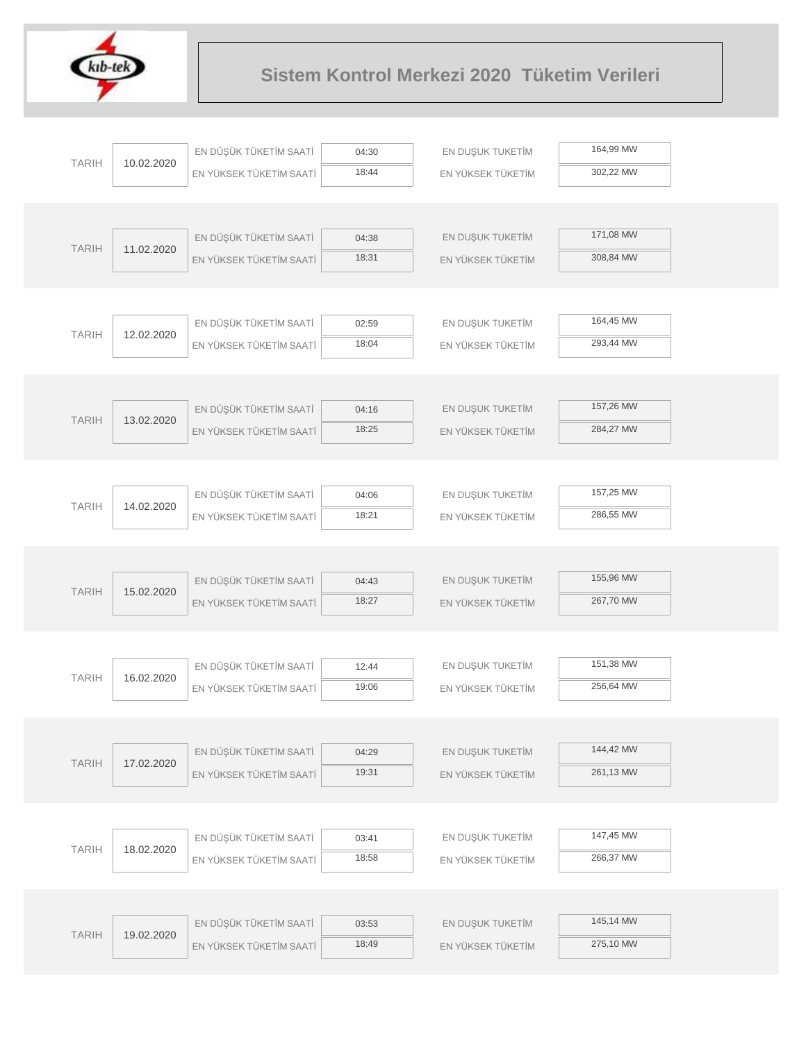

| 164,99 MW<br>EN DÜŞÜK TÜKETİM SAATİ<br>EN DUŞUK TUKETİM<br>04:30<br><b>TARIH</b><br>10.02.2020<br>18:44<br>302,22 MW<br>EN YÜKSEK TÜKETİM SAATİ<br>EN YÜKSEK TÜKETİM<br>171,08 MW<br>EN DÜŞÜK TÜKETİM SAATİ<br>EN DUŞUK TUKETİM<br>04:38<br><b>TARIH</b><br>11.02.2020<br>18:31<br>308,84 MW<br>EN YÜKSEK TÜKETİM SAATİ<br>EN YÜKSEK TÜKETİM<br>164,45 MW<br>EN DÜŞÜK TÜKETİM SAATİ<br>EN DUŞUK TUKETİM<br>02:59<br><b>TARIH</b><br>12.02.2020<br>18:04<br>293,44 MW<br>EN YÜKSEK TÜKETİM SAATİ<br>EN YÜKSEK TÜKETİM<br>157,26 MW<br>EN DÜŞÜK TÜKETİM SAATİ<br>EN DUŞUK TUKETİM<br>04:16<br><b>TARIH</b><br>13.02.2020<br>18:25<br>284,27 MW<br>EN YÜKSEK TÜKETİM SAATİ<br>EN YÜKSEK TÜKETİM<br>157,25 MW<br>EN DÜŞÜK TÜKETİM SAATİ<br>EN DUŞUK TUKETİM<br>04:06<br><b>TARIH</b><br>14.02.2020<br>18:21<br>286,55 MW<br>EN YÜKSEK TÜKETİM SAATİ<br>EN YÜKSEK TÜKETİM<br>155,96 MW<br>EN DÜŞÜK TÜKETİM SAATİ<br>EN DUŞUK TUKETİM<br>04:43<br><b>TARIH</b><br>15.02.2020<br>18:27<br>267,70 MW<br>EN YÜKSEK TÜKETİM SAATİ<br>EN YÜKSEK TÜKETİM<br>151,38 MW<br>EN DÜŞÜK TÜKETİM SAATİ<br>EN DUŞUK TUKETİM<br>12:44<br><b>TARIH</b><br>16.02.2020<br>19:06<br>256,64 MW<br>EN YÜKSEK TÜKETİM SAATİ<br>EN YÜKSEK TÜKETİM<br>144,42 MW<br>EN DÜŞÜK TÜKETİM SAATİ<br>EN DUŞUK TUKETİM<br>04:29<br><b>TARIH</b><br>17.02.2020<br>261,13 MW<br>19:31<br>EN YÜKSEK TÜKETİM SAATİ<br>EN YÜKSEK TÜKETİM<br>147,45 MW<br>EN DÜŞÜK TÜKETİM SAATİ<br>EN DUŞUK TUKETİM<br>03:41<br><b>TARIH</b><br>18.02.2020<br>266,37 MW<br>18:58<br>EN YÜKSEK TÜKETİM SAATİ<br>EN YÜKSEK TÜKETİM<br>145,14 MW<br>EN DÜŞÜK TÜKETİM SAATİ<br>EN DUŞUK TUKETİM<br>03:53<br><b>TARIH</b><br>19.02.2020<br>275,10 MW<br>18:49<br>EN YÜKSEK TÜKETİM SAATİ<br>EN YÜKSEK TÜKETİM |  |  |  |  |
|----------------------------------------------------------------------------------------------------------------------------------------------------------------------------------------------------------------------------------------------------------------------------------------------------------------------------------------------------------------------------------------------------------------------------------------------------------------------------------------------------------------------------------------------------------------------------------------------------------------------------------------------------------------------------------------------------------------------------------------------------------------------------------------------------------------------------------------------------------------------------------------------------------------------------------------------------------------------------------------------------------------------------------------------------------------------------------------------------------------------------------------------------------------------------------------------------------------------------------------------------------------------------------------------------------------------------------------------------------------------------------------------------------------------------------------------------------------------------------------------------------------------------------------------------------------------------------------------------------------------------------------------------------------------------------------------------------------------------------------------|--|--|--|--|
|                                                                                                                                                                                                                                                                                                                                                                                                                                                                                                                                                                                                                                                                                                                                                                                                                                                                                                                                                                                                                                                                                                                                                                                                                                                                                                                                                                                                                                                                                                                                                                                                                                                                                                                                              |  |  |  |  |
|                                                                                                                                                                                                                                                                                                                                                                                                                                                                                                                                                                                                                                                                                                                                                                                                                                                                                                                                                                                                                                                                                                                                                                                                                                                                                                                                                                                                                                                                                                                                                                                                                                                                                                                                              |  |  |  |  |
|                                                                                                                                                                                                                                                                                                                                                                                                                                                                                                                                                                                                                                                                                                                                                                                                                                                                                                                                                                                                                                                                                                                                                                                                                                                                                                                                                                                                                                                                                                                                                                                                                                                                                                                                              |  |  |  |  |
|                                                                                                                                                                                                                                                                                                                                                                                                                                                                                                                                                                                                                                                                                                                                                                                                                                                                                                                                                                                                                                                                                                                                                                                                                                                                                                                                                                                                                                                                                                                                                                                                                                                                                                                                              |  |  |  |  |
|                                                                                                                                                                                                                                                                                                                                                                                                                                                                                                                                                                                                                                                                                                                                                                                                                                                                                                                                                                                                                                                                                                                                                                                                                                                                                                                                                                                                                                                                                                                                                                                                                                                                                                                                              |  |  |  |  |
|                                                                                                                                                                                                                                                                                                                                                                                                                                                                                                                                                                                                                                                                                                                                                                                                                                                                                                                                                                                                                                                                                                                                                                                                                                                                                                                                                                                                                                                                                                                                                                                                                                                                                                                                              |  |  |  |  |
|                                                                                                                                                                                                                                                                                                                                                                                                                                                                                                                                                                                                                                                                                                                                                                                                                                                                                                                                                                                                                                                                                                                                                                                                                                                                                                                                                                                                                                                                                                                                                                                                                                                                                                                                              |  |  |  |  |
|                                                                                                                                                                                                                                                                                                                                                                                                                                                                                                                                                                                                                                                                                                                                                                                                                                                                                                                                                                                                                                                                                                                                                                                                                                                                                                                                                                                                                                                                                                                                                                                                                                                                                                                                              |  |  |  |  |
|                                                                                                                                                                                                                                                                                                                                                                                                                                                                                                                                                                                                                                                                                                                                                                                                                                                                                                                                                                                                                                                                                                                                                                                                                                                                                                                                                                                                                                                                                                                                                                                                                                                                                                                                              |  |  |  |  |
|                                                                                                                                                                                                                                                                                                                                                                                                                                                                                                                                                                                                                                                                                                                                                                                                                                                                                                                                                                                                                                                                                                                                                                                                                                                                                                                                                                                                                                                                                                                                                                                                                                                                                                                                              |  |  |  |  |
|                                                                                                                                                                                                                                                                                                                                                                                                                                                                                                                                                                                                                                                                                                                                                                                                                                                                                                                                                                                                                                                                                                                                                                                                                                                                                                                                                                                                                                                                                                                                                                                                                                                                                                                                              |  |  |  |  |
|                                                                                                                                                                                                                                                                                                                                                                                                                                                                                                                                                                                                                                                                                                                                                                                                                                                                                                                                                                                                                                                                                                                                                                                                                                                                                                                                                                                                                                                                                                                                                                                                                                                                                                                                              |  |  |  |  |
|                                                                                                                                                                                                                                                                                                                                                                                                                                                                                                                                                                                                                                                                                                                                                                                                                                                                                                                                                                                                                                                                                                                                                                                                                                                                                                                                                                                                                                                                                                                                                                                                                                                                                                                                              |  |  |  |  |
|                                                                                                                                                                                                                                                                                                                                                                                                                                                                                                                                                                                                                                                                                                                                                                                                                                                                                                                                                                                                                                                                                                                                                                                                                                                                                                                                                                                                                                                                                                                                                                                                                                                                                                                                              |  |  |  |  |
|                                                                                                                                                                                                                                                                                                                                                                                                                                                                                                                                                                                                                                                                                                                                                                                                                                                                                                                                                                                                                                                                                                                                                                                                                                                                                                                                                                                                                                                                                                                                                                                                                                                                                                                                              |  |  |  |  |
|                                                                                                                                                                                                                                                                                                                                                                                                                                                                                                                                                                                                                                                                                                                                                                                                                                                                                                                                                                                                                                                                                                                                                                                                                                                                                                                                                                                                                                                                                                                                                                                                                                                                                                                                              |  |  |  |  |
|                                                                                                                                                                                                                                                                                                                                                                                                                                                                                                                                                                                                                                                                                                                                                                                                                                                                                                                                                                                                                                                                                                                                                                                                                                                                                                                                                                                                                                                                                                                                                                                                                                                                                                                                              |  |  |  |  |
|                                                                                                                                                                                                                                                                                                                                                                                                                                                                                                                                                                                                                                                                                                                                                                                                                                                                                                                                                                                                                                                                                                                                                                                                                                                                                                                                                                                                                                                                                                                                                                                                                                                                                                                                              |  |  |  |  |
|                                                                                                                                                                                                                                                                                                                                                                                                                                                                                                                                                                                                                                                                                                                                                                                                                                                                                                                                                                                                                                                                                                                                                                                                                                                                                                                                                                                                                                                                                                                                                                                                                                                                                                                                              |  |  |  |  |
|                                                                                                                                                                                                                                                                                                                                                                                                                                                                                                                                                                                                                                                                                                                                                                                                                                                                                                                                                                                                                                                                                                                                                                                                                                                                                                                                                                                                                                                                                                                                                                                                                                                                                                                                              |  |  |  |  |
|                                                                                                                                                                                                                                                                                                                                                                                                                                                                                                                                                                                                                                                                                                                                                                                                                                                                                                                                                                                                                                                                                                                                                                                                                                                                                                                                                                                                                                                                                                                                                                                                                                                                                                                                              |  |  |  |  |
|                                                                                                                                                                                                                                                                                                                                                                                                                                                                                                                                                                                                                                                                                                                                                                                                                                                                                                                                                                                                                                                                                                                                                                                                                                                                                                                                                                                                                                                                                                                                                                                                                                                                                                                                              |  |  |  |  |
|                                                                                                                                                                                                                                                                                                                                                                                                                                                                                                                                                                                                                                                                                                                                                                                                                                                                                                                                                                                                                                                                                                                                                                                                                                                                                                                                                                                                                                                                                                                                                                                                                                                                                                                                              |  |  |  |  |
|                                                                                                                                                                                                                                                                                                                                                                                                                                                                                                                                                                                                                                                                                                                                                                                                                                                                                                                                                                                                                                                                                                                                                                                                                                                                                                                                                                                                                                                                                                                                                                                                                                                                                                                                              |  |  |  |  |
|                                                                                                                                                                                                                                                                                                                                                                                                                                                                                                                                                                                                                                                                                                                                                                                                                                                                                                                                                                                                                                                                                                                                                                                                                                                                                                                                                                                                                                                                                                                                                                                                                                                                                                                                              |  |  |  |  |
|                                                                                                                                                                                                                                                                                                                                                                                                                                                                                                                                                                                                                                                                                                                                                                                                                                                                                                                                                                                                                                                                                                                                                                                                                                                                                                                                                                                                                                                                                                                                                                                                                                                                                                                                              |  |  |  |  |
|                                                                                                                                                                                                                                                                                                                                                                                                                                                                                                                                                                                                                                                                                                                                                                                                                                                                                                                                                                                                                                                                                                                                                                                                                                                                                                                                                                                                                                                                                                                                                                                                                                                                                                                                              |  |  |  |  |
|                                                                                                                                                                                                                                                                                                                                                                                                                                                                                                                                                                                                                                                                                                                                                                                                                                                                                                                                                                                                                                                                                                                                                                                                                                                                                                                                                                                                                                                                                                                                                                                                                                                                                                                                              |  |  |  |  |
|                                                                                                                                                                                                                                                                                                                                                                                                                                                                                                                                                                                                                                                                                                                                                                                                                                                                                                                                                                                                                                                                                                                                                                                                                                                                                                                                                                                                                                                                                                                                                                                                                                                                                                                                              |  |  |  |  |
|                                                                                                                                                                                                                                                                                                                                                                                                                                                                                                                                                                                                                                                                                                                                                                                                                                                                                                                                                                                                                                                                                                                                                                                                                                                                                                                                                                                                                                                                                                                                                                                                                                                                                                                                              |  |  |  |  |
|                                                                                                                                                                                                                                                                                                                                                                                                                                                                                                                                                                                                                                                                                                                                                                                                                                                                                                                                                                                                                                                                                                                                                                                                                                                                                                                                                                                                                                                                                                                                                                                                                                                                                                                                              |  |  |  |  |
|                                                                                                                                                                                                                                                                                                                                                                                                                                                                                                                                                                                                                                                                                                                                                                                                                                                                                                                                                                                                                                                                                                                                                                                                                                                                                                                                                                                                                                                                                                                                                                                                                                                                                                                                              |  |  |  |  |
|                                                                                                                                                                                                                                                                                                                                                                                                                                                                                                                                                                                                                                                                                                                                                                                                                                                                                                                                                                                                                                                                                                                                                                                                                                                                                                                                                                                                                                                                                                                                                                                                                                                                                                                                              |  |  |  |  |
|                                                                                                                                                                                                                                                                                                                                                                                                                                                                                                                                                                                                                                                                                                                                                                                                                                                                                                                                                                                                                                                                                                                                                                                                                                                                                                                                                                                                                                                                                                                                                                                                                                                                                                                                              |  |  |  |  |
|                                                                                                                                                                                                                                                                                                                                                                                                                                                                                                                                                                                                                                                                                                                                                                                                                                                                                                                                                                                                                                                                                                                                                                                                                                                                                                                                                                                                                                                                                                                                                                                                                                                                                                                                              |  |  |  |  |
|                                                                                                                                                                                                                                                                                                                                                                                                                                                                                                                                                                                                                                                                                                                                                                                                                                                                                                                                                                                                                                                                                                                                                                                                                                                                                                                                                                                                                                                                                                                                                                                                                                                                                                                                              |  |  |  |  |
|                                                                                                                                                                                                                                                                                                                                                                                                                                                                                                                                                                                                                                                                                                                                                                                                                                                                                                                                                                                                                                                                                                                                                                                                                                                                                                                                                                                                                                                                                                                                                                                                                                                                                                                                              |  |  |  |  |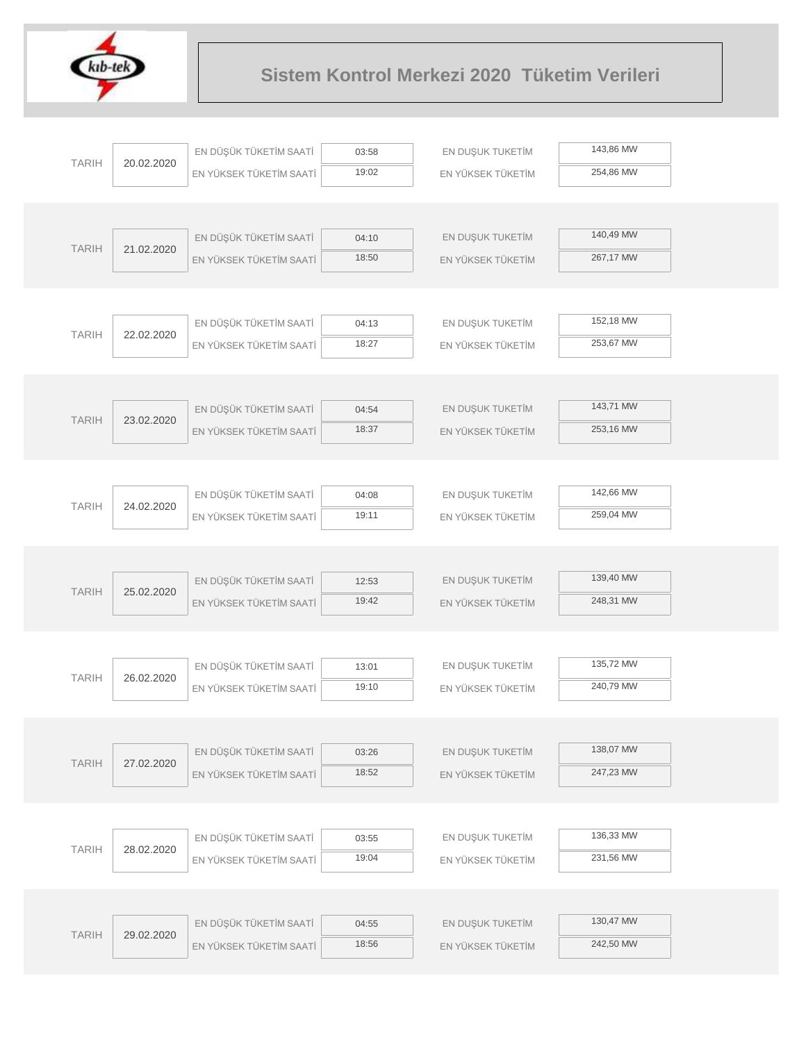

|              | 20.02.2020 | EN DÜŞÜK TÜKETİM SAATİ  | 03:58 | EN DUŞUK TUKETİM  | 143,86 MW |
|--------------|------------|-------------------------|-------|-------------------|-----------|
| <b>TARIH</b> |            | EN YÜKSEK TÜKETİM SAATİ | 19:02 | EN YÜKSEK TÜKETİM | 254,86 MW |
|              |            |                         |       |                   |           |
|              |            |                         |       |                   |           |
| <b>TARIH</b> | 21.02.2020 | EN DÜŞÜK TÜKETİM SAATİ  | 04:10 | EN DUŞUK TUKETİM  | 140,49 MW |
|              |            | EN YÜKSEK TÜKETİM SAATİ | 18:50 | EN YÜKSEK TÜKETİM | 267,17 MW |
|              |            |                         |       |                   |           |
|              |            |                         |       |                   |           |
| <b>TARIH</b> | 22.02.2020 | EN DÜŞÜK TÜKETİM SAATİ  | 04:13 | EN DUŞUK TUKETİM  | 152,18 MW |
|              |            | EN YÜKSEK TÜKETİM SAATİ | 18:27 | EN YÜKSEK TÜKETİM | 253,67 MW |
|              |            |                         |       |                   |           |
|              |            |                         |       |                   |           |
| <b>TARIH</b> | 23.02.2020 | EN DÜŞÜK TÜKETİM SAATİ  | 04:54 | EN DUŞUK TUKETİM  | 143,71 MW |
|              |            | EN YÜKSEK TÜKETİM SAATİ | 18:37 | EN YÜKSEK TÜKETİM | 253,16 MW |
|              |            |                         |       |                   |           |
|              |            |                         | 04:08 | EN DUŞUK TUKETİM  | 142,66 MW |
| <b>TARIH</b> | 24.02.2020 | EN DÜŞÜK TÜKETİM SAATİ  | 19:11 |                   | 259,04 MW |
|              |            | EN YÜKSEK TÜKETİM SAATİ |       | EN YÜKSEK TÜKETİM |           |
|              |            |                         |       |                   |           |
|              |            | EN DÜŞÜK TÜKETİM SAATİ  | 12:53 | EN DUŞUK TUKETİM  | 139,40 MW |
| <b>TARIH</b> | 25.02.2020 | EN YÜKSEK TÜKETİM SAATİ | 19:42 | EN YÜKSEK TÜKETİM | 248,31 MW |
|              |            |                         |       |                   |           |
|              |            |                         |       |                   |           |
|              |            | EN DÜŞÜK TÜKETİM SAATİ  | 13:01 | EN DUŞUK TUKETİM  | 135,72 MW |
| <b>TARIH</b> | 26.02.2020 | EN YÜKSEK TÜKETİM SAATİ | 19:10 | EN YÜKSEK TÜKETİM | 240,79 MW |
|              |            |                         |       |                   |           |
|              |            |                         |       |                   |           |
| <b>TARIH</b> | 27.02.2020 | EN DÜŞÜK TÜKETİM SAATİ  | 03:26 | EN DUŞUK TUKETİM  | 138,07 MW |
|              |            | EN YÜKSEK TÜKETİM SAATİ | 18:52 | EN YÜKSEK TÜKETİM | 247,23 MW |
|              |            |                         |       |                   |           |
|              |            |                         |       |                   |           |
| <b>TARIH</b> | 28.02.2020 | EN DÜŞÜK TÜKETİM SAATİ  | 03:55 | EN DUŞUK TUKETİM  | 136,33 MW |
|              |            | EN YÜKSEK TÜKETİM SAATİ | 19:04 | EN YÜKSEK TÜKETİM | 231,56 MW |
|              |            |                         |       |                   |           |
|              |            |                         |       |                   |           |
| <b>TARIH</b> | 29.02.2020 | EN DÜŞÜK TÜKETİM SAATİ  | 04:55 | EN DUŞUK TUKETİM  | 130,47 MW |
|              |            | EN YÜKSEK TÜKETİM SAATİ | 18:56 | EN YÜKSEK TÜKETİM | 242,50 MW |
|              |            |                         |       |                   |           |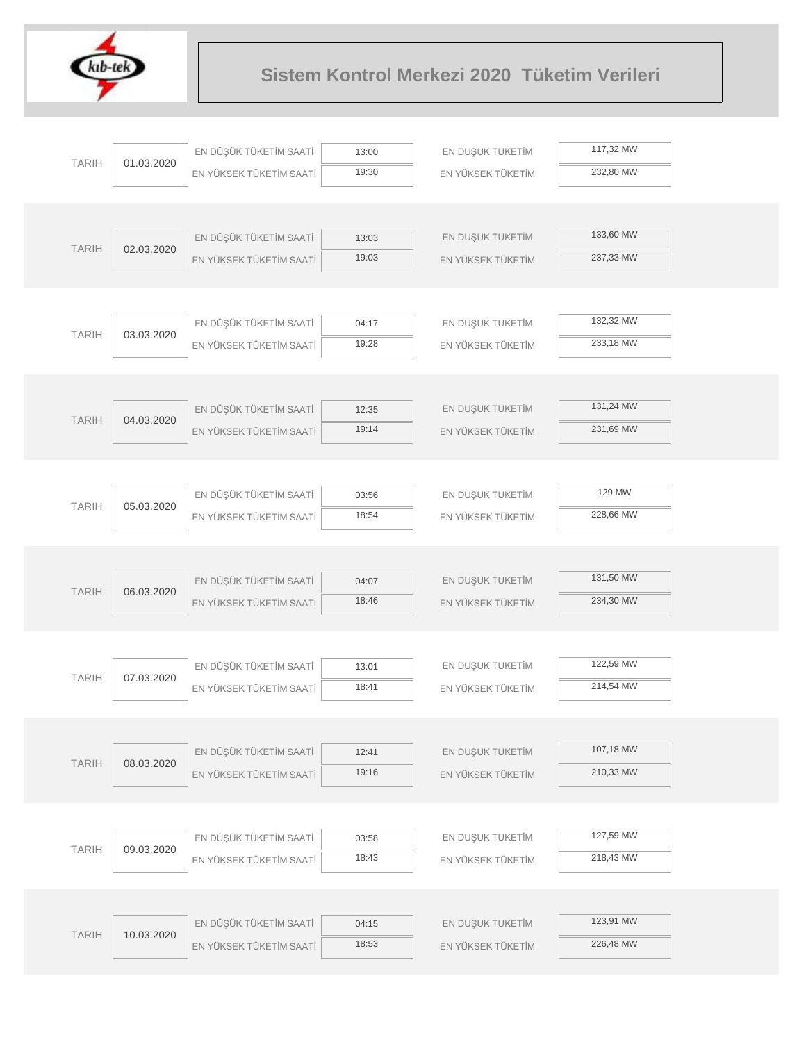

| 117,32 MW<br>EN DÜŞÜK TÜKETİM SAATİ<br>EN DUŞUK TUKETİM<br>13:00<br><b>TARIH</b><br>01.03.2020<br>19:30<br>232,80 MW<br>EN YÜKSEK TÜKETİM SAATİ<br>EN YÜKSEK TÜKETİM<br>133,60 MW<br>EN DÜŞÜK TÜKETİM SAATİ<br>EN DUŞUK TUKETİM<br>13:03<br><b>TARIH</b><br>02.03.2020<br>19:03<br>237,33 MW<br>EN YÜKSEK TÜKETİM SAATİ<br>EN YÜKSEK TÜKETİM<br>132,32 MW<br>EN DÜŞÜK TÜKETİM SAATİ<br>EN DUŞUK TUKETİM<br>04:17<br><b>TARIH</b><br>03.03.2020<br>19:28<br>233,18 MW<br>EN YÜKSEK TÜKETİM SAATİ<br>EN YÜKSEK TÜKETİM<br>131,24 MW<br>EN DÜŞÜK TÜKETİM SAATİ<br>EN DUŞUK TUKETİM<br>12:35<br><b>TARIH</b><br>04.03.2020<br>19:14<br>231,69 MW<br>EN YÜKSEK TÜKETİM SAATİ<br>EN YÜKSEK TÜKETİM<br>129 MW<br>EN DÜŞÜK TÜKETİM SAATİ<br>EN DUŞUK TUKETİM<br>03:56<br><b>TARIH</b><br>05.03.2020<br>18:54<br>228,66 MW<br>EN YÜKSEK TÜKETİM SAATİ<br>EN YÜKSEK TÜKETİM<br>131,50 MW<br>EN DÜŞÜK TÜKETİM SAATİ<br>EN DUŞUK TUKETİM<br>04:07<br><b>TARIH</b><br>06.03.2020<br>18:46<br>234,30 MW<br>EN YÜKSEK TÜKETİM SAATİ<br>EN YÜKSEK TÜKETİM<br>122,59 MW<br>EN DÜŞÜK TÜKETİM SAATİ<br>EN DUŞUK TUKETİM<br>13:01<br><b>TARIH</b><br>07.03.2020<br>18:41<br>214,54 MW<br>EN YÜKSEK TÜKETİM SAATİ<br>EN YÜKSEK TÜKETİM<br>107,18 MW<br>EN DÜŞÜK TÜKETİM SAATİ<br>EN DUŞUK TUKETİM<br>12:41<br><b>TARIH</b><br>08.03.2020<br>210,33 MW<br>19:16<br>EN YÜKSEK TÜKETİM SAATİ<br>EN YÜKSEK TÜKETİM<br>127,59 MW<br>EN DÜŞÜK TÜKETİM SAATİ<br>EN DUŞUK TUKETİM<br>03:58<br><b>TARIH</b><br>09.03.2020<br>218,43 MW<br>18:43<br>EN YÜKSEK TÜKETİM SAATİ<br>EN YÜKSEK TÜKETİM<br>123,91 MW<br>EN DÜŞÜK TÜKETİM SAATİ<br>EN DUŞUK TUKETİM<br>04:15<br><b>TARIH</b><br>10.03.2020<br>226,48 MW<br>18:53<br>EN YÜKSEK TÜKETİM SAATİ<br>EN YÜKSEK TÜKETİM |  |  |  |  |
|-------------------------------------------------------------------------------------------------------------------------------------------------------------------------------------------------------------------------------------------------------------------------------------------------------------------------------------------------------------------------------------------------------------------------------------------------------------------------------------------------------------------------------------------------------------------------------------------------------------------------------------------------------------------------------------------------------------------------------------------------------------------------------------------------------------------------------------------------------------------------------------------------------------------------------------------------------------------------------------------------------------------------------------------------------------------------------------------------------------------------------------------------------------------------------------------------------------------------------------------------------------------------------------------------------------------------------------------------------------------------------------------------------------------------------------------------------------------------------------------------------------------------------------------------------------------------------------------------------------------------------------------------------------------------------------------------------------------------------------------|--|--|--|--|
|                                                                                                                                                                                                                                                                                                                                                                                                                                                                                                                                                                                                                                                                                                                                                                                                                                                                                                                                                                                                                                                                                                                                                                                                                                                                                                                                                                                                                                                                                                                                                                                                                                                                                                                                           |  |  |  |  |
|                                                                                                                                                                                                                                                                                                                                                                                                                                                                                                                                                                                                                                                                                                                                                                                                                                                                                                                                                                                                                                                                                                                                                                                                                                                                                                                                                                                                                                                                                                                                                                                                                                                                                                                                           |  |  |  |  |
|                                                                                                                                                                                                                                                                                                                                                                                                                                                                                                                                                                                                                                                                                                                                                                                                                                                                                                                                                                                                                                                                                                                                                                                                                                                                                                                                                                                                                                                                                                                                                                                                                                                                                                                                           |  |  |  |  |
|                                                                                                                                                                                                                                                                                                                                                                                                                                                                                                                                                                                                                                                                                                                                                                                                                                                                                                                                                                                                                                                                                                                                                                                                                                                                                                                                                                                                                                                                                                                                                                                                                                                                                                                                           |  |  |  |  |
|                                                                                                                                                                                                                                                                                                                                                                                                                                                                                                                                                                                                                                                                                                                                                                                                                                                                                                                                                                                                                                                                                                                                                                                                                                                                                                                                                                                                                                                                                                                                                                                                                                                                                                                                           |  |  |  |  |
|                                                                                                                                                                                                                                                                                                                                                                                                                                                                                                                                                                                                                                                                                                                                                                                                                                                                                                                                                                                                                                                                                                                                                                                                                                                                                                                                                                                                                                                                                                                                                                                                                                                                                                                                           |  |  |  |  |
|                                                                                                                                                                                                                                                                                                                                                                                                                                                                                                                                                                                                                                                                                                                                                                                                                                                                                                                                                                                                                                                                                                                                                                                                                                                                                                                                                                                                                                                                                                                                                                                                                                                                                                                                           |  |  |  |  |
|                                                                                                                                                                                                                                                                                                                                                                                                                                                                                                                                                                                                                                                                                                                                                                                                                                                                                                                                                                                                                                                                                                                                                                                                                                                                                                                                                                                                                                                                                                                                                                                                                                                                                                                                           |  |  |  |  |
|                                                                                                                                                                                                                                                                                                                                                                                                                                                                                                                                                                                                                                                                                                                                                                                                                                                                                                                                                                                                                                                                                                                                                                                                                                                                                                                                                                                                                                                                                                                                                                                                                                                                                                                                           |  |  |  |  |
|                                                                                                                                                                                                                                                                                                                                                                                                                                                                                                                                                                                                                                                                                                                                                                                                                                                                                                                                                                                                                                                                                                                                                                                                                                                                                                                                                                                                                                                                                                                                                                                                                                                                                                                                           |  |  |  |  |
|                                                                                                                                                                                                                                                                                                                                                                                                                                                                                                                                                                                                                                                                                                                                                                                                                                                                                                                                                                                                                                                                                                                                                                                                                                                                                                                                                                                                                                                                                                                                                                                                                                                                                                                                           |  |  |  |  |
|                                                                                                                                                                                                                                                                                                                                                                                                                                                                                                                                                                                                                                                                                                                                                                                                                                                                                                                                                                                                                                                                                                                                                                                                                                                                                                                                                                                                                                                                                                                                                                                                                                                                                                                                           |  |  |  |  |
|                                                                                                                                                                                                                                                                                                                                                                                                                                                                                                                                                                                                                                                                                                                                                                                                                                                                                                                                                                                                                                                                                                                                                                                                                                                                                                                                                                                                                                                                                                                                                                                                                                                                                                                                           |  |  |  |  |
|                                                                                                                                                                                                                                                                                                                                                                                                                                                                                                                                                                                                                                                                                                                                                                                                                                                                                                                                                                                                                                                                                                                                                                                                                                                                                                                                                                                                                                                                                                                                                                                                                                                                                                                                           |  |  |  |  |
|                                                                                                                                                                                                                                                                                                                                                                                                                                                                                                                                                                                                                                                                                                                                                                                                                                                                                                                                                                                                                                                                                                                                                                                                                                                                                                                                                                                                                                                                                                                                                                                                                                                                                                                                           |  |  |  |  |
|                                                                                                                                                                                                                                                                                                                                                                                                                                                                                                                                                                                                                                                                                                                                                                                                                                                                                                                                                                                                                                                                                                                                                                                                                                                                                                                                                                                                                                                                                                                                                                                                                                                                                                                                           |  |  |  |  |
|                                                                                                                                                                                                                                                                                                                                                                                                                                                                                                                                                                                                                                                                                                                                                                                                                                                                                                                                                                                                                                                                                                                                                                                                                                                                                                                                                                                                                                                                                                                                                                                                                                                                                                                                           |  |  |  |  |
|                                                                                                                                                                                                                                                                                                                                                                                                                                                                                                                                                                                                                                                                                                                                                                                                                                                                                                                                                                                                                                                                                                                                                                                                                                                                                                                                                                                                                                                                                                                                                                                                                                                                                                                                           |  |  |  |  |
|                                                                                                                                                                                                                                                                                                                                                                                                                                                                                                                                                                                                                                                                                                                                                                                                                                                                                                                                                                                                                                                                                                                                                                                                                                                                                                                                                                                                                                                                                                                                                                                                                                                                                                                                           |  |  |  |  |
|                                                                                                                                                                                                                                                                                                                                                                                                                                                                                                                                                                                                                                                                                                                                                                                                                                                                                                                                                                                                                                                                                                                                                                                                                                                                                                                                                                                                                                                                                                                                                                                                                                                                                                                                           |  |  |  |  |
|                                                                                                                                                                                                                                                                                                                                                                                                                                                                                                                                                                                                                                                                                                                                                                                                                                                                                                                                                                                                                                                                                                                                                                                                                                                                                                                                                                                                                                                                                                                                                                                                                                                                                                                                           |  |  |  |  |
|                                                                                                                                                                                                                                                                                                                                                                                                                                                                                                                                                                                                                                                                                                                                                                                                                                                                                                                                                                                                                                                                                                                                                                                                                                                                                                                                                                                                                                                                                                                                                                                                                                                                                                                                           |  |  |  |  |
|                                                                                                                                                                                                                                                                                                                                                                                                                                                                                                                                                                                                                                                                                                                                                                                                                                                                                                                                                                                                                                                                                                                                                                                                                                                                                                                                                                                                                                                                                                                                                                                                                                                                                                                                           |  |  |  |  |
|                                                                                                                                                                                                                                                                                                                                                                                                                                                                                                                                                                                                                                                                                                                                                                                                                                                                                                                                                                                                                                                                                                                                                                                                                                                                                                                                                                                                                                                                                                                                                                                                                                                                                                                                           |  |  |  |  |
|                                                                                                                                                                                                                                                                                                                                                                                                                                                                                                                                                                                                                                                                                                                                                                                                                                                                                                                                                                                                                                                                                                                                                                                                                                                                                                                                                                                                                                                                                                                                                                                                                                                                                                                                           |  |  |  |  |
|                                                                                                                                                                                                                                                                                                                                                                                                                                                                                                                                                                                                                                                                                                                                                                                                                                                                                                                                                                                                                                                                                                                                                                                                                                                                                                                                                                                                                                                                                                                                                                                                                                                                                                                                           |  |  |  |  |
|                                                                                                                                                                                                                                                                                                                                                                                                                                                                                                                                                                                                                                                                                                                                                                                                                                                                                                                                                                                                                                                                                                                                                                                                                                                                                                                                                                                                                                                                                                                                                                                                                                                                                                                                           |  |  |  |  |
|                                                                                                                                                                                                                                                                                                                                                                                                                                                                                                                                                                                                                                                                                                                                                                                                                                                                                                                                                                                                                                                                                                                                                                                                                                                                                                                                                                                                                                                                                                                                                                                                                                                                                                                                           |  |  |  |  |
|                                                                                                                                                                                                                                                                                                                                                                                                                                                                                                                                                                                                                                                                                                                                                                                                                                                                                                                                                                                                                                                                                                                                                                                                                                                                                                                                                                                                                                                                                                                                                                                                                                                                                                                                           |  |  |  |  |
|                                                                                                                                                                                                                                                                                                                                                                                                                                                                                                                                                                                                                                                                                                                                                                                                                                                                                                                                                                                                                                                                                                                                                                                                                                                                                                                                                                                                                                                                                                                                                                                                                                                                                                                                           |  |  |  |  |
|                                                                                                                                                                                                                                                                                                                                                                                                                                                                                                                                                                                                                                                                                                                                                                                                                                                                                                                                                                                                                                                                                                                                                                                                                                                                                                                                                                                                                                                                                                                                                                                                                                                                                                                                           |  |  |  |  |
|                                                                                                                                                                                                                                                                                                                                                                                                                                                                                                                                                                                                                                                                                                                                                                                                                                                                                                                                                                                                                                                                                                                                                                                                                                                                                                                                                                                                                                                                                                                                                                                                                                                                                                                                           |  |  |  |  |
|                                                                                                                                                                                                                                                                                                                                                                                                                                                                                                                                                                                                                                                                                                                                                                                                                                                                                                                                                                                                                                                                                                                                                                                                                                                                                                                                                                                                                                                                                                                                                                                                                                                                                                                                           |  |  |  |  |
|                                                                                                                                                                                                                                                                                                                                                                                                                                                                                                                                                                                                                                                                                                                                                                                                                                                                                                                                                                                                                                                                                                                                                                                                                                                                                                                                                                                                                                                                                                                                                                                                                                                                                                                                           |  |  |  |  |
|                                                                                                                                                                                                                                                                                                                                                                                                                                                                                                                                                                                                                                                                                                                                                                                                                                                                                                                                                                                                                                                                                                                                                                                                                                                                                                                                                                                                                                                                                                                                                                                                                                                                                                                                           |  |  |  |  |
|                                                                                                                                                                                                                                                                                                                                                                                                                                                                                                                                                                                                                                                                                                                                                                                                                                                                                                                                                                                                                                                                                                                                                                                                                                                                                                                                                                                                                                                                                                                                                                                                                                                                                                                                           |  |  |  |  |
|                                                                                                                                                                                                                                                                                                                                                                                                                                                                                                                                                                                                                                                                                                                                                                                                                                                                                                                                                                                                                                                                                                                                                                                                                                                                                                                                                                                                                                                                                                                                                                                                                                                                                                                                           |  |  |  |  |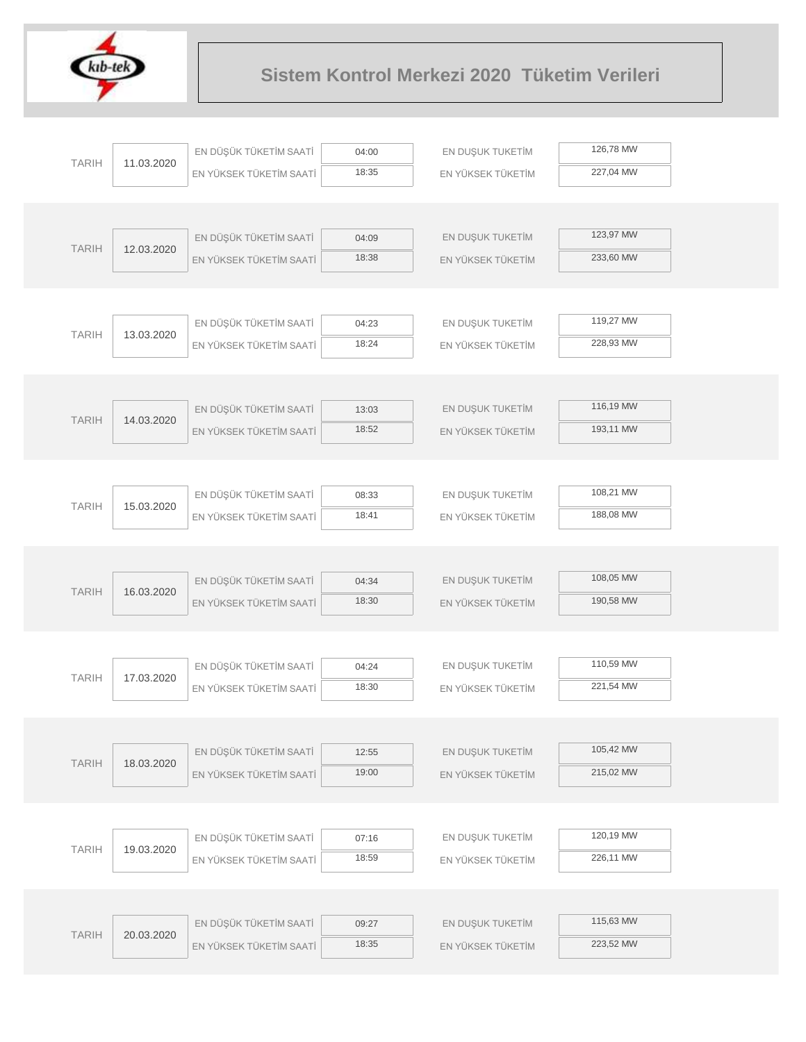

| <b>TARIH</b> |            | EN DÜŞÜK TÜKETİM SAATİ  | 04:00 | EN DUŞUK TUKETİM  | 126,78 MW |  |
|--------------|------------|-------------------------|-------|-------------------|-----------|--|
|              | 11.03.2020 | EN YÜKSEK TÜKETİM SAATİ | 18:35 | EN YÜKSEK TÜKETİM | 227,04 MW |  |
|              |            |                         |       |                   |           |  |
|              |            |                         |       |                   |           |  |
| <b>TARIH</b> | 12.03.2020 | EN DÜŞÜK TÜKETİM SAATİ  | 04:09 | EN DUŞUK TUKETİM  | 123,97 MW |  |
|              |            | EN YÜKSEK TÜKETİM SAATİ | 18:38 | EN YÜKSEK TÜKETİM | 233,60 MW |  |
|              |            |                         |       |                   |           |  |
|              |            | EN DÜŞÜK TÜKETİM SAATİ  | 04:23 | EN DUŞUK TUKETİM  | 119,27 MW |  |
| <b>TARIH</b> | 13.03.2020 | EN YÜKSEK TÜKETİM SAATİ | 18:24 | EN YÜKSEK TÜKETİM | 228,93 MW |  |
|              |            |                         |       |                   |           |  |
|              |            |                         |       |                   |           |  |
|              |            | EN DÜŞÜK TÜKETİM SAATİ  | 13:03 | EN DUŞUK TUKETİM  | 116,19 MW |  |
| <b>TARIH</b> | 14.03.2020 | EN YÜKSEK TÜKETİM SAATİ | 18:52 | EN YÜKSEK TÜKETİM | 193,11 MW |  |
|              |            |                         |       |                   |           |  |
|              |            |                         |       |                   |           |  |
| <b>TARIH</b> | 15.03.2020 | EN DÜŞÜK TÜKETİM SAATİ  | 08:33 | EN DUŞUK TUKETİM  | 108,21 MW |  |
|              |            | EN YÜKSEK TÜKETİM SAATİ | 18:41 | EN YÜKSEK TÜKETİM | 188,08 MW |  |
|              |            |                         |       |                   |           |  |
|              |            |                         |       |                   |           |  |
| <b>TARIH</b> | 16.03.2020 | EN DÜŞÜK TÜKETİM SAATİ  | 04:34 | EN DUŞUK TUKETİM  | 108,05 MW |  |
|              |            | EN YÜKSEK TÜKETİM SAATİ | 18:30 | EN YÜKSEK TÜKETİM | 190,58 MW |  |
|              |            |                         |       |                   |           |  |
|              |            | EN DÜŞÜK TÜKETİM SAATİ  | 04:24 | EN DUŞUK TUKETİM  | 110,59 MW |  |
| <b>TARIH</b> | 17.03.2020 | EN YÜKSEK TÜKETİM SAATİ | 18:30 | EN YÜKSEK TÜKETİM | 221,54 MW |  |
|              |            |                         |       |                   |           |  |
|              |            |                         |       |                   |           |  |
|              |            | EN DÜŞÜK TÜKETİM SAATİ  | 12:55 | EN DUŞUK TUKETİM  | 105,42 MW |  |
| <b>TARIH</b> | 18.03.2020 | EN YÜKSEK TÜKETİM SAATİ | 19:00 | EN YÜKSEK TÜKETİM | 215,02 MW |  |
|              |            |                         |       |                   |           |  |
|              |            |                         |       |                   |           |  |
| <b>TARIH</b> | 19.03.2020 | EN DÜŞÜK TÜKETİM SAATİ  | 07:16 | EN DUŞUK TUKETİM  | 120,19 MW |  |
|              |            | EN YÜKSEK TÜKETİM SAATİ | 18:59 | EN YÜKSEK TÜKETİM | 226,11 MW |  |
|              |            |                         |       |                   |           |  |
|              |            |                         |       |                   | 115,63 MW |  |
| <b>TARIH</b> | 20.03.2020 | EN DÜŞÜK TÜKETİM SAATİ  | 09:27 | EN DUŞUK TUKETİM  | 223,52 MW |  |
|              |            | EN YÜKSEK TÜKETİM SAATİ | 18:35 | EN YÜKSEK TÜKETİM |           |  |
|              |            |                         |       |                   |           |  |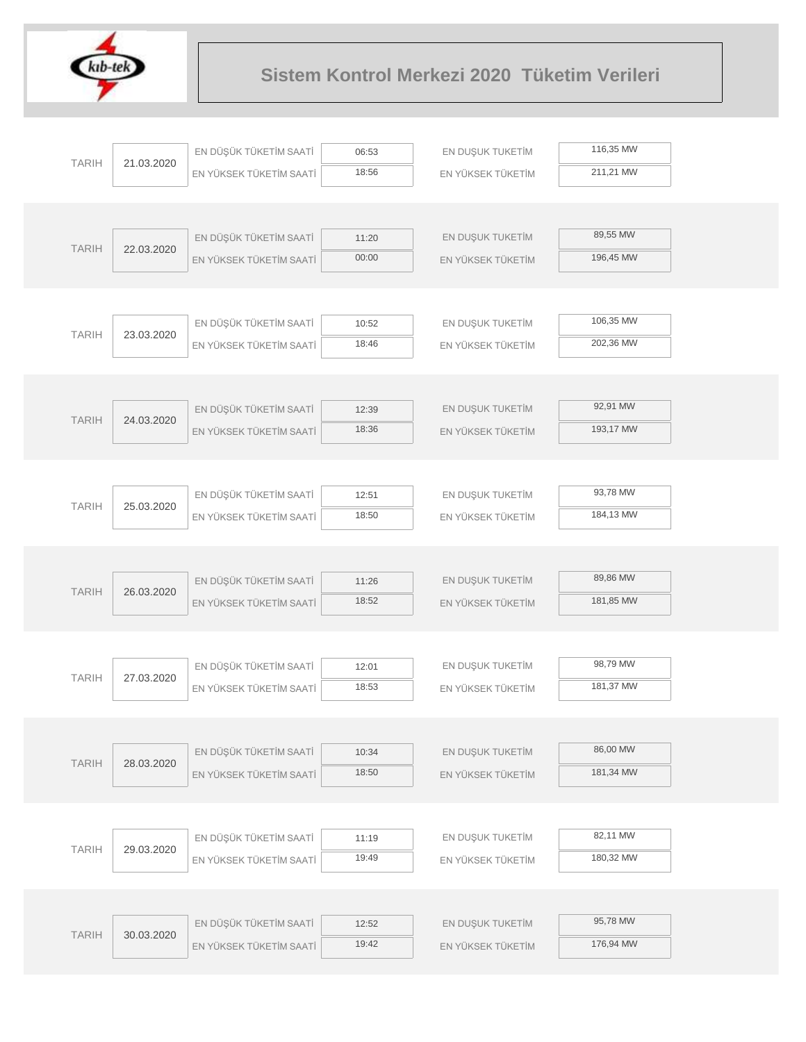

|              |            | EN DÜŞÜK TÜKETİM SAATİ  | 06:53          | EN DUŞUK TUKETİM  | 116,35 MW |
|--------------|------------|-------------------------|----------------|-------------------|-----------|
| <b>TARIH</b> | 21.03.2020 | EN YÜKSEK TÜKETİM SAATİ | 18:56          | EN YÜKSEK TÜKETİM | 211,21 MW |
|              |            |                         |                |                   |           |
|              |            |                         |                |                   |           |
| <b>TARIH</b> | 22.03.2020 | EN DÜŞÜK TÜKETİM SAATİ  | 11:20          | EN DUŞUK TUKETİM  | 89,55 MW  |
|              |            | EN YÜKSEK TÜKETİM SAATİ | 00:00          | EN YÜKSEK TÜKETİM | 196,45 MW |
|              |            |                         |                |                   |           |
|              |            |                         |                |                   |           |
| <b>TARIH</b> | 23.03.2020 | EN DÜŞÜK TÜKETİM SAATİ  | 10:52          | EN DUŞUK TUKETİM  | 106,35 MW |
|              |            | EN YÜKSEK TÜKETİM SAATİ | 18:46          | EN YÜKSEK TÜKETİM | 202,36 MW |
|              |            |                         |                |                   |           |
|              |            |                         |                |                   | 92,91 MW  |
| <b>TARIH</b> | 24.03.2020 | EN DÜŞÜK TÜKETİM SAATİ  | 12:39<br>18:36 | EN DUŞUK TUKETİM  | 193,17 MW |
|              |            | EN YÜKSEK TÜKETİM SAATİ |                | EN YÜKSEK TÜKETİM |           |
|              |            |                         |                |                   |           |
|              |            | EN DÜŞÜK TÜKETİM SAATİ  | 12:51          | EN DUŞUK TUKETİM  | 93,78 MW  |
| <b>TARIH</b> | 25.03.2020 | EN YÜKSEK TÜKETİM SAATİ | 18:50          | EN YÜKSEK TÜKETİM | 184,13 MW |
|              |            |                         |                |                   |           |
|              |            |                         |                |                   |           |
|              |            | EN DÜŞÜK TÜKETİM SAATİ  | 11:26          | EN DUŞUK TUKETİM  | 89,86 MW  |
| <b>TARIH</b> | 26.03.2020 | EN YÜKSEK TÜKETİM SAATİ | 18:52          | EN YÜKSEK TÜKETİM | 181,85 MW |
|              |            |                         |                |                   |           |
|              |            |                         |                |                   |           |
| <b>TARIH</b> | 27.03.2020 | EN DÜŞÜK TÜKETİM SAATİ  | 12:01          | EN DUŞUK TUKETİM  | 98,79 MW  |
|              |            | EN YÜKSEK TÜKETİM SAATİ | 18:53          | EN YÜKSEK TÜKETİM | 181,37 MW |
|              |            |                         |                |                   |           |
|              |            |                         |                |                   |           |
| <b>TARIH</b> | 28.03.2020 | EN DÜŞÜK TÜKETİM SAATİ  | 10:34          | EN DUŞUK TUKETİM  | 86,00 MW  |
|              |            | EN YÜKSEK TÜKETİM SAATİ | 18:50          | EN YÜKSEK TÜKETİM | 181,34 MW |
|              |            |                         |                |                   |           |
|              |            |                         |                |                   |           |
| <b>TARIH</b> | 29.03.2020 | EN DÜŞÜK TÜKETİM SAATİ  | 11:19          | EN DUŞUK TUKETİM  | 82,11 MW  |
|              |            | EN YÜKSEK TÜKETİM SAATİ | 19:49          | EN YÜKSEK TÜKETİM | 180,32 MW |
|              |            |                         |                |                   |           |
|              |            | EN DÜŞÜK TÜKETİM SAATİ  |                |                   | 95,78 MW  |
| <b>TARIH</b> | 30.03.2020 |                         | 12:52<br>19:42 | EN DUŞUK TUKETİM  | 176,94 MW |
|              |            | EN YÜKSEK TÜKETİM SAATİ |                | EN YÜKSEK TÜKETİM |           |
|              |            |                         |                |                   |           |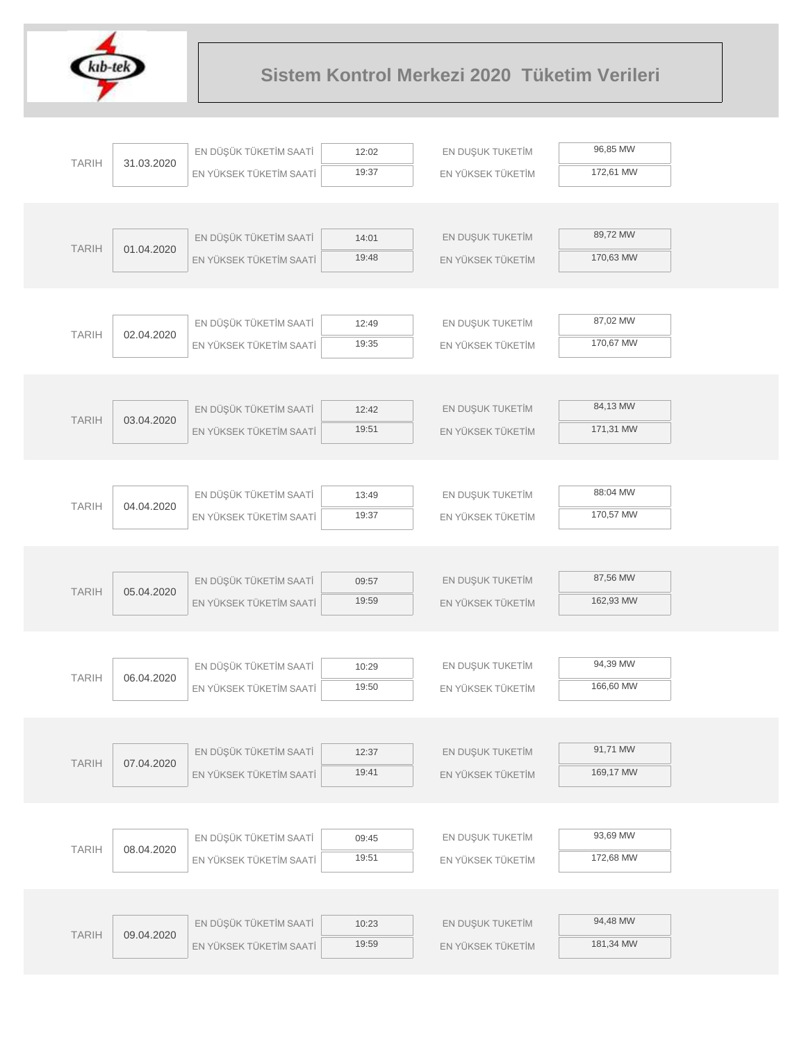

|              |            | EN DÜŞÜK TÜKETİM SAATİ  | 12:02          | EN DUŞUK TUKETİM  | 96,85 MW  |
|--------------|------------|-------------------------|----------------|-------------------|-----------|
| <b>TARIH</b> | 31.03.2020 | EN YÜKSEK TÜKETİM SAATİ | 19:37          | EN YÜKSEK TÜKETİM | 172,61 MW |
|              |            |                         |                |                   |           |
|              |            |                         |                |                   |           |
| <b>TARIH</b> | 01.04.2020 | EN DÜŞÜK TÜKETİM SAATİ  | 14:01          | EN DUŞUK TUKETİM  | 89,72 MW  |
|              |            | EN YÜKSEK TÜKETİM SAATİ | 19:48          | EN YÜKSEK TÜKETİM | 170,63 MW |
|              |            |                         |                |                   |           |
|              |            |                         |                |                   |           |
| <b>TARIH</b> | 02.04.2020 | EN DÜŞÜK TÜKETİM SAATİ  | 12:49          | EN DUŞUK TUKETİM  | 87,02 MW  |
|              |            | EN YÜKSEK TÜKETİM SAATİ | 19:35          | EN YÜKSEK TÜKETİM | 170,67 MW |
|              |            |                         |                |                   |           |
|              |            |                         |                |                   | 84,13 MW  |
| <b>TARIH</b> | 03.04.2020 | EN DÜŞÜK TÜKETİM SAATİ  | 12:42<br>19:51 | EN DUŞUK TUKETİM  | 171,31 MW |
|              |            | EN YÜKSEK TÜKETİM SAATİ |                | EN YÜKSEK TÜKETİM |           |
|              |            |                         |                |                   |           |
|              |            | EN DÜŞÜK TÜKETİM SAATİ  | 13:49          | EN DUŞUK TUKETİM  | 88:04 MW  |
| <b>TARIH</b> | 04.04.2020 | EN YÜKSEK TÜKETİM SAATİ | 19:37          | EN YÜKSEK TÜKETİM | 170,57 MW |
|              |            |                         |                |                   |           |
|              |            |                         |                |                   |           |
|              |            | EN DÜŞÜK TÜKETİM SAATİ  | 09:57          | EN DUŞUK TUKETİM  | 87,56 MW  |
| <b>TARIH</b> | 05.04.2020 | EN YÜKSEK TÜKETİM SAATİ | 19:59          | EN YÜKSEK TÜKETİM | 162,93 MW |
|              |            |                         |                |                   |           |
|              |            |                         |                |                   |           |
|              |            | EN DÜŞÜK TÜKETİM SAATİ  | 10:29          | EN DUŞUK TUKETİM  | 94,39 MW  |
| <b>TARIH</b> | 06.04.2020 | EN YÜKSEK TÜKETİM SAATİ | 19:50          | EN YÜKSEK TÜKETİM | 166,60 MW |
|              |            |                         |                |                   |           |
|              |            |                         |                |                   |           |
| <b>TARIH</b> | 07.04.2020 | EN DÜŞÜK TÜKETİM SAATİ  | 12:37          | EN DUŞUK TUKETİM  | 91,71 MW  |
|              |            | EN YÜKSEK TÜKETİM SAATİ | 19:41          | EN YÜKSEK TÜKETİM | 169,17 MW |
|              |            |                         |                |                   |           |
|              |            |                         |                |                   |           |
| <b>TARIH</b> | 08.04.2020 | EN DÜŞÜK TÜKETİM SAATİ  | 09:45          | EN DUŞUK TUKETİM  | 93,69 MW  |
|              |            | EN YÜKSEK TÜKETİM SAATİ | 19:51          | EN YÜKSEK TÜKETİM | 172,68 MW |
|              |            |                         |                |                   |           |
|              |            |                         |                |                   |           |
| <b>TARIH</b> | 09.04.2020 | EN DÜŞÜK TÜKETİM SAATİ  | 10:23          | EN DUŞUK TUKETİM  | 94,48 MW  |
|              |            | EN YÜKSEK TÜKETİM SAATİ | 19:59          | EN YÜKSEK TÜKETİM | 181,34 MW |
|              |            |                         |                |                   |           |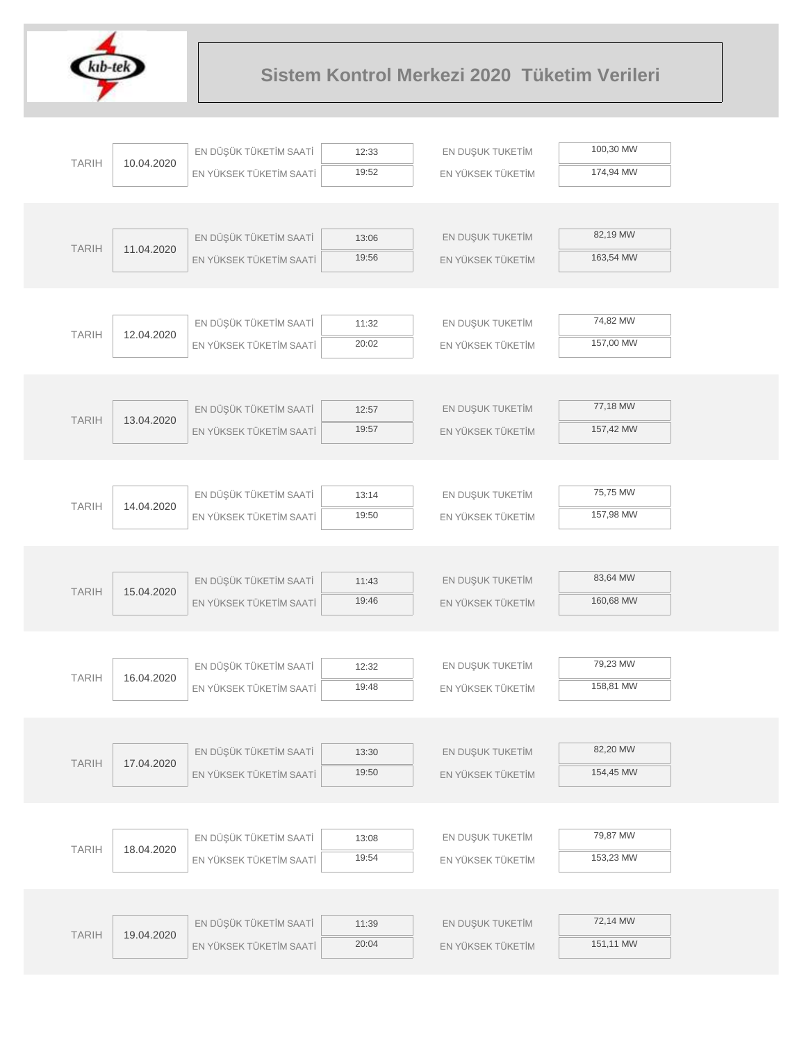

|              |            | EN DÜŞÜK TÜKETİM SAATİ  | 12:33          | EN DUŞUK TUKETİM                      | 100,30 MW |  |
|--------------|------------|-------------------------|----------------|---------------------------------------|-----------|--|
| <b>TARIH</b> | 10.04.2020 | EN YÜKSEK TÜKETİM SAATİ | 19:52          | EN YÜKSEK TÜKETİM                     | 174,94 MW |  |
|              |            |                         |                |                                       |           |  |
|              |            |                         |                |                                       |           |  |
| <b>TARIH</b> | 11.04.2020 | EN DÜŞÜK TÜKETİM SAATİ  | 13:06          | EN DUŞUK TUKETİM                      | 82,19 MW  |  |
|              |            | EN YÜKSEK TÜKETİM SAATİ | 19:56          | EN YÜKSEK TÜKETİM                     | 163,54 MW |  |
|              |            |                         |                |                                       |           |  |
|              |            |                         |                |                                       |           |  |
| <b>TARIH</b> | 12.04.2020 | EN DÜŞÜK TÜKETİM SAATİ  | 11:32          | EN DUŞUK TUKETİM                      | 74,82 MW  |  |
|              |            | EN YÜKSEK TÜKETİM SAATİ | 20:02          | EN YÜKSEK TÜKETİM                     | 157,00 MW |  |
|              |            |                         |                |                                       |           |  |
|              |            | EN DÜŞÜK TÜKETİM SAATİ  |                |                                       | 77,18 MW  |  |
| <b>TARIH</b> | 13.04.2020 | EN YÜKSEK TÜKETİM SAATİ | 12:57<br>19:57 | EN DUŞUK TUKETİM<br>EN YÜKSEK TÜKETİM | 157,42 MW |  |
|              |            |                         |                |                                       |           |  |
|              |            |                         |                |                                       |           |  |
|              |            | EN DÜŞÜK TÜKETİM SAATİ  | 13:14          | EN DUŞUK TUKETİM                      | 75,75 MW  |  |
| <b>TARIH</b> | 14.04.2020 | EN YÜKSEK TÜKETİM SAATİ | 19:50          | EN YÜKSEK TÜKETİM                     | 157,98 MW |  |
|              |            |                         |                |                                       |           |  |
|              |            |                         |                |                                       |           |  |
|              |            | EN DÜŞÜK TÜKETİM SAATİ  | 11:43          | EN DUŞUK TUKETİM                      | 83,64 MW  |  |
| <b>TARIH</b> | 15.04.2020 | EN YÜKSEK TÜKETİM SAATİ | 19:46          | EN YÜKSEK TÜKETİM                     | 160,68 MW |  |
|              |            |                         |                |                                       |           |  |
|              |            |                         |                |                                       |           |  |
| <b>TARIH</b> | 16.04.2020 | EN DÜŞÜK TÜKETİM SAATİ  | 12:32          | EN DUŞUK TUKETİM                      | 79,23 MW  |  |
|              |            | EN YÜKSEK TÜKETİM SAATİ | 19:48          | EN YÜKSEK TÜKETİM                     | 158,81 MW |  |
|              |            |                         |                |                                       |           |  |
|              |            |                         |                |                                       | 82,20 MW  |  |
| <b>TARIH</b> | 17.04.2020 | EN DÜŞÜK TÜKETİM SAATİ  | 13:30<br>19:50 | EN DUŞUK TUKETİM                      | 154,45 MW |  |
|              |            | EN YÜKSEK TÜKETİM SAATİ |                | EN YÜKSEK TÜKETİM                     |           |  |
|              |            |                         |                |                                       |           |  |
|              |            | EN DÜŞÜK TÜKETİM SAATİ  | 13:08          | EN DUŞUK TUKETİM                      | 79,87 MW  |  |
| <b>TARIH</b> | 18.04.2020 | EN YÜKSEK TÜKETİM SAATİ | 19:54          | EN YÜKSEK TÜKETİM                     | 153,23 MW |  |
|              |            |                         |                |                                       |           |  |
|              |            |                         |                |                                       |           |  |
|              |            | EN DÜŞÜK TÜKETİM SAATİ  | 11:39          | EN DUŞUK TUKETİM                      | 72,14 MW  |  |
| <b>TARIH</b> | 19.04.2020 | EN YÜKSEK TÜKETİM SAATİ | 20:04          | EN YÜKSEK TÜKETİM                     | 151,11 MW |  |
|              |            |                         |                |                                       |           |  |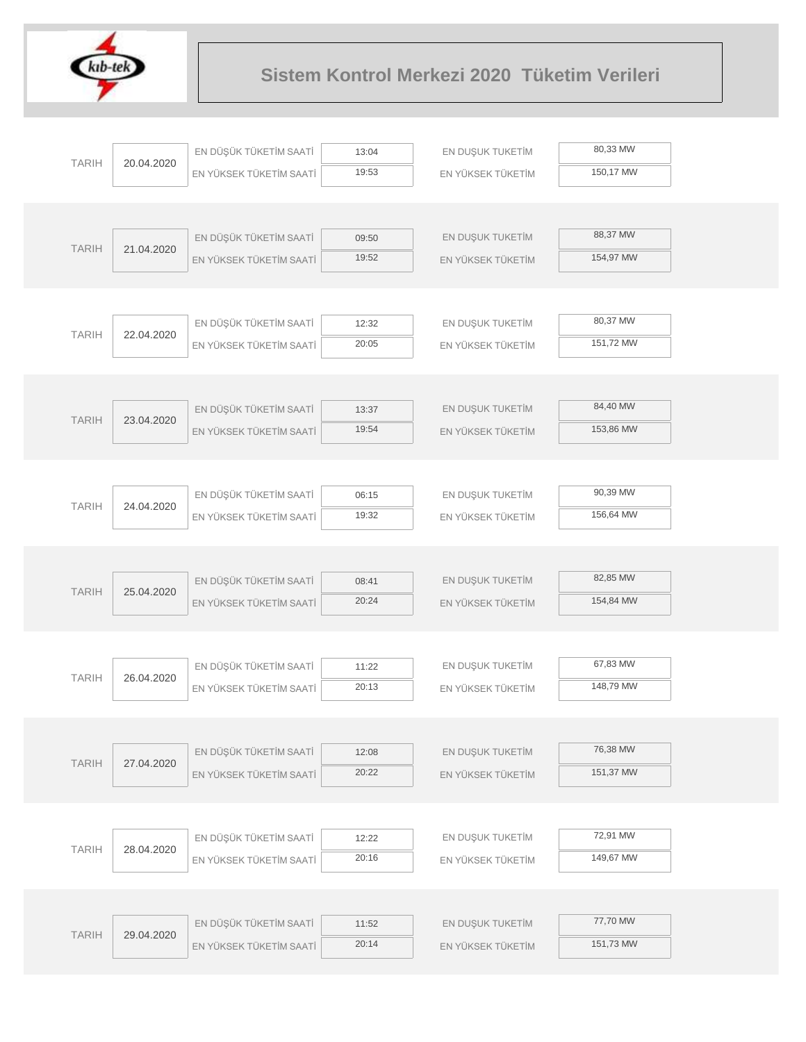

|              |            | EN DÜŞÜK TÜKETİM SAATİ  | 13:04 | EN DUŞUK TUKETİM  | 80,33 MW  |
|--------------|------------|-------------------------|-------|-------------------|-----------|
| <b>TARIH</b> | 20.04.2020 | EN YÜKSEK TÜKETİM SAATİ | 19:53 | EN YÜKSEK TÜKETİM | 150,17 MW |
|              |            |                         |       |                   |           |
|              |            |                         |       |                   |           |
| <b>TARIH</b> | 21.04.2020 | EN DÜŞÜK TÜKETİM SAATİ  | 09:50 | EN DUŞUK TUKETİM  | 88,37 MW  |
|              |            | EN YÜKSEK TÜKETİM SAATİ | 19:52 | EN YÜKSEK TÜKETİM | 154,97 MW |
|              |            |                         |       |                   |           |
|              |            |                         |       |                   |           |
| <b>TARIH</b> | 22.04.2020 | EN DÜŞÜK TÜKETİM SAATİ  | 12:32 | EN DUŞUK TUKETİM  | 80,37 MW  |
|              |            | EN YÜKSEK TÜKETİM SAATİ | 20:05 | EN YÜKSEK TÜKETİM | 151,72 MW |
|              |            |                         |       |                   |           |
|              |            | EN DÜŞÜK TÜKETİM SAATİ  | 13:37 | EN DUŞUK TUKETİM  | 84,40 MW  |
| <b>TARIH</b> | 23.04.2020 | EN YÜKSEK TÜKETİM SAATİ | 19:54 | EN YÜKSEK TÜKETİM | 153,86 MW |
|              |            |                         |       |                   |           |
|              |            |                         |       |                   |           |
|              |            | EN DÜŞÜK TÜKETİM SAATİ  | 06:15 | EN DUŞUK TUKETİM  | 90,39 MW  |
| <b>TARIH</b> | 24.04.2020 | EN YÜKSEK TÜKETİM SAATİ | 19:32 | EN YÜKSEK TÜKETİM | 156,64 MW |
|              |            |                         |       |                   |           |
|              |            |                         |       |                   |           |
| <b>TARIH</b> | 25.04.2020 | EN DÜŞÜK TÜKETİM SAATİ  | 08:41 | EN DUŞUK TUKETİM  | 82,85 MW  |
|              |            | EN YÜKSEK TÜKETİM SAATİ | 20:24 | EN YÜKSEK TÜKETİM | 154,84 MW |
|              |            |                         |       |                   |           |
|              |            |                         |       |                   |           |
| <b>TARIH</b> | 26.04.2020 | EN DÜŞÜK TÜKETİM SAATİ  | 11:22 | EN DUŞUK TUKETİM  | 67,83 MW  |
|              |            | EN YÜKSEK TÜKETİM SAATİ | 20:13 | EN YÜKSEK TÜKETİM | 148,79 MW |
|              |            |                         |       |                   |           |
|              |            | EN DÜŞÜK TÜKETİM SAATİ  | 12:08 | EN DUŞUK TUKETİM  | 76,38 MW  |
| <b>TARIH</b> | 27.04.2020 | EN YÜKSEK TÜKETİM SAATİ | 20:22 | EN YÜKSEK TÜKETİM | 151,37 MW |
|              |            |                         |       |                   |           |
|              |            |                         |       |                   |           |
|              |            | EN DÜŞÜK TÜKETİM SAATİ  | 12:22 | EN DUŞUK TUKETİM  | 72,91 MW  |
| <b>TARIH</b> | 28.04.2020 | EN YÜKSEK TÜKETİM SAATİ | 20:16 | EN YÜKSEK TÜKETİM | 149,67 MW |
|              |            |                         |       |                   |           |
|              |            |                         |       |                   |           |
| <b>TARIH</b> | 29.04.2020 | EN DÜŞÜK TÜKETİM SAATİ  | 11:52 | EN DUŞUK TUKETİM  | 77,70 MW  |
|              |            | EN YÜKSEK TÜKETİM SAATİ | 20:14 | EN YÜKSEK TÜKETİM | 151,73 MW |
|              |            |                         |       |                   |           |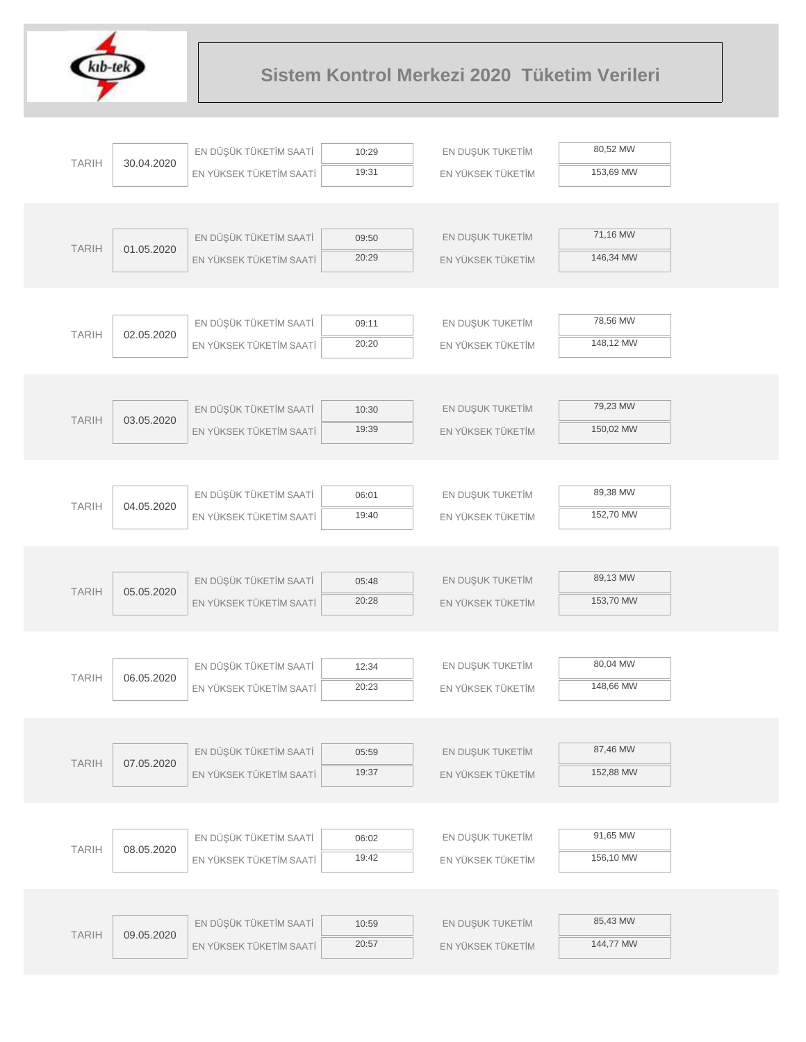

|              |            | EN DÜŞÜK TÜKETİM SAATİ  | 10:29 | EN DUŞUK TUKETİM  | 80,52 MW  |
|--------------|------------|-------------------------|-------|-------------------|-----------|
| <b>TARIH</b> | 30.04.2020 | EN YÜKSEK TÜKETİM SAATİ | 19:31 | EN YÜKSEK TÜKETİM | 153,69 MW |
|              |            |                         |       |                   |           |
|              |            |                         |       |                   |           |
|              |            | EN DÜŞÜK TÜKETİM SAATİ  | 09:50 | EN DUŞUK TUKETİM  | 71,16 MW  |
| <b>TARIH</b> | 01.05.2020 | EN YÜKSEK TÜKETİM SAATİ | 20:29 | EN YÜKSEK TÜKETİM | 146,34 MW |
|              |            |                         |       |                   |           |
|              |            |                         |       |                   |           |
|              |            | EN DÜŞÜK TÜKETİM SAATİ  | 09:11 | EN DUŞUK TUKETİM  | 78,56 MW  |
| <b>TARIH</b> | 02.05.2020 | EN YÜKSEK TÜKETİM SAATİ | 20:20 | EN YÜKSEK TÜKETİM | 148,12 MW |
|              |            |                         |       |                   |           |
|              |            |                         |       |                   |           |
| <b>TARIH</b> | 03.05.2020 | EN DÜŞÜK TÜKETİM SAATİ  | 10:30 | EN DUŞUK TUKETİM  | 79,23 MW  |
|              |            | EN YÜKSEK TÜKETİM SAATİ | 19:39 | EN YÜKSEK TÜKETİM | 150,02 MW |
|              |            |                         |       |                   |           |
|              |            |                         |       |                   |           |
| <b>TARIH</b> | 04.05.2020 | EN DÜŞÜK TÜKETİM SAATİ  | 06:01 | EN DUŞUK TUKETİM  | 89,38 MW  |
|              |            | EN YÜKSEK TÜKETİM SAATİ | 19:40 | EN YÜKSEK TÜKETİM | 152,70 MW |
|              |            |                         |       |                   |           |
|              |            |                         |       |                   |           |
| <b>TARIH</b> | 05.05.2020 | EN DÜŞÜK TÜKETİM SAATİ  | 05:48 | EN DUŞUK TUKETİM  | 89,13 MW  |
|              |            | EN YÜKSEK TÜKETİM SAATİ | 20:28 | EN YÜKSEK TÜKETİM | 153,70 MW |
|              |            |                         |       |                   |           |
|              |            |                         |       |                   |           |
| <b>TARIH</b> | 06.05.2020 | EN DÜŞÜK TÜKETİM SAATİ  | 12:34 | EN DUŞUK TUKETİM  | 80,04 MW  |
|              |            | EN YÜKSEK TÜKETİM SAATİ | 20:23 | EN YÜKSEK TÜKETİM | 148,66 MW |
|              |            |                         |       |                   |           |
|              |            |                         |       |                   |           |
| <b>TARIH</b> | 07.05.2020 | EN DÜŞÜK TÜKETİM SAATİ  | 05:59 | EN DUŞUK TUKETİM  | 87,46 MW  |
|              |            | EN YÜKSEK TÜKETİM SAATİ | 19:37 | EN YÜKSEK TÜKETİM | 152,88 MW |
|              |            |                         |       |                   |           |
|              |            |                         |       |                   | 91,65 MW  |
| <b>TARIH</b> | 08.05.2020 | EN DÜŞÜK TÜKETİM SAATİ  | 06:02 | EN DUŞUK TUKETİM  |           |
|              |            | EN YÜKSEK TÜKETİM SAATİ | 19:42 | EN YÜKSEK TÜKETİM | 156,10 MW |
|              |            |                         |       |                   |           |
|              |            |                         |       |                   | 85,43 MW  |
| <b>TARIH</b> | 09.05.2020 | EN DÜŞÜK TÜKETİM SAATİ  | 10:59 | EN DUŞUK TUKETİM  | 144,77 MW |
|              |            | EN YÜKSEK TÜKETİM SAATİ | 20:57 | EN YÜKSEK TÜKETİM |           |
|              |            |                         |       |                   |           |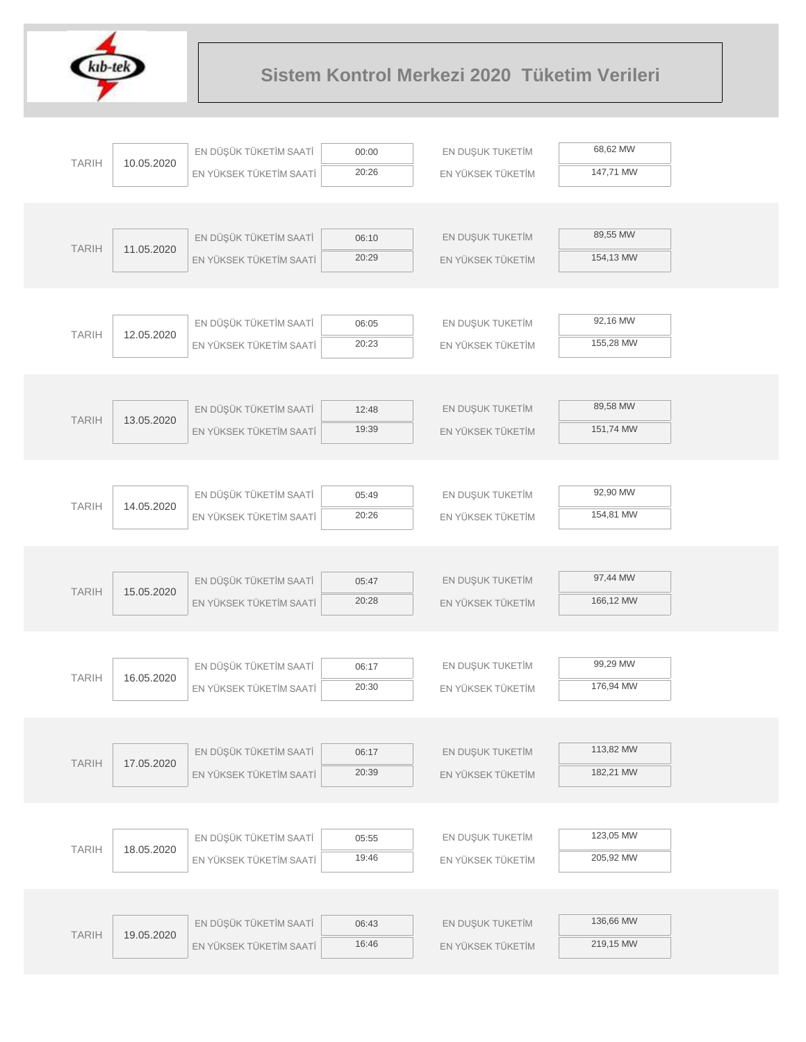

| 68,62 MW<br>EN DÜŞÜK TÜKETİM SAATİ<br>EN DUŞUK TUKETİM<br>00:00<br><b>TARIH</b><br>10.05.2020<br>20:26<br>147,71 MW<br>EN YÜKSEK TÜKETİM SAATİ<br>EN YÜKSEK TÜKETİM<br>89,55 MW<br>EN DÜŞÜK TÜKETİM SAATİ<br>EN DUŞUK TUKETİM<br>06:10<br><b>TARIH</b><br>11.05.2020<br>154,13 MW<br>20:29<br>EN YÜKSEK TÜKETİM SAATİ<br>EN YÜKSEK TÜKETİM<br>92,16 MW<br>EN DÜŞÜK TÜKETİM SAATİ<br>EN DUŞUK TUKETİM<br>06:05<br><b>TARIH</b><br>12.05.2020<br>155,28 MW<br>20:23<br>EN YÜKSEK TÜKETİM SAATİ<br>EN YÜKSEK TÜKETİM<br>89,58 MW<br>EN DÜŞÜK TÜKETİM SAATİ<br>EN DUŞUK TUKETİM<br>12:48<br><b>TARIH</b><br>13.05.2020<br>19:39<br>151,74 MW<br>EN YÜKSEK TÜKETİM SAATİ<br>EN YÜKSEK TÜKETİM<br>92,90 MW<br>EN DUŞUK TUKETİM<br>EN DÜŞÜK TÜKETİM SAATİ<br>05:49<br><b>TARIH</b><br>14.05.2020<br>154,81 MW<br>20:26<br>EN YÜKSEK TÜKETİM SAATİ<br>EN YÜKSEK TÜKETİM<br>97,44 MW<br>EN DÜŞÜK TÜKETİM SAATİ<br>EN DUŞUK TUKETİM<br>05:47<br><b>TARIH</b><br>15.05.2020<br>20:28<br>166,12 MW<br>EN YÜKSEK TÜKETİM SAATİ<br>EN YÜKSEK TÜKETİM<br>99,29 MW<br>EN DÜŞÜK TÜKETİM SAATİ<br>EN DUŞUK TUKETİM<br>06:17<br><b>TARIH</b><br>16.05.2020<br>20:30<br>176,94 MW<br>EN YÜKSEK TÜKETİM SAATİ<br>EN YÜKSEK TÜKETİM<br>113,82 MW<br>EN DÜŞÜK TÜKETİM SAATİ<br>EN DUŞUK TUKETİM<br>06:17<br><b>TARIH</b><br>17.05.2020<br>182,21 MW<br>20:39<br>EN YÜKSEK TÜKETİM SAATİ<br>EN YÜKSEK TÜKETİM<br>123,05 MW<br>EN DÜŞÜK TÜKETİM SAATİ<br>EN DUŞUK TUKETİM<br>05:55<br><b>TARIH</b><br>18.05.2020<br>205,92 MW<br>19:46<br>EN YÜKSEK TÜKETİM SAATİ<br>EN YÜKSEK TÜKETİM<br>136,66 MW<br>EN DÜŞÜK TÜKETİM SAATİ<br>EN DUŞUK TUKETİM<br>06:43<br><b>TARIH</b><br>19.05.2020<br>219,15 MW<br>16:46<br>EN YÜKSEK TÜKETİM SAATİ<br>EN YÜKSEK TÜKETİM |  |  |  |
|---------------------------------------------------------------------------------------------------------------------------------------------------------------------------------------------------------------------------------------------------------------------------------------------------------------------------------------------------------------------------------------------------------------------------------------------------------------------------------------------------------------------------------------------------------------------------------------------------------------------------------------------------------------------------------------------------------------------------------------------------------------------------------------------------------------------------------------------------------------------------------------------------------------------------------------------------------------------------------------------------------------------------------------------------------------------------------------------------------------------------------------------------------------------------------------------------------------------------------------------------------------------------------------------------------------------------------------------------------------------------------------------------------------------------------------------------------------------------------------------------------------------------------------------------------------------------------------------------------------------------------------------------------------------------------------------------------------------------------------|--|--|--|
|                                                                                                                                                                                                                                                                                                                                                                                                                                                                                                                                                                                                                                                                                                                                                                                                                                                                                                                                                                                                                                                                                                                                                                                                                                                                                                                                                                                                                                                                                                                                                                                                                                                                                                                                       |  |  |  |
|                                                                                                                                                                                                                                                                                                                                                                                                                                                                                                                                                                                                                                                                                                                                                                                                                                                                                                                                                                                                                                                                                                                                                                                                                                                                                                                                                                                                                                                                                                                                                                                                                                                                                                                                       |  |  |  |
|                                                                                                                                                                                                                                                                                                                                                                                                                                                                                                                                                                                                                                                                                                                                                                                                                                                                                                                                                                                                                                                                                                                                                                                                                                                                                                                                                                                                                                                                                                                                                                                                                                                                                                                                       |  |  |  |
|                                                                                                                                                                                                                                                                                                                                                                                                                                                                                                                                                                                                                                                                                                                                                                                                                                                                                                                                                                                                                                                                                                                                                                                                                                                                                                                                                                                                                                                                                                                                                                                                                                                                                                                                       |  |  |  |
|                                                                                                                                                                                                                                                                                                                                                                                                                                                                                                                                                                                                                                                                                                                                                                                                                                                                                                                                                                                                                                                                                                                                                                                                                                                                                                                                                                                                                                                                                                                                                                                                                                                                                                                                       |  |  |  |
|                                                                                                                                                                                                                                                                                                                                                                                                                                                                                                                                                                                                                                                                                                                                                                                                                                                                                                                                                                                                                                                                                                                                                                                                                                                                                                                                                                                                                                                                                                                                                                                                                                                                                                                                       |  |  |  |
|                                                                                                                                                                                                                                                                                                                                                                                                                                                                                                                                                                                                                                                                                                                                                                                                                                                                                                                                                                                                                                                                                                                                                                                                                                                                                                                                                                                                                                                                                                                                                                                                                                                                                                                                       |  |  |  |
|                                                                                                                                                                                                                                                                                                                                                                                                                                                                                                                                                                                                                                                                                                                                                                                                                                                                                                                                                                                                                                                                                                                                                                                                                                                                                                                                                                                                                                                                                                                                                                                                                                                                                                                                       |  |  |  |
|                                                                                                                                                                                                                                                                                                                                                                                                                                                                                                                                                                                                                                                                                                                                                                                                                                                                                                                                                                                                                                                                                                                                                                                                                                                                                                                                                                                                                                                                                                                                                                                                                                                                                                                                       |  |  |  |
|                                                                                                                                                                                                                                                                                                                                                                                                                                                                                                                                                                                                                                                                                                                                                                                                                                                                                                                                                                                                                                                                                                                                                                                                                                                                                                                                                                                                                                                                                                                                                                                                                                                                                                                                       |  |  |  |
|                                                                                                                                                                                                                                                                                                                                                                                                                                                                                                                                                                                                                                                                                                                                                                                                                                                                                                                                                                                                                                                                                                                                                                                                                                                                                                                                                                                                                                                                                                                                                                                                                                                                                                                                       |  |  |  |
|                                                                                                                                                                                                                                                                                                                                                                                                                                                                                                                                                                                                                                                                                                                                                                                                                                                                                                                                                                                                                                                                                                                                                                                                                                                                                                                                                                                                                                                                                                                                                                                                                                                                                                                                       |  |  |  |
|                                                                                                                                                                                                                                                                                                                                                                                                                                                                                                                                                                                                                                                                                                                                                                                                                                                                                                                                                                                                                                                                                                                                                                                                                                                                                                                                                                                                                                                                                                                                                                                                                                                                                                                                       |  |  |  |
|                                                                                                                                                                                                                                                                                                                                                                                                                                                                                                                                                                                                                                                                                                                                                                                                                                                                                                                                                                                                                                                                                                                                                                                                                                                                                                                                                                                                                                                                                                                                                                                                                                                                                                                                       |  |  |  |
|                                                                                                                                                                                                                                                                                                                                                                                                                                                                                                                                                                                                                                                                                                                                                                                                                                                                                                                                                                                                                                                                                                                                                                                                                                                                                                                                                                                                                                                                                                                                                                                                                                                                                                                                       |  |  |  |
|                                                                                                                                                                                                                                                                                                                                                                                                                                                                                                                                                                                                                                                                                                                                                                                                                                                                                                                                                                                                                                                                                                                                                                                                                                                                                                                                                                                                                                                                                                                                                                                                                                                                                                                                       |  |  |  |
|                                                                                                                                                                                                                                                                                                                                                                                                                                                                                                                                                                                                                                                                                                                                                                                                                                                                                                                                                                                                                                                                                                                                                                                                                                                                                                                                                                                                                                                                                                                                                                                                                                                                                                                                       |  |  |  |
|                                                                                                                                                                                                                                                                                                                                                                                                                                                                                                                                                                                                                                                                                                                                                                                                                                                                                                                                                                                                                                                                                                                                                                                                                                                                                                                                                                                                                                                                                                                                                                                                                                                                                                                                       |  |  |  |
|                                                                                                                                                                                                                                                                                                                                                                                                                                                                                                                                                                                                                                                                                                                                                                                                                                                                                                                                                                                                                                                                                                                                                                                                                                                                                                                                                                                                                                                                                                                                                                                                                                                                                                                                       |  |  |  |
|                                                                                                                                                                                                                                                                                                                                                                                                                                                                                                                                                                                                                                                                                                                                                                                                                                                                                                                                                                                                                                                                                                                                                                                                                                                                                                                                                                                                                                                                                                                                                                                                                                                                                                                                       |  |  |  |
|                                                                                                                                                                                                                                                                                                                                                                                                                                                                                                                                                                                                                                                                                                                                                                                                                                                                                                                                                                                                                                                                                                                                                                                                                                                                                                                                                                                                                                                                                                                                                                                                                                                                                                                                       |  |  |  |
|                                                                                                                                                                                                                                                                                                                                                                                                                                                                                                                                                                                                                                                                                                                                                                                                                                                                                                                                                                                                                                                                                                                                                                                                                                                                                                                                                                                                                                                                                                                                                                                                                                                                                                                                       |  |  |  |
|                                                                                                                                                                                                                                                                                                                                                                                                                                                                                                                                                                                                                                                                                                                                                                                                                                                                                                                                                                                                                                                                                                                                                                                                                                                                                                                                                                                                                                                                                                                                                                                                                                                                                                                                       |  |  |  |
|                                                                                                                                                                                                                                                                                                                                                                                                                                                                                                                                                                                                                                                                                                                                                                                                                                                                                                                                                                                                                                                                                                                                                                                                                                                                                                                                                                                                                                                                                                                                                                                                                                                                                                                                       |  |  |  |
|                                                                                                                                                                                                                                                                                                                                                                                                                                                                                                                                                                                                                                                                                                                                                                                                                                                                                                                                                                                                                                                                                                                                                                                                                                                                                                                                                                                                                                                                                                                                                                                                                                                                                                                                       |  |  |  |
|                                                                                                                                                                                                                                                                                                                                                                                                                                                                                                                                                                                                                                                                                                                                                                                                                                                                                                                                                                                                                                                                                                                                                                                                                                                                                                                                                                                                                                                                                                                                                                                                                                                                                                                                       |  |  |  |
|                                                                                                                                                                                                                                                                                                                                                                                                                                                                                                                                                                                                                                                                                                                                                                                                                                                                                                                                                                                                                                                                                                                                                                                                                                                                                                                                                                                                                                                                                                                                                                                                                                                                                                                                       |  |  |  |
|                                                                                                                                                                                                                                                                                                                                                                                                                                                                                                                                                                                                                                                                                                                                                                                                                                                                                                                                                                                                                                                                                                                                                                                                                                                                                                                                                                                                                                                                                                                                                                                                                                                                                                                                       |  |  |  |
|                                                                                                                                                                                                                                                                                                                                                                                                                                                                                                                                                                                                                                                                                                                                                                                                                                                                                                                                                                                                                                                                                                                                                                                                                                                                                                                                                                                                                                                                                                                                                                                                                                                                                                                                       |  |  |  |
|                                                                                                                                                                                                                                                                                                                                                                                                                                                                                                                                                                                                                                                                                                                                                                                                                                                                                                                                                                                                                                                                                                                                                                                                                                                                                                                                                                                                                                                                                                                                                                                                                                                                                                                                       |  |  |  |
|                                                                                                                                                                                                                                                                                                                                                                                                                                                                                                                                                                                                                                                                                                                                                                                                                                                                                                                                                                                                                                                                                                                                                                                                                                                                                                                                                                                                                                                                                                                                                                                                                                                                                                                                       |  |  |  |
|                                                                                                                                                                                                                                                                                                                                                                                                                                                                                                                                                                                                                                                                                                                                                                                                                                                                                                                                                                                                                                                                                                                                                                                                                                                                                                                                                                                                                                                                                                                                                                                                                                                                                                                                       |  |  |  |
|                                                                                                                                                                                                                                                                                                                                                                                                                                                                                                                                                                                                                                                                                                                                                                                                                                                                                                                                                                                                                                                                                                                                                                                                                                                                                                                                                                                                                                                                                                                                                                                                                                                                                                                                       |  |  |  |
|                                                                                                                                                                                                                                                                                                                                                                                                                                                                                                                                                                                                                                                                                                                                                                                                                                                                                                                                                                                                                                                                                                                                                                                                                                                                                                                                                                                                                                                                                                                                                                                                                                                                                                                                       |  |  |  |
|                                                                                                                                                                                                                                                                                                                                                                                                                                                                                                                                                                                                                                                                                                                                                                                                                                                                                                                                                                                                                                                                                                                                                                                                                                                                                                                                                                                                                                                                                                                                                                                                                                                                                                                                       |  |  |  |
|                                                                                                                                                                                                                                                                                                                                                                                                                                                                                                                                                                                                                                                                                                                                                                                                                                                                                                                                                                                                                                                                                                                                                                                                                                                                                                                                                                                                                                                                                                                                                                                                                                                                                                                                       |  |  |  |
|                                                                                                                                                                                                                                                                                                                                                                                                                                                                                                                                                                                                                                                                                                                                                                                                                                                                                                                                                                                                                                                                                                                                                                                                                                                                                                                                                                                                                                                                                                                                                                                                                                                                                                                                       |  |  |  |
|                                                                                                                                                                                                                                                                                                                                                                                                                                                                                                                                                                                                                                                                                                                                                                                                                                                                                                                                                                                                                                                                                                                                                                                                                                                                                                                                                                                                                                                                                                                                                                                                                                                                                                                                       |  |  |  |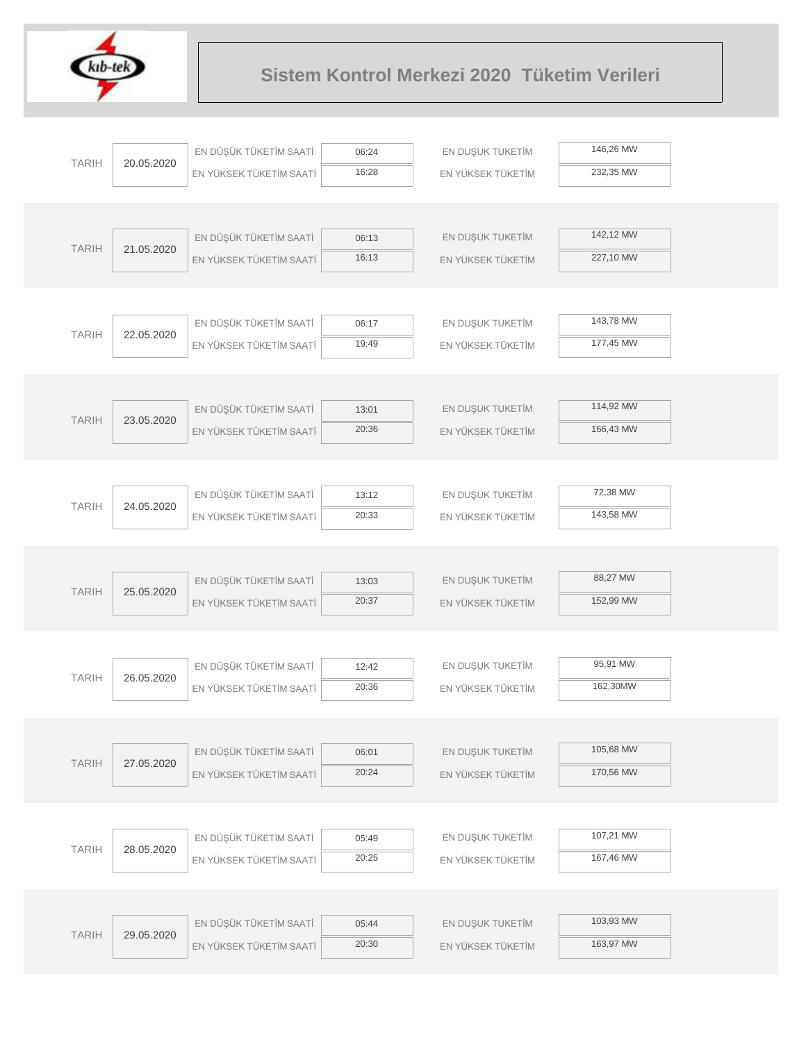

| 146,26 MW<br>EN DÜŞÜK TÜKETİM SAATİ<br>EN DUŞUK TUKETİM<br>06:24<br><b>TARIH</b><br>20.05.2020<br>16:28<br>232,35 MW<br>EN YÜKSEK TÜKETİM SAATİ<br>EN YÜKSEK TÜKETİM<br>142,12 MW<br>EN DÜŞÜK TÜKETİM SAATİ<br>EN DUŞUK TUKETİM<br>06:13<br><b>TARIH</b><br>21.05.2020<br>16:13<br>227,10 MW<br>EN YÜKSEK TÜKETİM SAATİ<br>EN YÜKSEK TÜKETİM<br>143,78 MW<br>EN DÜŞÜK TÜKETİM SAATİ<br>EN DUŞUK TUKETİM<br>06:17<br><b>TARIH</b><br>22.05.2020<br>177,45 MW<br>19:49<br>EN YÜKSEK TÜKETİM SAATİ<br>EN YÜKSEK TÜKETİM<br>114,92 MW<br>EN DÜŞÜK TÜKETİM SAATİ<br>EN DUŞUK TUKETİM<br>13:01<br><b>TARIH</b><br>23.05.2020<br>20:36<br>166,43 MW<br>EN YÜKSEK TÜKETİM SAATİ<br>EN YÜKSEK TÜKETİM<br>72,38 MW<br>EN DÜŞÜK TÜKETİM SAATİ<br>EN DUŞUK TUKETİM<br>13:12<br><b>TARIH</b><br>24.05.2020<br>20:33<br>143,58 MW<br>EN YÜKSEK TÜKETİM SAATİ<br>EN YÜKSEK TÜKETİM<br>88,27 MW<br>EN DÜŞÜK TÜKETİM SAATİ<br>EN DUŞUK TUKETİM<br>13:03<br><b>TARIH</b><br>25.05.2020<br>20:37<br>152,99 MW<br>EN YÜKSEK TÜKETİM SAATİ<br>EN YÜKSEK TÜKETİM<br>95,91 MW<br>EN DÜŞÜK TÜKETİM SAATİ<br>EN DUŞUK TUKETİM<br>12:42<br><b>TARIH</b><br>26.05.2020<br>20:36<br>162,30MW<br>EN YÜKSEK TÜKETİM SAATİ<br>EN YÜKSEK TÜKETİM<br>105,68 MW<br>EN DÜŞÜK TÜKETİM SAATİ<br>EN DUŞUK TUKETİM<br>06:01<br><b>TARIH</b><br>27.05.2020<br>170,56 MW<br>20:24<br>EN YÜKSEK TÜKETİM SAATİ<br>EN YÜKSEK TÜKETİM<br>107,21 MW<br>EN DÜŞÜK TÜKETİM SAATİ<br>EN DUŞUK TUKETİM<br>05:49<br><b>TARIH</b><br>28.05.2020<br>167,46 MW<br>20:25<br>EN YÜKSEK TÜKETİM SAATİ<br>EN YÜKSEK TÜKETİM<br>103,93 MW<br>EN DÜŞÜK TÜKETİM SAATİ<br>EN DUŞUK TUKETİM<br>05:44<br><b>TARIH</b><br>29.05.2020<br>163,97 MW<br>20:30<br>EN YÜKSEK TÜKETİM SAATİ<br>EN YÜKSEK TÜKETİM |  |  |  |  |
|------------------------------------------------------------------------------------------------------------------------------------------------------------------------------------------------------------------------------------------------------------------------------------------------------------------------------------------------------------------------------------------------------------------------------------------------------------------------------------------------------------------------------------------------------------------------------------------------------------------------------------------------------------------------------------------------------------------------------------------------------------------------------------------------------------------------------------------------------------------------------------------------------------------------------------------------------------------------------------------------------------------------------------------------------------------------------------------------------------------------------------------------------------------------------------------------------------------------------------------------------------------------------------------------------------------------------------------------------------------------------------------------------------------------------------------------------------------------------------------------------------------------------------------------------------------------------------------------------------------------------------------------------------------------------------------------------------------------------------------|--|--|--|--|
|                                                                                                                                                                                                                                                                                                                                                                                                                                                                                                                                                                                                                                                                                                                                                                                                                                                                                                                                                                                                                                                                                                                                                                                                                                                                                                                                                                                                                                                                                                                                                                                                                                                                                                                                          |  |  |  |  |
|                                                                                                                                                                                                                                                                                                                                                                                                                                                                                                                                                                                                                                                                                                                                                                                                                                                                                                                                                                                                                                                                                                                                                                                                                                                                                                                                                                                                                                                                                                                                                                                                                                                                                                                                          |  |  |  |  |
|                                                                                                                                                                                                                                                                                                                                                                                                                                                                                                                                                                                                                                                                                                                                                                                                                                                                                                                                                                                                                                                                                                                                                                                                                                                                                                                                                                                                                                                                                                                                                                                                                                                                                                                                          |  |  |  |  |
|                                                                                                                                                                                                                                                                                                                                                                                                                                                                                                                                                                                                                                                                                                                                                                                                                                                                                                                                                                                                                                                                                                                                                                                                                                                                                                                                                                                                                                                                                                                                                                                                                                                                                                                                          |  |  |  |  |
|                                                                                                                                                                                                                                                                                                                                                                                                                                                                                                                                                                                                                                                                                                                                                                                                                                                                                                                                                                                                                                                                                                                                                                                                                                                                                                                                                                                                                                                                                                                                                                                                                                                                                                                                          |  |  |  |  |
|                                                                                                                                                                                                                                                                                                                                                                                                                                                                                                                                                                                                                                                                                                                                                                                                                                                                                                                                                                                                                                                                                                                                                                                                                                                                                                                                                                                                                                                                                                                                                                                                                                                                                                                                          |  |  |  |  |
|                                                                                                                                                                                                                                                                                                                                                                                                                                                                                                                                                                                                                                                                                                                                                                                                                                                                                                                                                                                                                                                                                                                                                                                                                                                                                                                                                                                                                                                                                                                                                                                                                                                                                                                                          |  |  |  |  |
|                                                                                                                                                                                                                                                                                                                                                                                                                                                                                                                                                                                                                                                                                                                                                                                                                                                                                                                                                                                                                                                                                                                                                                                                                                                                                                                                                                                                                                                                                                                                                                                                                                                                                                                                          |  |  |  |  |
|                                                                                                                                                                                                                                                                                                                                                                                                                                                                                                                                                                                                                                                                                                                                                                                                                                                                                                                                                                                                                                                                                                                                                                                                                                                                                                                                                                                                                                                                                                                                                                                                                                                                                                                                          |  |  |  |  |
|                                                                                                                                                                                                                                                                                                                                                                                                                                                                                                                                                                                                                                                                                                                                                                                                                                                                                                                                                                                                                                                                                                                                                                                                                                                                                                                                                                                                                                                                                                                                                                                                                                                                                                                                          |  |  |  |  |
|                                                                                                                                                                                                                                                                                                                                                                                                                                                                                                                                                                                                                                                                                                                                                                                                                                                                                                                                                                                                                                                                                                                                                                                                                                                                                                                                                                                                                                                                                                                                                                                                                                                                                                                                          |  |  |  |  |
|                                                                                                                                                                                                                                                                                                                                                                                                                                                                                                                                                                                                                                                                                                                                                                                                                                                                                                                                                                                                                                                                                                                                                                                                                                                                                                                                                                                                                                                                                                                                                                                                                                                                                                                                          |  |  |  |  |
|                                                                                                                                                                                                                                                                                                                                                                                                                                                                                                                                                                                                                                                                                                                                                                                                                                                                                                                                                                                                                                                                                                                                                                                                                                                                                                                                                                                                                                                                                                                                                                                                                                                                                                                                          |  |  |  |  |
|                                                                                                                                                                                                                                                                                                                                                                                                                                                                                                                                                                                                                                                                                                                                                                                                                                                                                                                                                                                                                                                                                                                                                                                                                                                                                                                                                                                                                                                                                                                                                                                                                                                                                                                                          |  |  |  |  |
|                                                                                                                                                                                                                                                                                                                                                                                                                                                                                                                                                                                                                                                                                                                                                                                                                                                                                                                                                                                                                                                                                                                                                                                                                                                                                                                                                                                                                                                                                                                                                                                                                                                                                                                                          |  |  |  |  |
|                                                                                                                                                                                                                                                                                                                                                                                                                                                                                                                                                                                                                                                                                                                                                                                                                                                                                                                                                                                                                                                                                                                                                                                                                                                                                                                                                                                                                                                                                                                                                                                                                                                                                                                                          |  |  |  |  |
|                                                                                                                                                                                                                                                                                                                                                                                                                                                                                                                                                                                                                                                                                                                                                                                                                                                                                                                                                                                                                                                                                                                                                                                                                                                                                                                                                                                                                                                                                                                                                                                                                                                                                                                                          |  |  |  |  |
|                                                                                                                                                                                                                                                                                                                                                                                                                                                                                                                                                                                                                                                                                                                                                                                                                                                                                                                                                                                                                                                                                                                                                                                                                                                                                                                                                                                                                                                                                                                                                                                                                                                                                                                                          |  |  |  |  |
|                                                                                                                                                                                                                                                                                                                                                                                                                                                                                                                                                                                                                                                                                                                                                                                                                                                                                                                                                                                                                                                                                                                                                                                                                                                                                                                                                                                                                                                                                                                                                                                                                                                                                                                                          |  |  |  |  |
|                                                                                                                                                                                                                                                                                                                                                                                                                                                                                                                                                                                                                                                                                                                                                                                                                                                                                                                                                                                                                                                                                                                                                                                                                                                                                                                                                                                                                                                                                                                                                                                                                                                                                                                                          |  |  |  |  |
|                                                                                                                                                                                                                                                                                                                                                                                                                                                                                                                                                                                                                                                                                                                                                                                                                                                                                                                                                                                                                                                                                                                                                                                                                                                                                                                                                                                                                                                                                                                                                                                                                                                                                                                                          |  |  |  |  |
|                                                                                                                                                                                                                                                                                                                                                                                                                                                                                                                                                                                                                                                                                                                                                                                                                                                                                                                                                                                                                                                                                                                                                                                                                                                                                                                                                                                                                                                                                                                                                                                                                                                                                                                                          |  |  |  |  |
|                                                                                                                                                                                                                                                                                                                                                                                                                                                                                                                                                                                                                                                                                                                                                                                                                                                                                                                                                                                                                                                                                                                                                                                                                                                                                                                                                                                                                                                                                                                                                                                                                                                                                                                                          |  |  |  |  |
|                                                                                                                                                                                                                                                                                                                                                                                                                                                                                                                                                                                                                                                                                                                                                                                                                                                                                                                                                                                                                                                                                                                                                                                                                                                                                                                                                                                                                                                                                                                                                                                                                                                                                                                                          |  |  |  |  |
|                                                                                                                                                                                                                                                                                                                                                                                                                                                                                                                                                                                                                                                                                                                                                                                                                                                                                                                                                                                                                                                                                                                                                                                                                                                                                                                                                                                                                                                                                                                                                                                                                                                                                                                                          |  |  |  |  |
|                                                                                                                                                                                                                                                                                                                                                                                                                                                                                                                                                                                                                                                                                                                                                                                                                                                                                                                                                                                                                                                                                                                                                                                                                                                                                                                                                                                                                                                                                                                                                                                                                                                                                                                                          |  |  |  |  |
|                                                                                                                                                                                                                                                                                                                                                                                                                                                                                                                                                                                                                                                                                                                                                                                                                                                                                                                                                                                                                                                                                                                                                                                                                                                                                                                                                                                                                                                                                                                                                                                                                                                                                                                                          |  |  |  |  |
|                                                                                                                                                                                                                                                                                                                                                                                                                                                                                                                                                                                                                                                                                                                                                                                                                                                                                                                                                                                                                                                                                                                                                                                                                                                                                                                                                                                                                                                                                                                                                                                                                                                                                                                                          |  |  |  |  |
|                                                                                                                                                                                                                                                                                                                                                                                                                                                                                                                                                                                                                                                                                                                                                                                                                                                                                                                                                                                                                                                                                                                                                                                                                                                                                                                                                                                                                                                                                                                                                                                                                                                                                                                                          |  |  |  |  |
|                                                                                                                                                                                                                                                                                                                                                                                                                                                                                                                                                                                                                                                                                                                                                                                                                                                                                                                                                                                                                                                                                                                                                                                                                                                                                                                                                                                                                                                                                                                                                                                                                                                                                                                                          |  |  |  |  |
|                                                                                                                                                                                                                                                                                                                                                                                                                                                                                                                                                                                                                                                                                                                                                                                                                                                                                                                                                                                                                                                                                                                                                                                                                                                                                                                                                                                                                                                                                                                                                                                                                                                                                                                                          |  |  |  |  |
|                                                                                                                                                                                                                                                                                                                                                                                                                                                                                                                                                                                                                                                                                                                                                                                                                                                                                                                                                                                                                                                                                                                                                                                                                                                                                                                                                                                                                                                                                                                                                                                                                                                                                                                                          |  |  |  |  |
|                                                                                                                                                                                                                                                                                                                                                                                                                                                                                                                                                                                                                                                                                                                                                                                                                                                                                                                                                                                                                                                                                                                                                                                                                                                                                                                                                                                                                                                                                                                                                                                                                                                                                                                                          |  |  |  |  |
|                                                                                                                                                                                                                                                                                                                                                                                                                                                                                                                                                                                                                                                                                                                                                                                                                                                                                                                                                                                                                                                                                                                                                                                                                                                                                                                                                                                                                                                                                                                                                                                                                                                                                                                                          |  |  |  |  |
|                                                                                                                                                                                                                                                                                                                                                                                                                                                                                                                                                                                                                                                                                                                                                                                                                                                                                                                                                                                                                                                                                                                                                                                                                                                                                                                                                                                                                                                                                                                                                                                                                                                                                                                                          |  |  |  |  |
|                                                                                                                                                                                                                                                                                                                                                                                                                                                                                                                                                                                                                                                                                                                                                                                                                                                                                                                                                                                                                                                                                                                                                                                                                                                                                                                                                                                                                                                                                                                                                                                                                                                                                                                                          |  |  |  |  |
|                                                                                                                                                                                                                                                                                                                                                                                                                                                                                                                                                                                                                                                                                                                                                                                                                                                                                                                                                                                                                                                                                                                                                                                                                                                                                                                                                                                                                                                                                                                                                                                                                                                                                                                                          |  |  |  |  |
|                                                                                                                                                                                                                                                                                                                                                                                                                                                                                                                                                                                                                                                                                                                                                                                                                                                                                                                                                                                                                                                                                                                                                                                                                                                                                                                                                                                                                                                                                                                                                                                                                                                                                                                                          |  |  |  |  |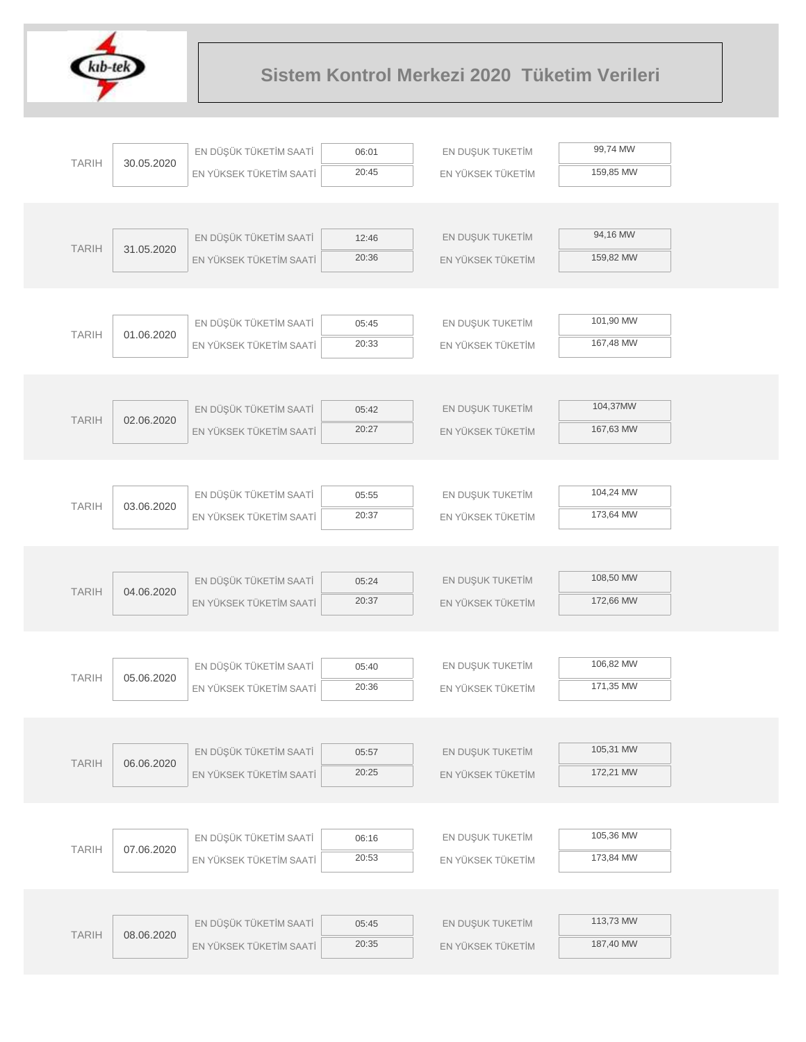

|              |            | EN DÜŞÜK TÜKETİM SAATİ  | 06:01 | EN DUŞUK TUKETİM  | 99,74 MW  |
|--------------|------------|-------------------------|-------|-------------------|-----------|
| <b>TARIH</b> | 30.05.2020 | EN YÜKSEK TÜKETİM SAATİ | 20:45 | EN YÜKSEK TÜKETİM | 159,85 MW |
|              |            |                         |       |                   |           |
|              |            |                         |       |                   |           |
|              |            | EN DÜŞÜK TÜKETİM SAATİ  | 12:46 | EN DUŞUK TUKETİM  | 94,16 MW  |
| <b>TARIH</b> | 31.05.2020 | EN YÜKSEK TÜKETİM SAATİ | 20:36 | EN YÜKSEK TÜKETİM | 159,82 MW |
|              |            |                         |       |                   |           |
|              |            |                         |       |                   |           |
| <b>TARIH</b> | 01.06.2020 | EN DÜŞÜK TÜKETİM SAATİ  | 05:45 | EN DUŞUK TUKETİM  | 101,90 MW |
|              |            | EN YÜKSEK TÜKETİM SAATİ | 20:33 | EN YÜKSEK TÜKETİM | 167,48 MW |
|              |            |                         |       |                   |           |
|              |            |                         |       |                   |           |
| <b>TARIH</b> | 02.06.2020 | EN DÜŞÜK TÜKETİM SAATİ  | 05:42 | EN DUŞUK TUKETİM  | 104,37MW  |
|              |            | EN YÜKSEK TÜKETİM SAATİ | 20:27 | EN YÜKSEK TÜKETİM | 167,63 MW |
|              |            |                         |       |                   |           |
|              |            |                         |       |                   |           |
| <b>TARIH</b> | 03.06.2020 | EN DÜŞÜK TÜKETİM SAATİ  | 05:55 | EN DUŞUK TUKETİM  | 104,24 MW |
|              |            | EN YÜKSEK TÜKETİM SAATİ | 20:37 | EN YÜKSEK TÜKETİM | 173,64 MW |
|              |            |                         |       |                   |           |
|              |            |                         |       |                   |           |
| <b>TARIH</b> | 04.06.2020 | EN DÜŞÜK TÜKETİM SAATİ  | 05:24 | EN DUŞUK TUKETİM  | 108,50 MW |
|              |            | EN YÜKSEK TÜKETİM SAATİ | 20:37 | EN YÜKSEK TÜKETİM | 172,66 MW |
|              |            |                         |       |                   |           |
|              |            | EN DÜŞÜK TÜKETİM SAATİ  | 05:40 | EN DUŞUK TUKETİM  | 106,82 MW |
| <b>TARIH</b> | 05.06.2020 | EN YÜKSEK TÜKETİM SAATİ | 20:36 | EN YÜKSEK TÜKETİM | 171,35 MW |
|              |            |                         |       |                   |           |
|              |            |                         |       |                   |           |
|              |            | EN DÜŞÜK TÜKETİM SAATİ  | 05:57 | EN DUŞUK TUKETİM  | 105,31 MW |
| <b>TARIH</b> | 06.06.2020 | EN YÜKSEK TÜKETİM SAATİ | 20:25 | EN YÜKSEK TÜKETİM | 172,21 MW |
|              |            |                         |       |                   |           |
|              |            |                         |       |                   |           |
|              |            | EN DÜŞÜK TÜKETİM SAATİ  | 06:16 | EN DUŞUK TUKETİM  | 105,36 MW |
| <b>TARIH</b> | 07.06.2020 | EN YÜKSEK TÜKETİM SAATİ | 20:53 | EN YÜKSEK TÜKETİM | 173,84 MW |
|              |            |                         |       |                   |           |
|              |            |                         |       |                   |           |
|              |            | EN DÜŞÜK TÜKETİM SAATİ  | 05:45 | EN DUŞUK TUKETİM  | 113,73 MW |
| <b>TARIH</b> | 08.06.2020 | EN YÜKSEK TÜKETİM SAATİ | 20:35 | EN YÜKSEK TÜKETİM | 187,40 MW |
|              |            |                         |       |                   |           |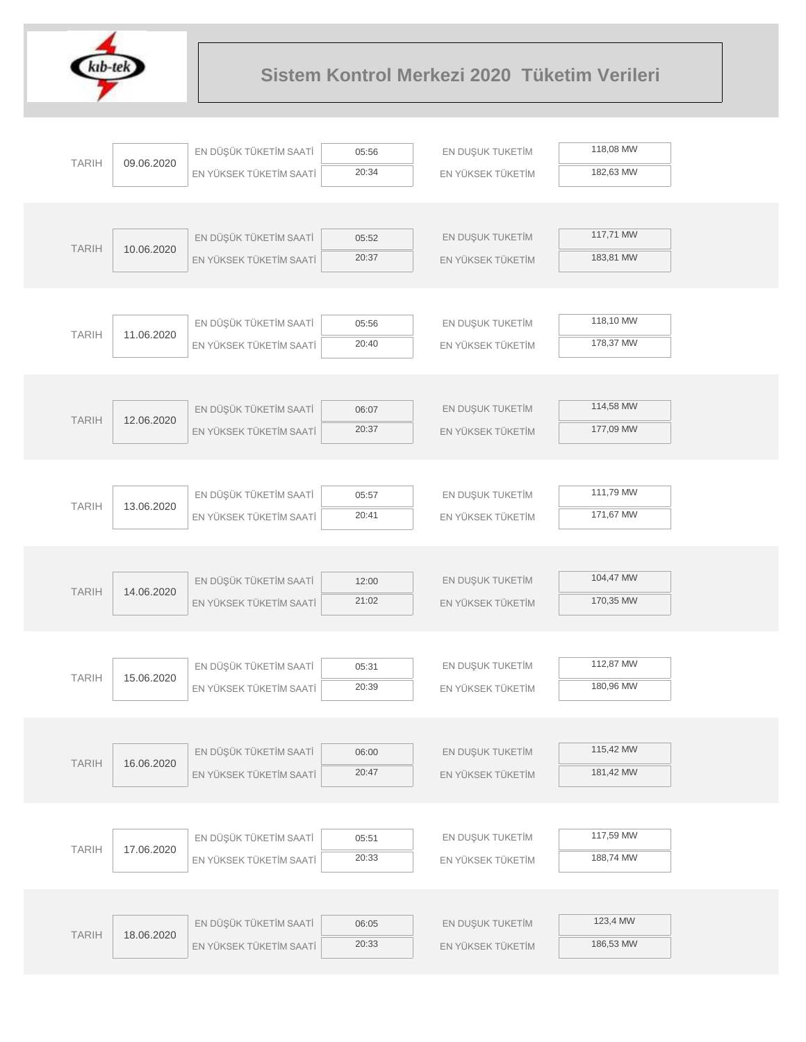

| 118,08 MW<br>EN DÜŞÜK TÜKETİM SAATİ<br>EN DUŞUK TUKETİM<br>05:56<br><b>TARIH</b><br>09.06.2020<br>182,63 MW<br>20:34<br>EN YÜKSEK TÜKETİM<br>EN YÜKSEK TÜKETİM SAATİ |  |
|----------------------------------------------------------------------------------------------------------------------------------------------------------------------|--|
|                                                                                                                                                                      |  |
|                                                                                                                                                                      |  |
|                                                                                                                                                                      |  |
|                                                                                                                                                                      |  |
| 117,71 MW<br>EN DÜŞÜK TÜKETİM SAATİ<br>EN DUŞUK TUKETİM<br>05:52<br><b>TARIH</b><br>10.06.2020                                                                       |  |
| 20:37<br>183,81 MW<br>EN YÜKSEK TÜKETİM SAATİ<br>EN YÜKSEK TÜKETİM                                                                                                   |  |
|                                                                                                                                                                      |  |
|                                                                                                                                                                      |  |
| 118,10 MW<br>EN DUŞUK TUKETİM<br>EN DÜŞÜK TÜKETİM SAATİ<br>05:56<br><b>TARIH</b><br>11.06.2020                                                                       |  |
| 20:40<br>178,37 MW<br>EN YÜKSEK TÜKETİM SAATİ<br>EN YÜKSEK TÜKETİM                                                                                                   |  |
|                                                                                                                                                                      |  |
|                                                                                                                                                                      |  |
| 114,58 MW<br>EN DÜŞÜK TÜKETİM SAATİ<br>EN DUŞUK TUKETİM<br>06:07<br><b>TARIH</b><br>12.06.2020                                                                       |  |
| 177,09 MW<br>20:37<br>EN YÜKSEK TÜKETİM SAATİ<br>EN YÜKSEK TÜKETİM                                                                                                   |  |
|                                                                                                                                                                      |  |
|                                                                                                                                                                      |  |
| 111,79 MW<br>EN DÜŞÜK TÜKETİM SAATİ<br>EN DUŞUK TUKETİM<br>05:57<br><b>TARIH</b><br>13.06.2020                                                                       |  |
| 20:41<br>171,67 MW<br>EN YÜKSEK TÜKETİM SAATİ<br>EN YÜKSEK TÜKETİM                                                                                                   |  |
|                                                                                                                                                                      |  |
|                                                                                                                                                                      |  |
| 104,47 MW<br>EN DÜŞÜK TÜKETİM SAATİ<br>EN DUŞUK TUKETİM<br>12:00<br><b>TARIH</b><br>14.06.2020                                                                       |  |
| 21:02<br>170,35 MW<br>EN YÜKSEK TÜKETİM SAATİ<br>EN YÜKSEK TÜKETİM                                                                                                   |  |
|                                                                                                                                                                      |  |
| 112,87 MW                                                                                                                                                            |  |
| EN DÜŞÜK TÜKETİM SAATİ<br>EN DUŞUK TUKETİM<br>05:31<br><b>TARIH</b><br>15.06.2020                                                                                    |  |
| 20:39<br>180,96 MW<br>EN YÜKSEK TÜKETİM SAATİ<br>EN YÜKSEK TÜKETİM                                                                                                   |  |
|                                                                                                                                                                      |  |
| 115,42 MW                                                                                                                                                            |  |
| EN DÜŞÜK TÜKETİM SAATİ<br>EN DUŞUK TUKETİM<br>06:00<br><b>TARIH</b><br>16.06.2020<br>181,42 MW<br>20:47<br>EN YÜKSEK TÜKETİM SAATİ                                   |  |
| EN YÜKSEK TÜKETİM                                                                                                                                                    |  |
|                                                                                                                                                                      |  |
| 117,59 MW<br>EN DÜŞÜK TÜKETİM SAATİ<br>EN DUŞUK TUKETİM<br>05:51                                                                                                     |  |
| <b>TARIH</b><br>17.06.2020<br>188,74 MW<br>20:33<br>EN YÜKSEK TÜKETİM SAATİ<br>EN YÜKSEK TÜKETİM                                                                     |  |
|                                                                                                                                                                      |  |
|                                                                                                                                                                      |  |
|                                                                                                                                                                      |  |
| 123,4 MW                                                                                                                                                             |  |
| EN DÜŞÜK TÜKETİM SAATİ<br>EN DUŞUK TUKETİM<br>06:05<br><b>TARIH</b><br>18.06.2020<br>186,53 MW<br>20:33<br>EN YÜKSEK TÜKETİM SAATİ<br>EN YÜKSEK TÜKETİM              |  |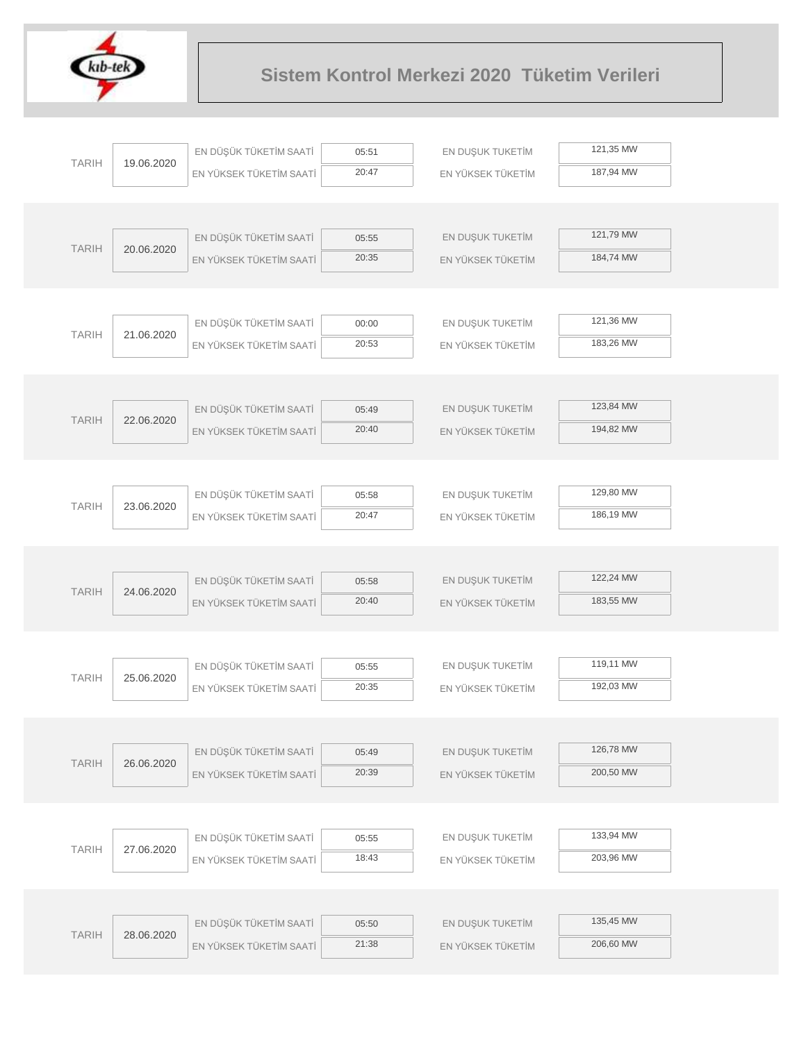

|  |              |            | EN DÜŞÜK TÜKETİM SAATİ  | 05:51          | EN DUŞUK TUKETİM  | 121,35 MW |
|--|--------------|------------|-------------------------|----------------|-------------------|-----------|
|  | <b>TARIH</b> | 19.06.2020 | EN YÜKSEK TÜKETİM SAATİ | 20:47          | EN YÜKSEK TÜKETİM | 187,94 MW |
|  |              |            |                         |                |                   |           |
|  |              |            |                         |                |                   |           |
|  | <b>TARIH</b> |            | EN DÜŞÜK TÜKETİM SAATİ  | 05:55          | EN DUŞUK TUKETİM  | 121,79 MW |
|  |              | 20.06.2020 | EN YÜKSEK TÜKETİM SAATİ | 20:35          | EN YÜKSEK TÜKETİM | 184,74 MW |
|  |              |            |                         |                |                   |           |
|  |              |            |                         |                |                   |           |
|  | <b>TARIH</b> | 21.06.2020 | EN DÜŞÜK TÜKETİM SAATİ  | 00:00          | EN DUŞUK TUKETİM  | 121,36 MW |
|  |              |            | EN YÜKSEK TÜKETİM SAATİ | 20:53          | EN YÜKSEK TÜKETİM | 183,26 MW |
|  |              |            |                         |                |                   |           |
|  |              |            |                         |                |                   |           |
|  | <b>TARIH</b> | 22.06.2020 | EN DÜŞÜK TÜKETİM SAATİ  | 05:49          | EN DUŞUK TUKETİM  | 123,84 MW |
|  |              |            | EN YÜKSEK TÜKETİM SAATİ | 20:40          | EN YÜKSEK TÜKETİM | 194,82 MW |
|  |              |            |                         |                |                   |           |
|  |              |            |                         |                |                   | 129,80 MW |
|  | <b>TARIH</b> | 23.06.2020 | EN DÜŞÜK TÜKETİM SAATİ  | 05:58<br>20:47 | EN DUŞUK TUKETİM  | 186,19 MW |
|  |              |            | EN YÜKSEK TÜKETİM SAATİ |                | EN YÜKSEK TÜKETİM |           |
|  |              |            |                         |                |                   |           |
|  |              |            | EN DÜŞÜK TÜKETİM SAATİ  | 05:58          | EN DUŞUK TUKETİM  | 122,24 MW |
|  | <b>TARIH</b> | 24.06.2020 | EN YÜKSEK TÜKETİM SAATİ | 20:40          | EN YÜKSEK TÜKETİM | 183,55 MW |
|  |              |            |                         |                |                   |           |
|  |              |            |                         |                |                   |           |
|  |              |            | EN DÜŞÜK TÜKETİM SAATİ  | 05:55          | EN DUŞUK TUKETİM  | 119,11 MW |
|  | <b>TARIH</b> | 25.06.2020 | EN YÜKSEK TÜKETİM SAATİ | 20:35          | EN YÜKSEK TÜKETİM | 192,03 MW |
|  |              |            |                         |                |                   |           |
|  |              |            |                         |                |                   |           |
|  | <b>TARIH</b> | 26.06.2020 | EN DÜŞÜK TÜKETİM SAATİ  | 05:49          | EN DUŞUK TUKETİM  | 126,78 MW |
|  |              |            | EN YÜKSEK TÜKETİM SAATİ | 20:39          | EN YÜKSEK TÜKETİM | 200,50 MW |
|  |              |            |                         |                |                   |           |
|  |              |            |                         |                |                   |           |
|  | <b>TARIH</b> | 27.06.2020 | EN DÜŞÜK TÜKETİM SAATİ  | 05:55          | EN DUŞUK TUKETİM  | 133,94 MW |
|  |              |            | EN YÜKSEK TÜKETİM SAATİ | 18:43          | EN YÜKSEK TÜKETİM | 203,96 MW |
|  |              |            |                         |                |                   |           |
|  |              |            |                         |                |                   |           |
|  | <b>TARIH</b> | 28.06.2020 | EN DÜŞÜK TÜKETİM SAATİ  | 05:50          | EN DUŞUK TUKETİM  | 135,45 MW |
|  |              |            | EN YÜKSEK TÜKETİM SAATİ | 21:38          | EN YÜKSEK TÜKETİM | 206,60 MW |
|  |              |            |                         |                |                   |           |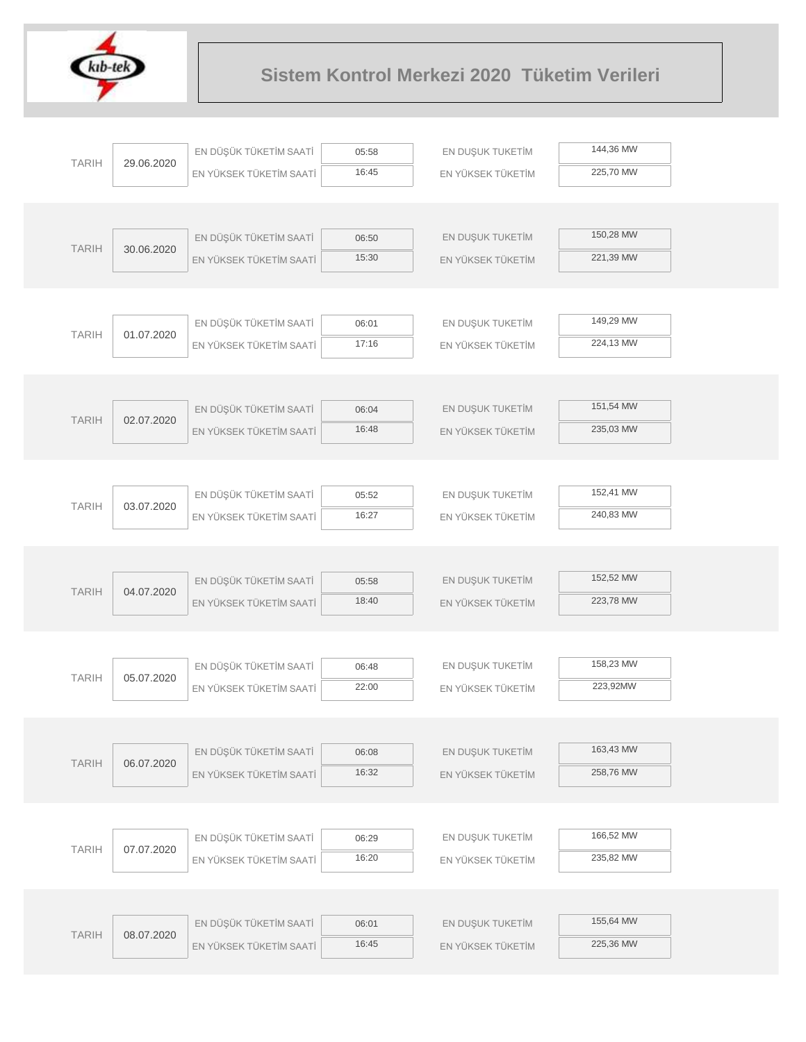

| <b>TARIH</b> | 29.06.2020 | EN DÜŞÜK TÜKETİM SAATİ  | 05:58 | EN DUŞUK TUKETİM  | 144,36 MW |  |
|--------------|------------|-------------------------|-------|-------------------|-----------|--|
|              |            | EN YÜKSEK TÜKETİM SAATİ | 16:45 | EN YÜKSEK TÜKETİM | 225,70 MW |  |
|              |            |                         |       |                   |           |  |
|              |            |                         |       |                   |           |  |
| <b>TARIH</b> | 30.06.2020 | EN DÜŞÜK TÜKETİM SAATİ  | 06:50 | EN DUŞUK TUKETİM  | 150,28 MW |  |
|              |            | EN YÜKSEK TÜKETİM SAATİ | 15:30 | EN YÜKSEK TÜKETİM | 221,39 MW |  |
|              |            |                         |       |                   |           |  |
|              |            |                         |       |                   |           |  |
|              |            | EN DÜŞÜK TÜKETİM SAATİ  | 06:01 | EN DUŞUK TUKETİM  | 149,29 MW |  |
| <b>TARIH</b> | 01.07.2020 | EN YÜKSEK TÜKETİM SAATİ | 17:16 | EN YÜKSEK TÜKETİM | 224,13 MW |  |
|              |            |                         |       |                   |           |  |
|              |            |                         |       |                   |           |  |
|              |            | EN DÜŞÜK TÜKETİM SAATİ  | 06:04 | EN DUŞUK TUKETİM  | 151,54 MW |  |
| <b>TARIH</b> | 02.07.2020 | EN YÜKSEK TÜKETİM SAATİ | 16:48 | EN YÜKSEK TÜKETİM | 235,03 MW |  |
|              |            |                         |       |                   |           |  |
|              |            |                         |       |                   |           |  |
|              |            | EN DÜŞÜK TÜKETİM SAATİ  | 05:52 | EN DUŞUK TUKETİM  | 152,41 MW |  |
| <b>TARIH</b> | 03.07.2020 | EN YÜKSEK TÜKETİM SAATİ | 16:27 | EN YÜKSEK TÜKETİM | 240,83 MW |  |
|              |            |                         |       |                   |           |  |
|              |            |                         |       |                   |           |  |
|              |            | EN DÜŞÜK TÜKETİM SAATİ  | 05:58 | EN DUŞUK TUKETİM  | 152,52 MW |  |
| <b>TARIH</b> | 04.07.2020 | EN YÜKSEK TÜKETİM SAATİ | 18:40 | EN YÜKSEK TÜKETİM | 223,78 MW |  |
|              |            |                         |       |                   |           |  |
|              |            |                         |       |                   |           |  |
|              |            | EN DÜŞÜK TÜKETİM SAATİ  | 06:48 | EN DUŞUK TUKETİM  | 158,23 MW |  |
| <b>TARIH</b> | 05.07.2020 | EN YÜKSEK TÜKETİM SAATİ | 22:00 | EN YÜKSEK TÜKETİM | 223,92MW  |  |
|              |            |                         |       |                   |           |  |
|              |            |                         |       |                   |           |  |
|              |            | EN DÜŞÜK TÜKETİM SAATİ  | 06:08 | EN DUŞUK TUKETİM  | 163,43 MW |  |
| <b>TARIH</b> | 06.07.2020 | EN YÜKSEK TÜKETİM SAATİ | 16:32 | EN YÜKSEK TÜKETİM | 258,76 MW |  |
|              |            |                         |       |                   |           |  |
|              |            |                         |       |                   |           |  |
|              |            | EN DÜŞÜK TÜKETİM SAATİ  | 06:29 | EN DUŞUK TUKETİM  | 166,52 MW |  |
| <b>TARIH</b> | 07.07.2020 | EN YÜKSEK TÜKETİM SAATİ | 16:20 | EN YÜKSEK TÜKETİM | 235,82 MW |  |
|              |            |                         |       |                   |           |  |
|              |            |                         |       |                   |           |  |
|              |            | EN DÜŞÜK TÜKETİM SAATİ  | 06:01 | EN DUŞUK TUKETİM  | 155,64 MW |  |
| <b>TARIH</b> | 08.07.2020 | EN YÜKSEK TÜKETİM SAATİ | 16:45 | EN YÜKSEK TÜKETİM | 225,36 MW |  |
|              |            |                         |       |                   |           |  |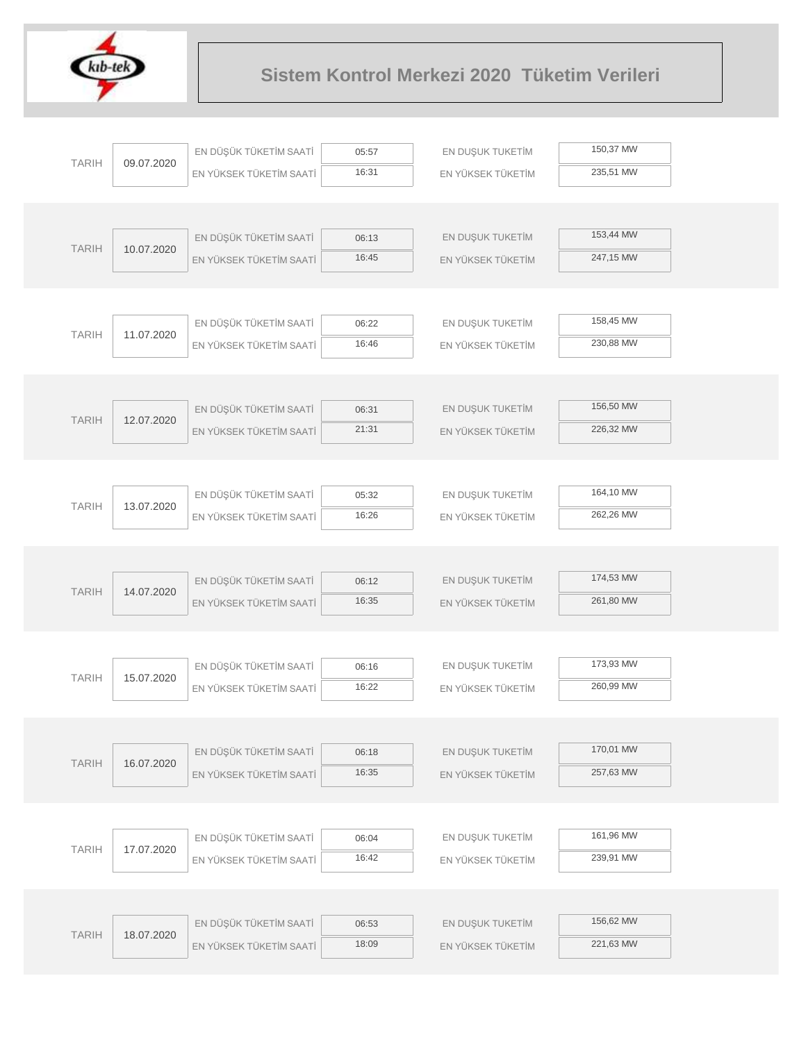

|              |            | EN DÜŞÜK TÜKETİM SAATİ  | 05:57          | EN DUŞUK TUKETİM  | 150,37 MW |  |
|--------------|------------|-------------------------|----------------|-------------------|-----------|--|
| <b>TARIH</b> | 09.07.2020 | EN YÜKSEK TÜKETİM SAATİ | 16:31          | EN YÜKSEK TÜKETİM | 235,51 MW |  |
|              |            |                         |                |                   |           |  |
|              |            |                         |                |                   |           |  |
| <b>TARIH</b> |            | EN DÜŞÜK TÜKETİM SAATİ  | 06:13          | EN DUŞUK TUKETİM  | 153,44 MW |  |
|              | 10.07.2020 | EN YÜKSEK TÜKETİM SAATİ | 16:45          | EN YÜKSEK TÜKETİM | 247,15 MW |  |
|              |            |                         |                |                   |           |  |
|              |            |                         |                |                   |           |  |
| <b>TARIH</b> | 11.07.2020 | EN DÜŞÜK TÜKETİM SAATİ  | 06:22          | EN DUŞUK TUKETİM  | 158,45 MW |  |
|              |            | EN YÜKSEK TÜKETİM SAATİ | 16:46          | EN YÜKSEK TÜKETİM | 230,88 MW |  |
|              |            |                         |                |                   |           |  |
|              |            |                         |                |                   |           |  |
| <b>TARIH</b> | 12.07.2020 | EN DÜŞÜK TÜKETİM SAATİ  | 06:31          | EN DUŞUK TUKETİM  | 156,50 MW |  |
|              |            | EN YÜKSEK TÜKETİM SAATİ | 21:31          | EN YÜKSEK TÜKETİM | 226,32 MW |  |
|              |            |                         |                |                   |           |  |
|              |            |                         |                |                   |           |  |
| <b>TARIH</b> | 13.07.2020 | EN DÜŞÜK TÜKETİM SAATİ  | 05:32          | EN DUŞUK TUKETİM  | 164,10 MW |  |
|              |            | EN YÜKSEK TÜKETİM SAATİ | 16:26          | EN YÜKSEK TÜKETİM | 262,26 MW |  |
|              |            |                         |                |                   |           |  |
|              |            |                         |                |                   |           |  |
| <b>TARIH</b> | 14.07.2020 | EN DÜŞÜK TÜKETİM SAATİ  | 06:12          | EN DUŞUK TUKETİM  | 174,53 MW |  |
|              |            | EN YÜKSEK TÜKETİM SAATİ | 16:35          | EN YÜKSEK TÜKETİM | 261,80 MW |  |
|              |            |                         |                |                   |           |  |
|              |            |                         |                |                   | 173,93 MW |  |
| <b>TARIH</b> | 15.07.2020 | EN DÜŞÜK TÜKETİM SAATİ  | 06:16<br>16:22 | EN DUŞUK TUKETİM  | 260,99 MW |  |
|              |            | EN YÜKSEK TÜKETİM SAATİ |                | EN YÜKSEK TÜKETİM |           |  |
|              |            |                         |                |                   |           |  |
|              |            | EN DÜŞÜK TÜKETİM SAATİ  | 06:18          | EN DUŞUK TUKETİM  | 170,01 MW |  |
| <b>TARIH</b> | 16.07.2020 | EN YÜKSEK TÜKETİM SAATİ | 16:35          | EN YÜKSEK TÜKETİM | 257,63 MW |  |
|              |            |                         |                |                   |           |  |
|              |            |                         |                |                   |           |  |
|              |            | EN DÜŞÜK TÜKETİM SAATİ  | 06:04          | EN DUŞUK TUKETİM  | 161,96 MW |  |
| <b>TARIH</b> | 17.07.2020 | EN YÜKSEK TÜKETİM SAATİ | 16:42          | EN YÜKSEK TÜKETİM | 239,91 MW |  |
|              |            |                         |                |                   |           |  |
|              |            |                         |                |                   |           |  |
|              |            | EN DÜŞÜK TÜKETİM SAATİ  | 06:53          | EN DUŞUK TUKETİM  | 156,62 MW |  |
| <b>TARIH</b> | 18.07.2020 | EN YÜKSEK TÜKETİM SAATİ | 18:09          | EN YÜKSEK TÜKETİM | 221,63 MW |  |
|              |            |                         |                |                   |           |  |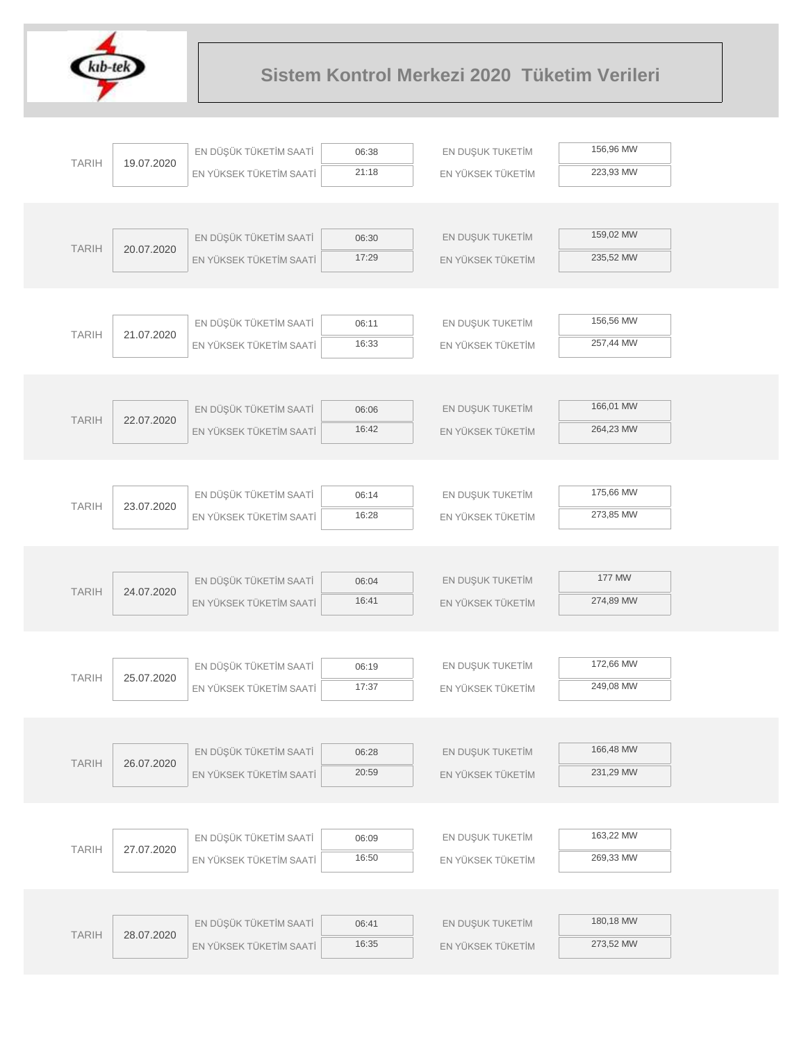

|              |            | EN DÜŞÜK TÜKETİM SAATİ  |                | EN DUŞUK TUKETİM  | 156,96 MW |  |
|--------------|------------|-------------------------|----------------|-------------------|-----------|--|
| <b>TARIH</b> | 19.07.2020 |                         | 06:38<br>21:18 |                   | 223,93 MW |  |
|              |            | EN YÜKSEK TÜKETİM SAATİ |                | EN YÜKSEK TÜKETİM |           |  |
|              |            |                         |                |                   |           |  |
|              |            | EN DÜŞÜK TÜKETİM SAATİ  | 06:30          | EN DUŞUK TUKETİM  | 159,02 MW |  |
| <b>TARIH</b> | 20.07.2020 | EN YÜKSEK TÜKETİM SAATİ | 17:29          | EN YÜKSEK TÜKETİM | 235,52 MW |  |
|              |            |                         |                |                   |           |  |
|              |            |                         |                |                   |           |  |
|              |            | EN DÜŞÜK TÜKETİM SAATİ  | 06:11          | EN DUŞUK TUKETİM  | 156,56 MW |  |
| <b>TARIH</b> | 21.07.2020 | EN YÜKSEK TÜKETİM SAATİ | 16:33          | EN YÜKSEK TÜKETİM | 257,44 MW |  |
|              |            |                         |                |                   |           |  |
|              |            |                         |                |                   |           |  |
|              |            | EN DÜŞÜK TÜKETİM SAATİ  | 06:06          | EN DUŞUK TUKETİM  | 166,01 MW |  |
| <b>TARIH</b> | 22.07.2020 | EN YÜKSEK TÜKETİM SAATİ | 16:42          | EN YÜKSEK TÜKETİM | 264,23 MW |  |
|              |            |                         |                |                   |           |  |
|              |            |                         |                |                   |           |  |
|              |            | EN DÜŞÜK TÜKETİM SAATİ  | 06:14          | EN DUŞUK TUKETİM  | 175,66 MW |  |
| <b>TARIH</b> | 23.07.2020 | EN YÜKSEK TÜKETİM SAATİ | 16:28          | EN YÜKSEK TÜKETİM | 273,85 MW |  |
|              |            |                         |                |                   |           |  |
|              |            |                         |                |                   |           |  |
|              |            | EN DÜŞÜK TÜKETİM SAATİ  | 06:04          | EN DUŞUK TUKETİM  | 177 MW    |  |
| <b>TARIH</b> | 24.07.2020 | EN YÜKSEK TÜKETİM SAATİ | 16:41          | EN YÜKSEK TÜKETİM | 274,89 MW |  |
|              |            |                         |                |                   |           |  |
|              |            |                         |                |                   |           |  |
| <b>TARIH</b> | 25.07.2020 | EN DÜŞÜK TÜKETİM SAATİ  | 06:19          | EN DUŞUK TUKETİM  | 172,66 MW |  |
|              |            | EN YÜKSEK TÜKETİM SAATİ | 17:37          | EN YÜKSEK TÜKETİM | 249,08 MW |  |
|              |            |                         |                |                   |           |  |
|              |            |                         |                |                   |           |  |
| <b>TARIH</b> | 26.07.2020 | EN DÜŞÜK TÜKETİM SAATİ  | 06:28          | EN DUŞUK TUKETİM  | 166,48 MW |  |
|              |            | EN YÜKSEK TÜKETİM SAATİ | 20:59          | EN YÜKSEK TÜKETİM | 231,29 MW |  |
|              |            |                         |                |                   |           |  |
|              |            |                         |                |                   |           |  |
| <b>TARIH</b> | 27.07.2020 | EN DÜŞÜK TÜKETİM SAATİ  | 06:09          | EN DUŞUK TUKETİM  | 163,22 MW |  |
|              |            | EN YÜKSEK TÜKETİM SAATİ | 16:50          | EN YÜKSEK TÜKETİM | 269,33 MW |  |
|              |            |                         |                |                   |           |  |
|              |            |                         |                |                   | 180,18 MW |  |
| <b>TARIH</b> | 28.07.2020 | EN DÜŞÜK TÜKETİM SAATİ  | 06:41          | EN DUŞUK TUKETİM  | 273,52 MW |  |
|              |            | EN YÜKSEK TÜKETİM SAATİ | 16:35          | EN YÜKSEK TÜKETİM |           |  |
|              |            |                         |                |                   |           |  |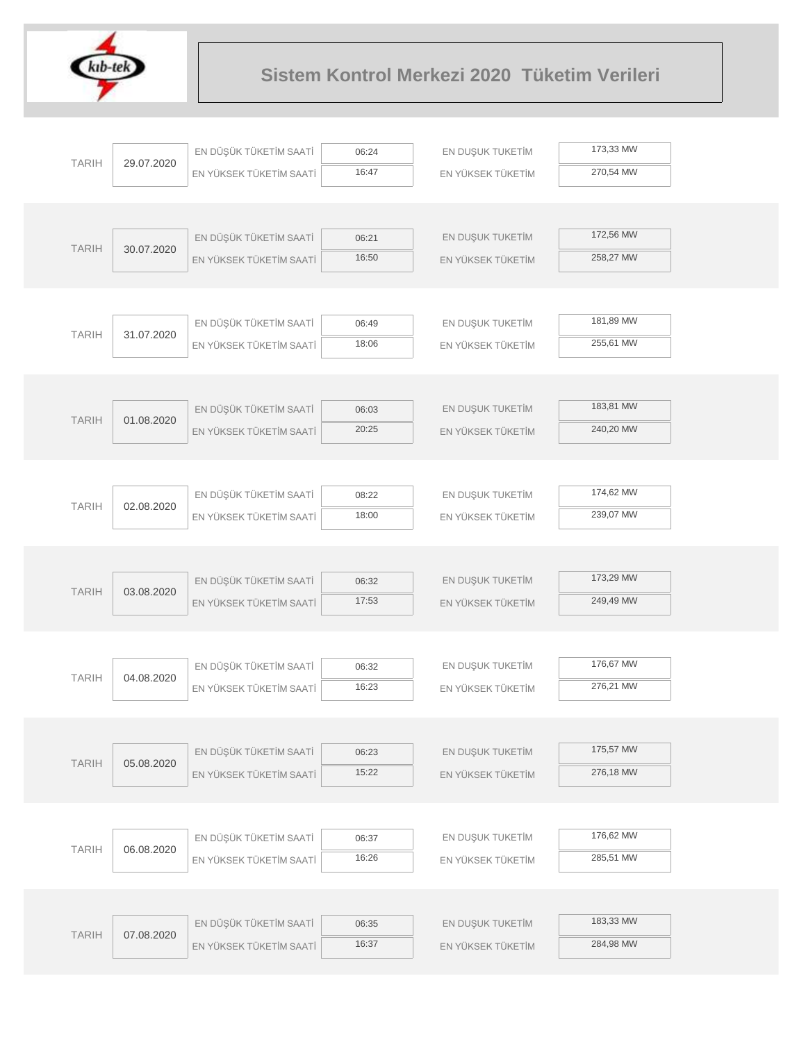

|              |            | EN DÜŞÜK TÜKETİM SAATİ                            | 06:24          | EN DUŞUK TUKETİM  | 173,33 MW |
|--------------|------------|---------------------------------------------------|----------------|-------------------|-----------|
| <b>TARIH</b> | 29.07.2020 | EN YÜKSEK TÜKETİM SAATİ                           | 16:47          | EN YÜKSEK TÜKETİM | 270,54 MW |
|              |            |                                                   |                |                   |           |
|              |            |                                                   |                |                   |           |
| <b>TARIH</b> | 30.07.2020 | EN DÜŞÜK TÜKETİM SAATİ                            | 06:21          | EN DUŞUK TUKETİM  | 172,56 MW |
|              |            | EN YÜKSEK TÜKETİM SAATİ                           | 16:50          | EN YÜKSEK TÜKETİM | 258,27 MW |
|              |            |                                                   |                |                   |           |
|              |            |                                                   |                |                   |           |
| <b>TARIH</b> | 31.07.2020 | EN DÜŞÜK TÜKETİM SAATİ                            | 06:49          | EN DUŞUK TUKETİM  | 181,89 MW |
|              |            | EN YÜKSEK TÜKETİM SAATİ                           | 18:06          | EN YÜKSEK TÜKETİM | 255,61 MW |
|              |            |                                                   |                |                   |           |
|              |            |                                                   |                |                   |           |
| <b>TARIH</b> | 01.08.2020 | EN DÜŞÜK TÜKETİM SAATİ                            | 06:03          | EN DUŞUK TUKETİM  | 183,81 MW |
|              |            | EN YÜKSEK TÜKETİM SAATİ                           | 20:25          | EN YÜKSEK TÜKETİM | 240,20 MW |
|              |            |                                                   |                |                   |           |
|              |            |                                                   |                |                   |           |
| <b>TARIH</b> | 02.08.2020 | EN DÜŞÜK TÜKETİM SAATİ                            | 08:22          | EN DUŞUK TUKETİM  | 174,62 MW |
|              |            | EN YÜKSEK TÜKETİM SAATİ                           | 18:00          | EN YÜKSEK TÜKETİM | 239,07 MW |
|              |            |                                                   |                |                   |           |
|              |            |                                                   |                | EN DUŞUK TUKETİM  | 173,29 MW |
| <b>TARIH</b> | 03.08.2020 | EN DÜŞÜK TÜKETİM SAATİ<br>EN YÜKSEK TÜKETİM SAATİ | 06:32<br>17:53 | EN YÜKSEK TÜKETİM | 249,49 MW |
|              |            |                                                   |                |                   |           |
|              |            |                                                   |                |                   |           |
|              |            | EN DÜŞÜK TÜKETİM SAATİ                            | 06:32          | EN DUŞUK TUKETİM  | 176,67 MW |
| <b>TARIH</b> | 04.08.2020 | EN YÜKSEK TÜKETİM SAATİ                           | 16:23          | EN YÜKSEK TÜKETİM | 276,21 MW |
|              |            |                                                   |                |                   |           |
|              |            |                                                   |                |                   |           |
|              |            | EN DÜŞÜK TÜKETİM SAATİ                            | 06:23          | EN DUŞUK TUKETİM  | 175,57 MW |
| <b>TARIH</b> | 05.08.2020 | EN YÜKSEK TÜKETİM SAATİ                           | 15:22          | EN YÜKSEK TÜKETİM | 276,18 MW |
|              |            |                                                   |                |                   |           |
|              |            |                                                   |                |                   |           |
|              |            | EN DÜŞÜK TÜKETİM SAATİ                            | 06:37          | EN DUŞUK TUKETİM  | 176,62 MW |
| <b>TARIH</b> | 06.08.2020 | EN YÜKSEK TÜKETİM SAATİ                           | 16:26          | EN YÜKSEK TÜKETİM | 285,51 MW |
|              |            |                                                   |                |                   |           |
|              |            |                                                   |                |                   |           |
| <b>TARIH</b> | 07.08.2020 | EN DÜŞÜK TÜKETİM SAATİ                            | 06:35          | EN DUŞUK TUKETİM  | 183,33 MW |
|              |            | EN YÜKSEK TÜKETİM SAATİ                           | 16:37          | EN YÜKSEK TÜKETİM | 284,98 MW |
|              |            |                                                   |                |                   |           |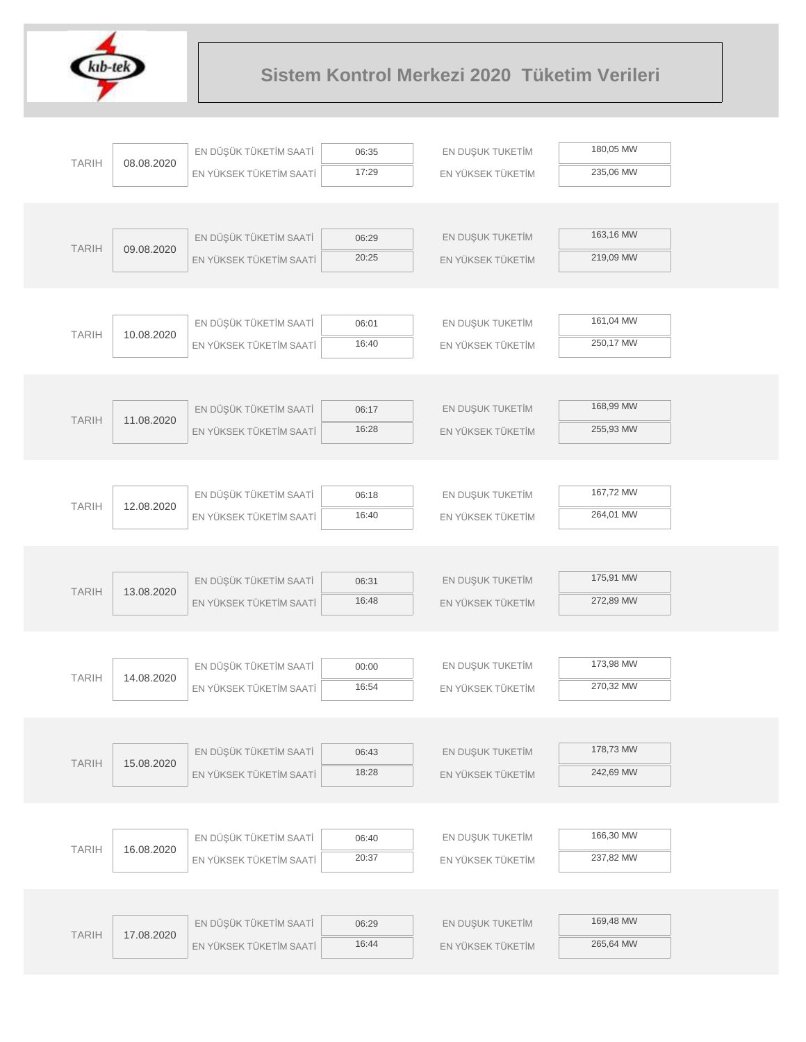

|              |            | EN DÜŞÜK TÜKETİM SAATİ  | 06:35          | EN DUŞUK TUKETİM  | 180,05 MW |  |
|--------------|------------|-------------------------|----------------|-------------------|-----------|--|
| <b>TARIH</b> | 08.08.2020 | EN YÜKSEK TÜKETİM SAATİ | 17:29          | EN YÜKSEK TÜKETİM | 235,06 MW |  |
|              |            |                         |                |                   |           |  |
|              |            |                         |                |                   |           |  |
| <b>TARIH</b> | 09.08.2020 | EN DÜŞÜK TÜKETİM SAATİ  | 06:29          | EN DUŞUK TUKETİM  | 163,16 MW |  |
|              |            | EN YÜKSEK TÜKETİM SAATİ | 20:25          | EN YÜKSEK TÜKETİM | 219,09 MW |  |
|              |            |                         |                |                   |           |  |
|              |            |                         |                |                   |           |  |
| <b>TARIH</b> | 10.08.2020 | EN DÜŞÜK TÜKETİM SAATİ  | 06:01          | EN DUŞUK TUKETİM  | 161,04 MW |  |
|              |            | EN YÜKSEK TÜKETİM SAATİ | 16:40          | EN YÜKSEK TÜKETİM | 250,17 MW |  |
|              |            |                         |                |                   |           |  |
|              |            |                         |                |                   |           |  |
| <b>TARIH</b> | 11.08.2020 | EN DÜŞÜK TÜKETİM SAATİ  | 06:17          | EN DUŞUK TUKETİM  | 168,99 MW |  |
|              |            | EN YÜKSEK TÜKETİM SAATİ | 16:28          | EN YÜKSEK TÜKETİM | 255,93 MW |  |
|              |            |                         |                |                   |           |  |
|              |            |                         |                |                   |           |  |
| <b>TARIH</b> | 12.08.2020 | EN DÜŞÜK TÜKETİM SAATİ  | 06:18          | EN DUŞUK TUKETİM  | 167,72 MW |  |
|              |            | EN YÜKSEK TÜKETİM SAATİ | 16:40          | EN YÜKSEK TÜKETİM | 264,01 MW |  |
|              |            |                         |                |                   |           |  |
|              |            |                         |                |                   | 175,91 MW |  |
| <b>TARIH</b> | 13.08.2020 | EN DÜŞÜK TÜKETİM SAATİ  | 06:31<br>16:48 | EN DUŞUK TUKETİM  | 272,89 MW |  |
|              |            | EN YÜKSEK TÜKETİM SAATİ |                | EN YÜKSEK TÜKETİM |           |  |
|              |            |                         |                |                   |           |  |
|              |            | EN DÜŞÜK TÜKETİM SAATİ  | 00:00          | EN DUŞUK TUKETİM  | 173,98 MW |  |
| <b>TARIH</b> | 14.08.2020 | EN YÜKSEK TÜKETİM SAATİ | 16:54          | EN YÜKSEK TÜKETİM | 270,32 MW |  |
|              |            |                         |                |                   |           |  |
|              |            |                         |                |                   |           |  |
|              |            | EN DÜŞÜK TÜKETİM SAATİ  | 06:43          | EN DUŞUK TUKETİM  | 178,73 MW |  |
| <b>TARIH</b> | 15.08.2020 | EN YÜKSEK TÜKETİM SAATİ | 18:28          | EN YÜKSEK TÜKETİM | 242,69 MW |  |
|              |            |                         |                |                   |           |  |
|              |            |                         |                |                   |           |  |
|              |            | EN DÜŞÜK TÜKETİM SAATİ  | 06:40          | EN DUŞUK TUKETİM  | 166,30 MW |  |
| <b>TARIH</b> | 16.08.2020 | EN YÜKSEK TÜKETİM SAATİ | 20:37          | EN YÜKSEK TÜKETİM | 237,82 MW |  |
|              |            |                         |                |                   |           |  |
|              |            |                         |                |                   |           |  |
|              |            | EN DÜŞÜK TÜKETİM SAATİ  | 06:29          | EN DUŞUK TUKETİM  | 169,48 MW |  |
| <b>TARIH</b> | 17.08.2020 | EN YÜKSEK TÜKETİM SAATİ | 16:44          | EN YÜKSEK TÜKETİM | 265,64 MW |  |
|              |            |                         |                |                   |           |  |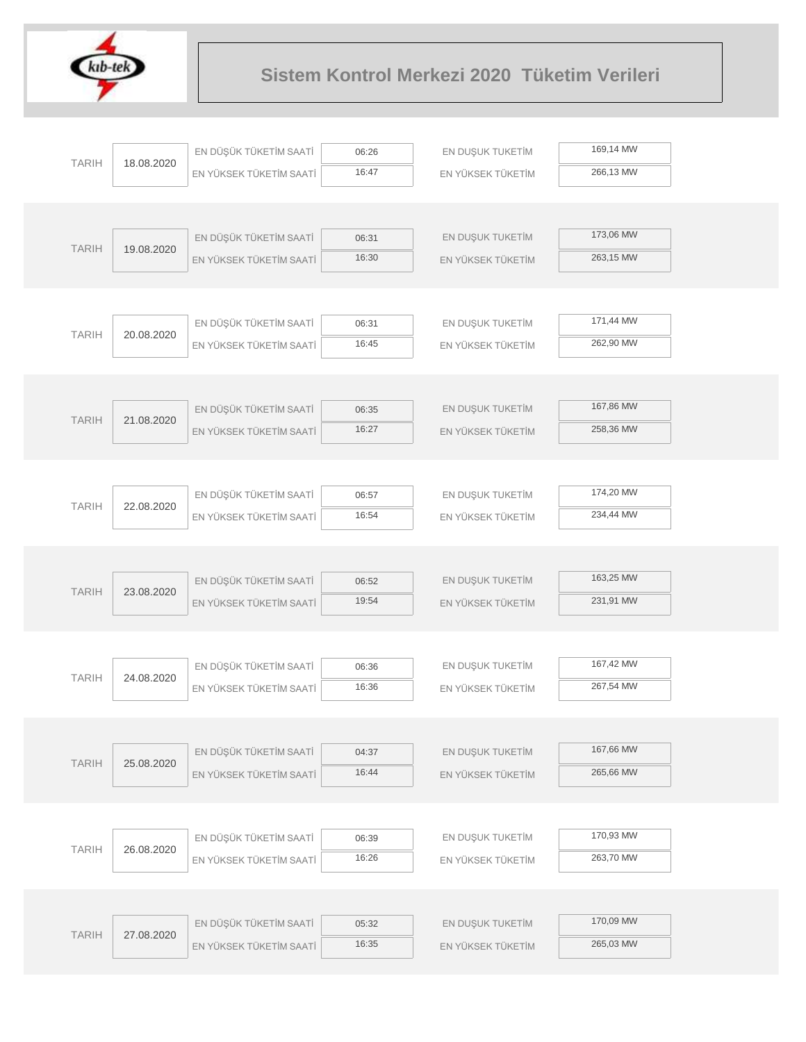

|              |            | EN DÜŞÜK TÜKETİM SAATİ  | 06:26 | EN DUŞUK TUKETİM  | 169,14 MW |
|--------------|------------|-------------------------|-------|-------------------|-----------|
| <b>TARIH</b> | 18.08.2020 | EN YÜKSEK TÜKETİM SAATİ | 16:47 | EN YÜKSEK TÜKETİM | 266,13 MW |
|              |            |                         |       |                   |           |
|              |            |                         |       |                   |           |
| <b>TARIH</b> | 19.08.2020 | EN DÜŞÜK TÜKETİM SAATİ  | 06:31 | EN DUŞUK TUKETİM  | 173,06 MW |
|              |            | EN YÜKSEK TÜKETİM SAATİ | 16:30 | EN YÜKSEK TÜKETİM | 263,15 MW |
|              |            |                         |       |                   |           |
|              |            |                         |       |                   |           |
| <b>TARIH</b> | 20.08.2020 | EN DÜŞÜK TÜKETİM SAATİ  | 06:31 | EN DUŞUK TUKETİM  | 171,44 MW |
|              |            | EN YÜKSEK TÜKETİM SAATİ | 16:45 | EN YÜKSEK TÜKETİM | 262,90 MW |
|              |            |                         |       |                   |           |
|              |            |                         |       |                   |           |
| <b>TARIH</b> | 21.08.2020 | EN DÜŞÜK TÜKETİM SAATİ  | 06:35 | EN DUŞUK TUKETİM  | 167,86 MW |
|              |            | EN YÜKSEK TÜKETİM SAATİ | 16:27 | EN YÜKSEK TÜKETİM | 258,36 MW |
|              |            |                         |       |                   |           |
|              |            | EN DÜŞÜK TÜKETİM SAATİ  | 06:57 | EN DUŞUK TUKETİM  | 174,20 MW |
| <b>TARIH</b> | 22.08.2020 | EN YÜKSEK TÜKETİM SAATİ | 16:54 | EN YÜKSEK TÜKETİM | 234,44 MW |
|              |            |                         |       |                   |           |
|              |            |                         |       |                   |           |
|              |            | EN DÜŞÜK TÜKETİM SAATİ  | 06:52 | EN DUŞUK TUKETİM  | 163,25 MW |
| <b>TARIH</b> | 23.08.2020 | EN YÜKSEK TÜKETİM SAATİ | 19:54 | EN YÜKSEK TÜKETİM | 231,91 MW |
|              |            |                         |       |                   |           |
|              |            |                         |       |                   |           |
|              |            | EN DÜŞÜK TÜKETİM SAATİ  | 06:36 | EN DUŞUK TUKETİM  | 167,42 MW |
| <b>TARIH</b> | 24.08.2020 | EN YÜKSEK TÜKETİM SAATİ | 16:36 | EN YÜKSEK TÜKETİM | 267,54 MW |
|              |            |                         |       |                   |           |
|              |            |                         |       |                   |           |
| <b>TARIH</b> | 25.08.2020 | EN DÜŞÜK TÜKETİM SAATİ  | 04:37 | EN DUŞUK TUKETİM  | 167,66 MW |
|              |            | EN YÜKSEK TÜKETİM SAATİ | 16:44 | EN YÜKSEK TÜKETİM | 265,66 MW |
|              |            |                         |       |                   |           |
|              |            |                         |       |                   |           |
| <b>TARIH</b> | 26.08.2020 | EN DÜŞÜK TÜKETİM SAATİ  | 06:39 | EN DUŞUK TUKETİM  | 170,93 MW |
|              |            | EN YÜKSEK TÜKETİM SAATİ | 16:26 | EN YÜKSEK TÜKETİM | 263,70 MW |
|              |            |                         |       |                   |           |
|              |            |                         |       |                   | 170,09 MW |
| <b>TARIH</b> | 27.08.2020 | EN DÜŞÜK TÜKETİM SAATİ  | 05:32 | EN DUŞUK TUKETİM  | 265,03 MW |
|              |            | EN YÜKSEK TÜKETİM SAATİ | 16:35 | EN YÜKSEK TÜKETİM |           |
|              |            |                         |       |                   |           |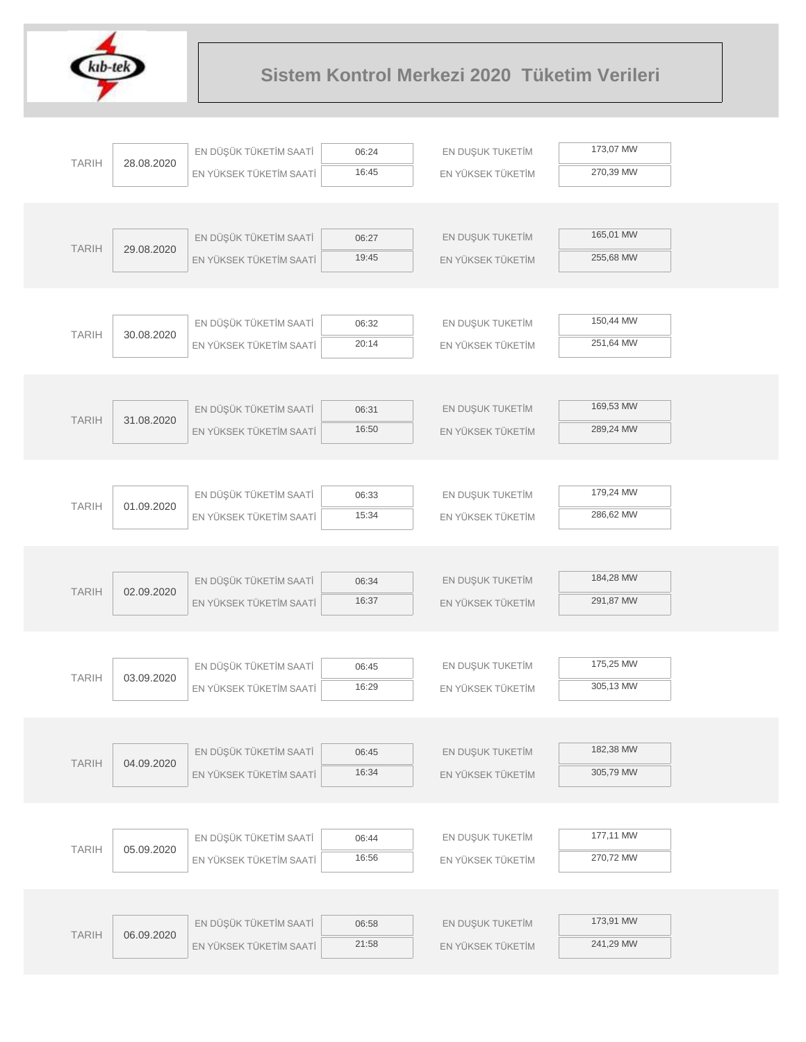

|              |            | EN DÜŞÜK TÜKETİM SAATİ  | 06:24          | EN DUŞUK TUKETİM  | 173,07 MW |  |
|--------------|------------|-------------------------|----------------|-------------------|-----------|--|
| <b>TARIH</b> | 28.08.2020 | EN YÜKSEK TÜKETİM SAATİ | 16:45          | EN YÜKSEK TÜKETİM | 270,39 MW |  |
|              |            |                         |                |                   |           |  |
|              |            |                         |                |                   |           |  |
| <b>TARIH</b> | 29.08.2020 | EN DÜŞÜK TÜKETİM SAATİ  | 06:27          | EN DUŞUK TUKETİM  | 165,01 MW |  |
|              |            | EN YÜKSEK TÜKETİM SAATİ | 19:45          | EN YÜKSEK TÜKETİM | 255,68 MW |  |
|              |            |                         |                |                   |           |  |
|              |            |                         |                |                   |           |  |
| <b>TARIH</b> | 30.08.2020 | EN DÜŞÜK TÜKETİM SAATİ  | 06:32          | EN DUŞUK TUKETİM  | 150,44 MW |  |
|              |            | EN YÜKSEK TÜKETİM SAATİ | 20:14          | EN YÜKSEK TÜKETİM | 251,64 MW |  |
|              |            |                         |                |                   |           |  |
|              |            |                         |                |                   |           |  |
| <b>TARIH</b> | 31.08.2020 | EN DÜŞÜK TÜKETİM SAATİ  | 06:31          | EN DUŞUK TUKETİM  | 169,53 MW |  |
|              |            | EN YÜKSEK TÜKETİM SAATİ | 16:50          | EN YÜKSEK TÜKETİM | 289,24 MW |  |
|              |            |                         |                |                   |           |  |
|              |            |                         |                |                   | 179,24 MW |  |
| <b>TARIH</b> | 01.09.2020 | EN DÜŞÜK TÜKETİM SAATİ  | 06:33<br>15:34 | EN DUŞUK TUKETİM  | 286,62 MW |  |
|              |            | EN YÜKSEK TÜKETİM SAATİ |                | EN YÜKSEK TÜKETİM |           |  |
|              |            |                         |                |                   |           |  |
|              |            | EN DÜŞÜK TÜKETİM SAATİ  | 06:34          | EN DUŞUK TUKETİM  | 184,28 MW |  |
| <b>TARIH</b> | 02.09.2020 | EN YÜKSEK TÜKETİM SAATİ | 16:37          | EN YÜKSEK TÜKETİM | 291,87 MW |  |
|              |            |                         |                |                   |           |  |
|              |            |                         |                |                   |           |  |
|              |            | EN DÜŞÜK TÜKETİM SAATİ  | 06:45          | EN DUŞUK TUKETİM  | 175,25 MW |  |
| <b>TARIH</b> | 03.09.2020 | EN YÜKSEK TÜKETİM SAATİ | 16:29          | EN YÜKSEK TÜKETİM | 305,13 MW |  |
|              |            |                         |                |                   |           |  |
|              |            |                         |                |                   |           |  |
|              |            | EN DÜŞÜK TÜKETİM SAATİ  | 06:45          | EN DUŞUK TUKETİM  | 182,38 MW |  |
| <b>TARIH</b> | 04.09.2020 | EN YÜKSEK TÜKETİM SAATİ | 16:34          | EN YÜKSEK TÜKETİM | 305,79 MW |  |
|              |            |                         |                |                   |           |  |
|              |            |                         |                |                   |           |  |
| <b>TARIH</b> |            | EN DÜŞÜK TÜKETİM SAATİ  | 06:44          | EN DUŞUK TUKETİM  | 177,11 MW |  |
|              | 05.09.2020 | EN YÜKSEK TÜKETİM SAATİ | 16:56          | EN YÜKSEK TÜKETİM | 270,72 MW |  |
|              |            |                         |                |                   |           |  |
|              |            |                         |                |                   |           |  |
| <b>TARIH</b> | 06.09.2020 | EN DÜŞÜK TÜKETİM SAATİ  | 06:58          | EN DUŞUK TUKETİM  | 173,91 MW |  |
|              |            | EN YÜKSEK TÜKETİM SAATİ | 21:58          | EN YÜKSEK TÜKETİM | 241,29 MW |  |
|              |            |                         |                |                   |           |  |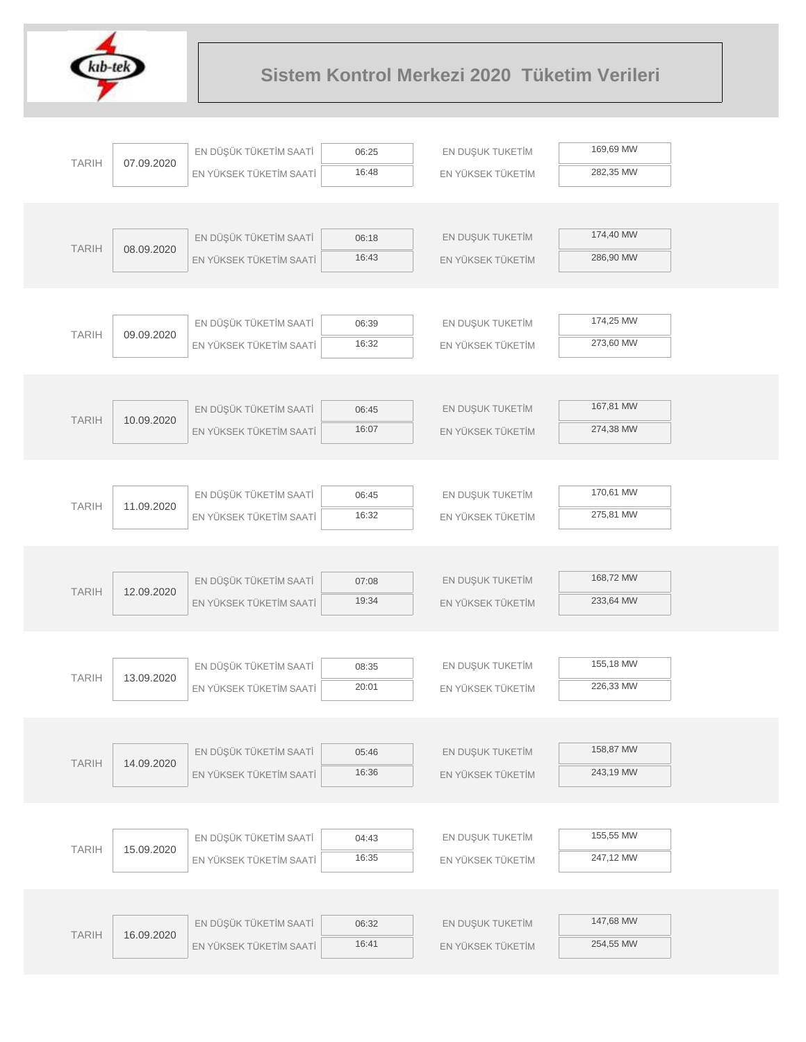

|              |            | EN DÜŞÜK TÜKETİM SAATİ  | 06:25          | EN DUŞUK TUKETİM  | 169,69 MW |  |
|--------------|------------|-------------------------|----------------|-------------------|-----------|--|
| <b>TARIH</b> | 07.09.2020 | EN YÜKSEK TÜKETİM SAATİ | 16:48          | EN YÜKSEK TÜKETİM | 282,35 MW |  |
|              |            |                         |                |                   |           |  |
|              |            |                         |                |                   |           |  |
| <b>TARIH</b> | 08.09.2020 | EN DÜŞÜK TÜKETİM SAATİ  | 06:18          | EN DUŞUK TUKETİM  | 174,40 MW |  |
|              |            | EN YÜKSEK TÜKETİM SAATİ | 16:43          | EN YÜKSEK TÜKETİM | 286,90 MW |  |
|              |            |                         |                |                   |           |  |
|              |            |                         |                |                   |           |  |
| <b>TARIH</b> | 09.09.2020 | EN DÜŞÜK TÜKETİM SAATİ  | 06:39          | EN DUŞUK TUKETİM  | 174,25 MW |  |
|              |            | EN YÜKSEK TÜKETİM SAATİ | 16:32          | EN YÜKSEK TÜKETİM | 273,60 MW |  |
|              |            |                         |                |                   |           |  |
|              |            |                         |                |                   |           |  |
| <b>TARIH</b> | 10.09.2020 | EN DÜŞÜK TÜKETİM SAATİ  | 06:45          | EN DUŞUK TUKETİM  | 167,81 MW |  |
|              |            | EN YÜKSEK TÜKETİM SAATİ | 16:07          | EN YÜKSEK TÜKETİM | 274,38 MW |  |
|              |            |                         |                |                   |           |  |
|              |            |                         |                |                   |           |  |
| <b>TARIH</b> | 11.09.2020 | EN DÜŞÜK TÜKETİM SAATİ  | 06:45          | EN DUŞUK TUKETİM  | 170,61 MW |  |
|              |            | EN YÜKSEK TÜKETİM SAATİ | 16:32          | EN YÜKSEK TÜKETİM | 275,81 MW |  |
|              |            |                         |                |                   |           |  |
|              |            |                         |                |                   | 168,72 MW |  |
| <b>TARIH</b> | 12.09.2020 | EN DÜŞÜK TÜKETİM SAATİ  | 07:08          | EN DUŞUK TUKETİM  |           |  |
|              |            | EN YÜKSEK TÜKETİM SAATİ | 19:34          | EN YÜKSEK TÜKETİM | 233,64 MW |  |
|              |            |                         |                |                   |           |  |
|              |            | EN DÜŞÜK TÜKETİM SAATİ  |                | EN DUŞUK TUKETİM  | 155,18 MW |  |
| <b>TARIH</b> | 13.09.2020 | EN YÜKSEK TÜKETİM SAATİ | 08:35<br>20:01 | EN YÜKSEK TÜKETİM | 226,33 MW |  |
|              |            |                         |                |                   |           |  |
|              |            |                         |                |                   |           |  |
|              |            | EN DÜŞÜK TÜKETİM SAATİ  | 05:46          | EN DUŞUK TUKETİM  | 158,87 MW |  |
| <b>TARIH</b> | 14.09.2020 | EN YÜKSEK TÜKETİM SAATİ | 16:36          | EN YÜKSEK TÜKETİM | 243,19 MW |  |
|              |            |                         |                |                   |           |  |
|              |            |                         |                |                   |           |  |
|              |            | EN DÜŞÜK TÜKETİM SAATİ  | 04:43          | EN DUŞUK TUKETİM  | 155,55 MW |  |
| <b>TARIH</b> | 15.09.2020 | EN YÜKSEK TÜKETİM SAATİ | 16:35          | EN YÜKSEK TÜKETİM | 247,12 MW |  |
|              |            |                         |                |                   |           |  |
|              |            |                         |                |                   |           |  |
|              |            | EN DÜŞÜK TÜKETİM SAATİ  | 06:32          | EN DUŞUK TUKETİM  | 147,68 MW |  |
| <b>TARIH</b> | 16.09.2020 | EN YÜKSEK TÜKETİM SAATİ | 16:41          | EN YÜKSEK TÜKETİM | 254,55 MW |  |
|              |            |                         |                |                   |           |  |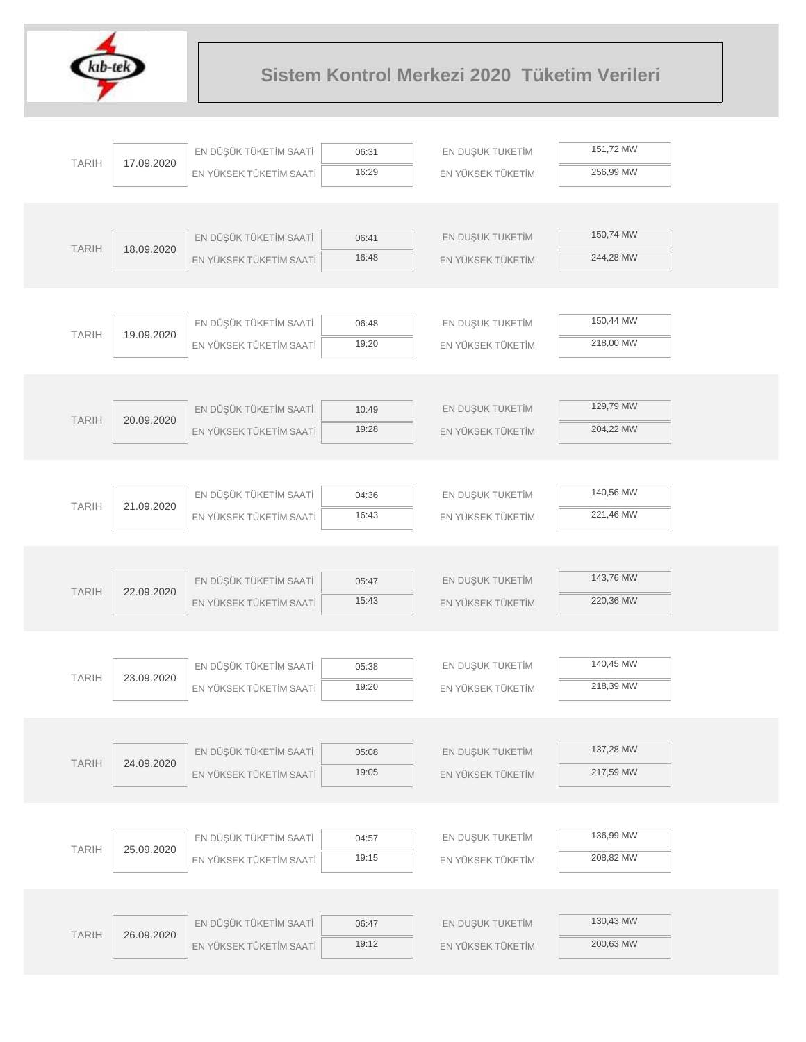

| <b>TARIH</b> |            | EN DÜŞÜK TÜKETİM SAATİ  | 06:31          | EN DUŞUK TUKETİM  | 151,72 MW |  |
|--------------|------------|-------------------------|----------------|-------------------|-----------|--|
|              | 17.09.2020 | EN YÜKSEK TÜKETİM SAATİ | 16:29          | EN YÜKSEK TÜKETİM | 256,99 MW |  |
|              |            |                         |                |                   |           |  |
|              |            |                         |                |                   |           |  |
| <b>TARIH</b> | 18.09.2020 | EN DÜŞÜK TÜKETİM SAATİ  | 06:41          | EN DUŞUK TUKETİM  | 150,74 MW |  |
|              |            | EN YÜKSEK TÜKETİM SAATİ | 16:48          | EN YÜKSEK TÜKETİM | 244,28 MW |  |
|              |            |                         |                |                   |           |  |
|              |            |                         |                |                   |           |  |
| <b>TARIH</b> | 19.09.2020 | EN DÜŞÜK TÜKETİM SAATİ  | 06:48          | EN DUŞUK TUKETİM  | 150,44 MW |  |
|              |            | EN YÜKSEK TÜKETİM SAATİ | 19:20          | EN YÜKSEK TÜKETİM | 218,00 MW |  |
|              |            |                         |                |                   |           |  |
|              |            |                         |                |                   | 129,79 MW |  |
| <b>TARIH</b> | 20.09.2020 | EN DÜŞÜK TÜKETİM SAATİ  | 10:49<br>19:28 | EN DUŞUK TUKETİM  | 204,22 MW |  |
|              |            | EN YÜKSEK TÜKETİM SAATİ |                | EN YÜKSEK TÜKETİM |           |  |
|              |            |                         |                |                   |           |  |
|              |            | EN DÜŞÜK TÜKETİM SAATİ  | 04:36          | EN DUŞUK TUKETİM  | 140,56 MW |  |
| <b>TARIH</b> | 21.09.2020 | EN YÜKSEK TÜKETİM SAATİ | 16:43          | EN YÜKSEK TÜKETİM | 221,46 MW |  |
|              |            |                         |                |                   |           |  |
|              |            |                         |                |                   |           |  |
|              |            | EN DÜŞÜK TÜKETİM SAATİ  | 05:47          | EN DUŞUK TUKETİM  | 143,76 MW |  |
| <b>TARIH</b> | 22.09.2020 | EN YÜKSEK TÜKETİM SAATİ | 15:43          | EN YÜKSEK TÜKETİM | 220,36 MW |  |
|              |            |                         |                |                   |           |  |
|              |            |                         |                |                   |           |  |
| <b>TARIH</b> | 23.09.2020 | EN DÜŞÜK TÜKETİM SAATİ  | 05:38          | EN DUŞUK TUKETİM  | 140,45 MW |  |
|              |            | EN YÜKSEK TÜKETİM SAATİ | 19:20          | EN YÜKSEK TÜKETİM | 218,39 MW |  |
|              |            |                         |                |                   |           |  |
|              |            |                         |                |                   |           |  |
| <b>TARIH</b> | 24.09.2020 | EN DÜŞÜK TÜKETİM SAATİ  | 05:08          | EN DUŞUK TUKETİM  | 137,28 MW |  |
|              |            | EN YÜKSEK TÜKETİM SAATİ | 19:05          | EN YÜKSEK TÜKETİM | 217,59 MW |  |
|              |            |                         |                |                   |           |  |
|              |            | EN DÜŞÜK TÜKETİM SAATİ  | 04:57          | EN DUŞUK TUKETİM  | 136,99 MW |  |
| <b>TARIH</b> | 25.09.2020 | EN YÜKSEK TÜKETİM SAATİ | 19:15          | EN YÜKSEK TÜKETİM | 208,82 MW |  |
|              |            |                         |                |                   |           |  |
|              |            |                         |                |                   |           |  |
|              |            | EN DÜŞÜK TÜKETİM SAATİ  | 06:47          | EN DUŞUK TUKETİM  | 130,43 MW |  |
| <b>TARIH</b> | 26.09.2020 | EN YÜKSEK TÜKETİM SAATİ | 19:12          | EN YÜKSEK TÜKETİM | 200,63 MW |  |
|              |            |                         |                |                   |           |  |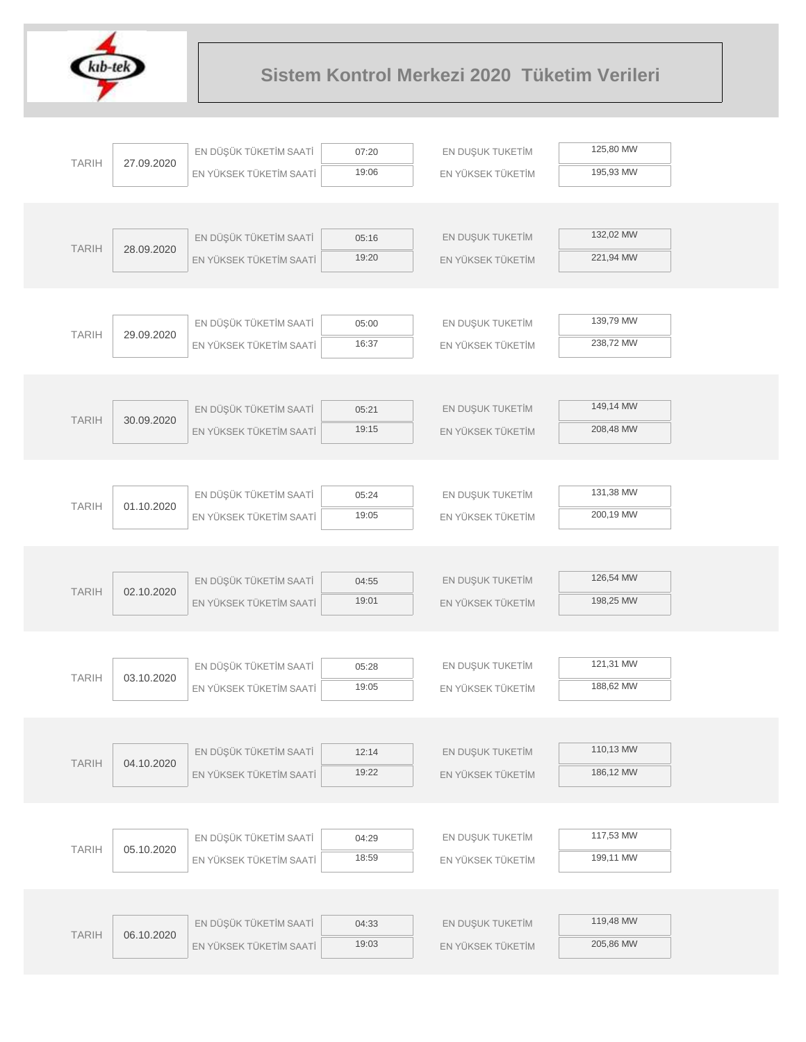

|              |            | EN DÜŞÜK TÜKETİM SAATİ  | 07:20          | EN DUŞUK TUKETİM  | 125,80 MW |  |
|--------------|------------|-------------------------|----------------|-------------------|-----------|--|
| <b>TARIH</b> | 27.09.2020 | EN YÜKSEK TÜKETİM SAATİ | 19:06          | EN YÜKSEK TÜKETİM | 195,93 MW |  |
|              |            |                         |                |                   |           |  |
|              |            |                         |                |                   |           |  |
| <b>TARIH</b> | 28.09.2020 | EN DÜŞÜK TÜKETİM SAATİ  | 05:16          | EN DUŞUK TUKETİM  | 132,02 MW |  |
|              |            | EN YÜKSEK TÜKETİM SAATİ | 19:20          | EN YÜKSEK TÜKETİM | 221,94 MW |  |
|              |            |                         |                |                   |           |  |
|              |            |                         |                |                   |           |  |
| <b>TARIH</b> | 29.09.2020 | EN DÜŞÜK TÜKETİM SAATİ  | 05:00          | EN DUŞUK TUKETİM  | 139,79 MW |  |
|              |            | EN YÜKSEK TÜKETİM SAATİ | 16:37          | EN YÜKSEK TÜKETİM | 238,72 MW |  |
|              |            |                         |                |                   |           |  |
|              |            |                         |                |                   |           |  |
| <b>TARIH</b> | 30.09.2020 | EN DÜŞÜK TÜKETİM SAATİ  | 05:21          | EN DUŞUK TUKETİM  | 149,14 MW |  |
|              |            | EN YÜKSEK TÜKETİM SAATİ | 19:15          | EN YÜKSEK TÜKETİM | 208,48 MW |  |
|              |            |                         |                |                   |           |  |
|              |            |                         |                |                   | 131,38 MW |  |
| <b>TARIH</b> | 01.10.2020 | EN DÜŞÜK TÜKETİM SAATİ  | 05:24<br>19:05 | EN DUŞUK TUKETİM  | 200,19 MW |  |
|              |            | EN YÜKSEK TÜKETİM SAATİ |                | EN YÜKSEK TÜKETİM |           |  |
|              |            |                         |                |                   |           |  |
|              |            | EN DÜŞÜK TÜKETİM SAATİ  | 04:55          | EN DUŞUK TUKETİM  | 126,54 MW |  |
| <b>TARIH</b> | 02.10.2020 | EN YÜKSEK TÜKETİM SAATİ | 19:01          | EN YÜKSEK TÜKETİM | 198,25 MW |  |
|              |            |                         |                |                   |           |  |
|              |            |                         |                |                   |           |  |
|              |            | EN DÜŞÜK TÜKETİM SAATİ  | 05:28          | EN DUŞUK TUKETİM  | 121,31 MW |  |
| <b>TARIH</b> | 03.10.2020 | EN YÜKSEK TÜKETİM SAATİ | 19:05          | EN YÜKSEK TÜKETİM | 188,62 MW |  |
|              |            |                         |                |                   |           |  |
|              |            |                         |                |                   |           |  |
| <b>TARIH</b> | 04.10.2020 | EN DÜŞÜK TÜKETİM SAATİ  | 12:14          | EN DUŞUK TUKETİM  | 110,13 MW |  |
|              |            | EN YÜKSEK TÜKETİM SAATİ | 19:22          | EN YÜKSEK TÜKETİM | 186,12 MW |  |
|              |            |                         |                |                   |           |  |
|              |            |                         |                |                   |           |  |
| <b>TARIH</b> | 05.10.2020 | EN DÜŞÜK TÜKETİM SAATİ  | 04:29          | EN DUŞUK TUKETİM  | 117,53 MW |  |
|              |            | EN YÜKSEK TÜKETİM SAATİ | 18:59          | EN YÜKSEK TÜKETİM | 199,11 MW |  |
|              |            |                         |                |                   |           |  |
|              |            |                         |                |                   |           |  |
| <b>TARIH</b> | 06.10.2020 | EN DÜŞÜK TÜKETİM SAATİ  | 04:33          | EN DUŞUK TUKETİM  | 119,48 MW |  |
|              |            | EN YÜKSEK TÜKETİM SAATİ | 19:03          | EN YÜKSEK TÜKETİM | 205,86 MW |  |
|              |            |                         |                |                   |           |  |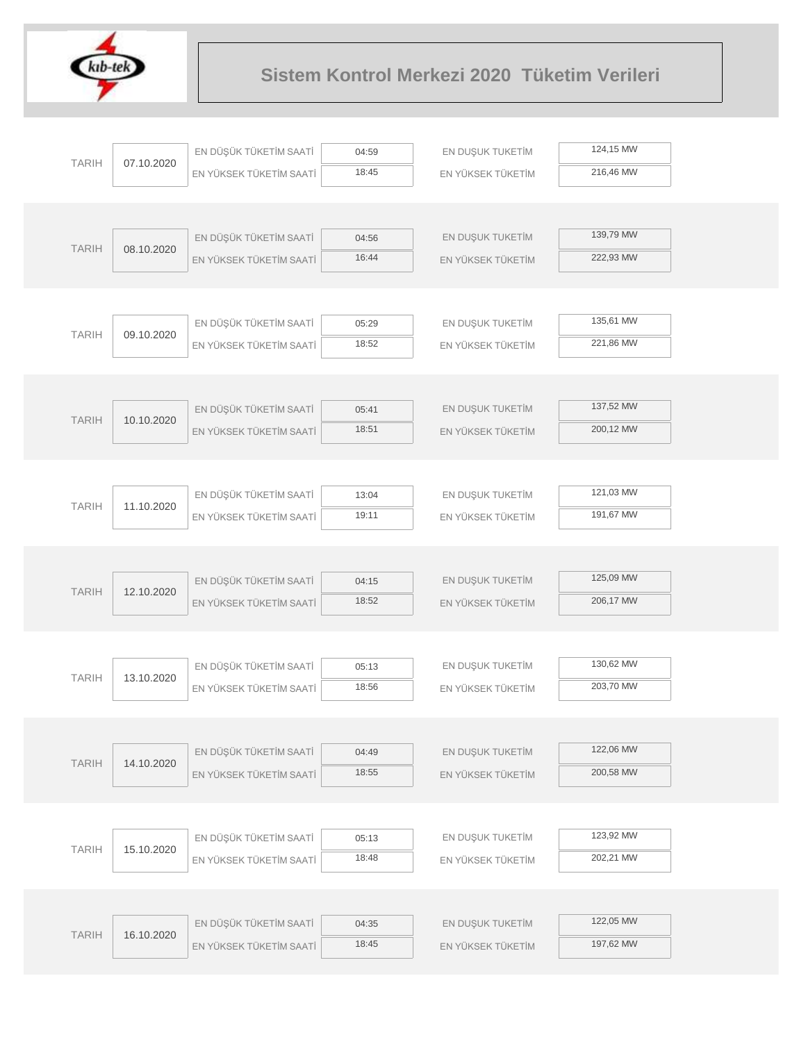

|              |            | EN DÜŞÜK TÜKETİM SAATİ  | 04:59          | EN DUŞUK TUKETİM  | 124,15 MW |
|--------------|------------|-------------------------|----------------|-------------------|-----------|
| <b>TARIH</b> | 07.10.2020 | EN YÜKSEK TÜKETİM SAATİ | 18:45          | EN YÜKSEK TÜKETİM | 216,46 MW |
|              |            |                         |                |                   |           |
|              |            |                         |                |                   |           |
| <b>TARIH</b> | 08.10.2020 | EN DÜŞÜK TÜKETİM SAATİ  | 04:56          | EN DUŞUK TUKETİM  | 139,79 MW |
|              |            | EN YÜKSEK TÜKETİM SAATİ | 16:44          | EN YÜKSEK TÜKETİM | 222,93 MW |
|              |            |                         |                |                   |           |
|              |            |                         |                |                   |           |
| <b>TARIH</b> | 09.10.2020 | EN DÜŞÜK TÜKETİM SAATİ  | 05:29          | EN DUŞUK TUKETİM  | 135,61 MW |
|              |            | EN YÜKSEK TÜKETİM SAATİ | 18:52          | EN YÜKSEK TÜKETİM | 221,86 MW |
|              |            |                         |                |                   |           |
|              |            | EN DÜŞÜK TÜKETİM SAATİ  | 05:41          | EN DUŞUK TUKETİM  | 137,52 MW |
| <b>TARIH</b> | 10.10.2020 | EN YÜKSEK TÜKETİM SAATİ | 18:51          | EN YÜKSEK TÜKETİM | 200,12 MW |
|              |            |                         |                |                   |           |
|              |            |                         |                |                   |           |
|              |            | EN DÜŞÜK TÜKETİM SAATİ  | 13:04          | EN DUŞUK TUKETİM  | 121,03 MW |
| <b>TARIH</b> | 11.10.2020 | EN YÜKSEK TÜKETİM SAATİ | 19:11          | EN YÜKSEK TÜKETİM | 191,67 MW |
|              |            |                         |                |                   |           |
|              |            |                         |                |                   |           |
|              |            | EN DÜŞÜK TÜKETİM SAATİ  | 04:15          | EN DUŞUK TUKETİM  | 125,09 MW |
| <b>TARIH</b> | 12.10.2020 | EN YÜKSEK TÜKETİM SAATİ | 18:52          | EN YÜKSEK TÜKETİM | 206,17 MW |
|              |            |                         |                |                   |           |
|              |            |                         |                |                   |           |
| <b>TARIH</b> | 13.10.2020 | EN DÜŞÜK TÜKETİM SAATİ  | 05:13          | EN DUŞUK TUKETİM  | 130,62 MW |
|              |            | EN YÜKSEK TÜKETİM SAATİ | 18:56          | EN YÜKSEK TÜKETİM | 203,70 MW |
|              |            |                         |                |                   |           |
|              |            |                         |                |                   |           |
| <b>TARIH</b> | 14.10.2020 | EN DÜŞÜK TÜKETİM SAATİ  | 04:49          | EN DUŞUK TUKETİM  | 122,06 MW |
|              |            | EN YÜKSEK TÜKETİM SAATİ | 18:55          | EN YÜKSEK TÜKETİM | 200,58 MW |
|              |            |                         |                |                   |           |
|              |            | EN DÜŞÜK TÜKETİM SAATİ  |                |                   | 123,92 MW |
| <b>TARIH</b> | 15.10.2020 |                         | 05:13<br>18:48 | EN DUŞUK TUKETİM  | 202,21 MW |
|              |            | EN YÜKSEK TÜKETİM SAATİ |                | EN YÜKSEK TÜKETİM |           |
|              |            |                         |                |                   |           |
|              |            | EN DÜŞÜK TÜKETİM SAATİ  | 04:35          | EN DUŞUK TUKETİM  | 122,05 MW |
| <b>TARIH</b> | 16.10.2020 | EN YÜKSEK TÜKETİM SAATİ | 18:45          | EN YÜKSEK TÜKETİM | 197,62 MW |
|              |            |                         |                |                   |           |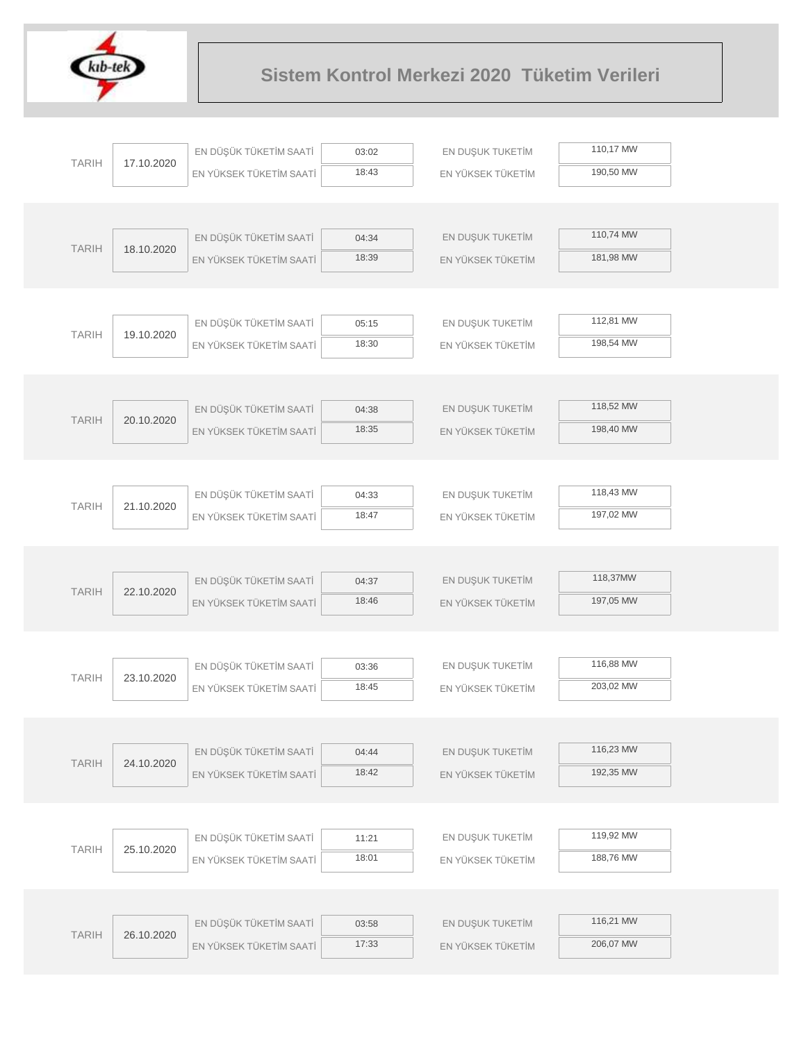

|              |            | EN DÜŞÜK TÜKETİM SAATİ  | 03:02          | EN DUŞUK TUKETİM  | 110,17 MW |  |
|--------------|------------|-------------------------|----------------|-------------------|-----------|--|
| <b>TARIH</b> | 17.10.2020 | EN YÜKSEK TÜKETİM SAATİ | 18:43          | EN YÜKSEK TÜKETİM | 190,50 MW |  |
|              |            |                         |                |                   |           |  |
|              |            |                         |                |                   |           |  |
| <b>TARIH</b> | 18.10.2020 | EN DÜŞÜK TÜKETİM SAATİ  | 04:34          | EN DUŞUK TUKETİM  | 110,74 MW |  |
|              |            | EN YÜKSEK TÜKETİM SAATİ | 18:39          | EN YÜKSEK TÜKETİM | 181,98 MW |  |
|              |            |                         |                |                   |           |  |
|              |            |                         |                |                   |           |  |
| <b>TARIH</b> | 19.10.2020 | EN DÜŞÜK TÜKETİM SAATİ  | 05:15          | EN DUŞUK TUKETİM  | 112,81 MW |  |
|              |            | EN YÜKSEK TÜKETİM SAATİ | 18:30          | EN YÜKSEK TÜKETİM | 198,54 MW |  |
|              |            |                         |                |                   |           |  |
|              |            | EN DÜŞÜK TÜKETİM SAATİ  |                | EN DUŞUK TUKETİM  | 118,52 MW |  |
| <b>TARIH</b> | 20.10.2020 | EN YÜKSEK TÜKETİM SAATİ | 04:38<br>18:35 | EN YÜKSEK TÜKETİM | 198,40 MW |  |
|              |            |                         |                |                   |           |  |
|              |            |                         |                |                   |           |  |
|              |            | EN DÜŞÜK TÜKETİM SAATİ  | 04:33          | EN DUŞUK TUKETİM  | 118,43 MW |  |
| <b>TARIH</b> | 21.10.2020 | EN YÜKSEK TÜKETİM SAATİ | 18:47          | EN YÜKSEK TÜKETİM | 197,02 MW |  |
|              |            |                         |                |                   |           |  |
|              |            |                         |                |                   |           |  |
|              |            | EN DÜŞÜK TÜKETİM SAATİ  | 04:37          | EN DUŞUK TUKETİM  | 118,37MW  |  |
| <b>TARIH</b> | 22.10.2020 | EN YÜKSEK TÜKETİM SAATİ | 18:46          | EN YÜKSEK TÜKETİM | 197,05 MW |  |
|              |            |                         |                |                   |           |  |
|              |            |                         |                |                   |           |  |
| <b>TARIH</b> | 23.10.2020 | EN DÜŞÜK TÜKETİM SAATİ  | 03:36          | EN DUŞUK TUKETİM  | 116,88 MW |  |
|              |            | EN YÜKSEK TÜKETİM SAATİ | 18:45          | EN YÜKSEK TÜKETİM | 203,02 MW |  |
|              |            |                         |                |                   |           |  |
|              |            |                         |                |                   |           |  |
| <b>TARIH</b> | 24.10.2020 | EN DÜŞÜK TÜKETİM SAATİ  | 04:44          | EN DUŞUK TUKETİM  | 116,23 MW |  |
|              |            | EN YÜKSEK TÜKETİM SAATİ | 18:42          | EN YÜKSEK TÜKETİM | 192,35 MW |  |
|              |            |                         |                |                   |           |  |
|              |            | EN DÜŞÜK TÜKETİM SAATİ  |                | EN DUŞUK TUKETİM  | 119,92 MW |  |
| <b>TARIH</b> | 25.10.2020 |                         | 11:21<br>18:01 | EN YÜKSEK TÜKETİM | 188,76 MW |  |
|              |            | EN YÜKSEK TÜKETİM SAATİ |                |                   |           |  |
|              |            |                         |                |                   |           |  |
|              |            | EN DÜŞÜK TÜKETİM SAATİ  | 03:58          | EN DUŞUK TUKETİM  | 116,21 MW |  |
| <b>TARIH</b> | 26.10.2020 | EN YÜKSEK TÜKETİM SAATİ | 17:33          | EN YÜKSEK TÜKETİM | 206,07 MW |  |
|              |            |                         |                |                   |           |  |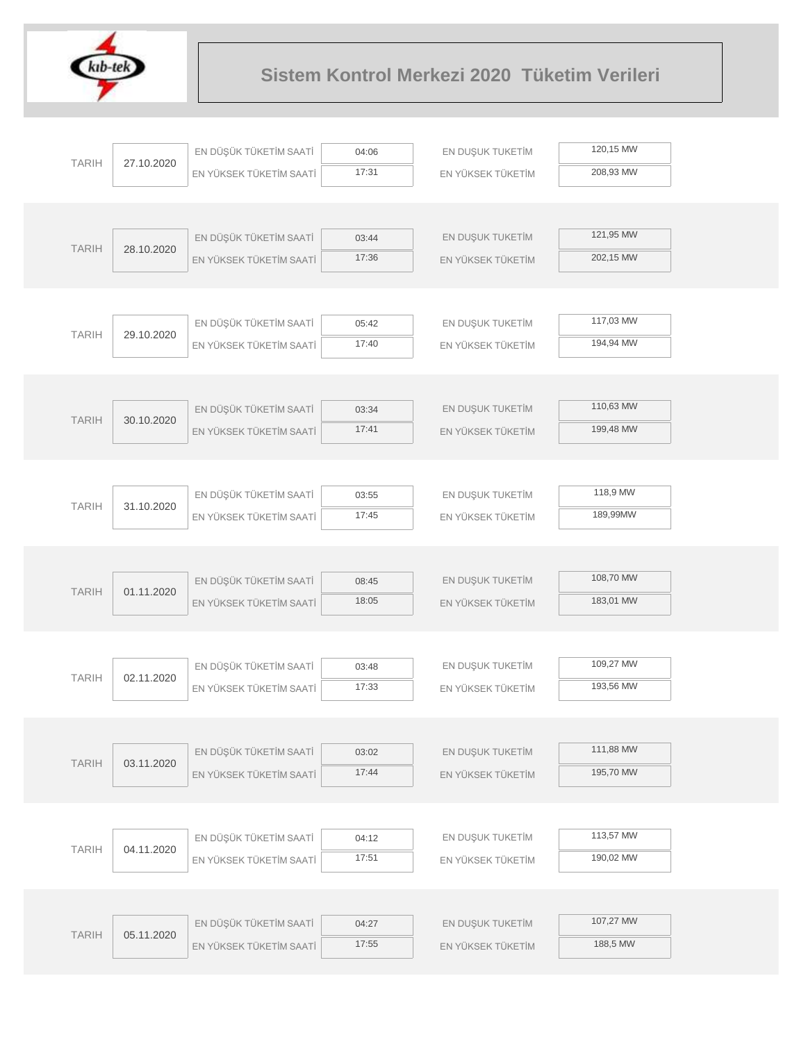

|              |            | EN DÜŞÜK TÜKETİM SAATİ  | 04:06          | EN DUŞUK TUKETİM  | 120,15 MW |  |
|--------------|------------|-------------------------|----------------|-------------------|-----------|--|
| <b>TARIH</b> | 27.10.2020 | EN YÜKSEK TÜKETİM SAATİ | 17:31          | EN YÜKSEK TÜKETİM | 208,93 MW |  |
|              |            |                         |                |                   |           |  |
|              |            |                         |                |                   |           |  |
| <b>TARIH</b> | 28.10.2020 | EN DÜŞÜK TÜKETİM SAATİ  | 03:44          | EN DUŞUK TUKETİM  | 121,95 MW |  |
|              |            | EN YÜKSEK TÜKETİM SAATİ | 17:36          | EN YÜKSEK TÜKETİM | 202,15 MW |  |
|              |            |                         |                |                   |           |  |
|              |            | EN DÜŞÜK TÜKETİM SAATİ  |                | EN DUŞUK TUKETİM  | 117,03 MW |  |
| <b>TARIH</b> | 29.10.2020 | EN YÜKSEK TÜKETİM SAATİ | 05:42<br>17:40 | EN YÜKSEK TÜKETİM | 194,94 MW |  |
|              |            |                         |                |                   |           |  |
|              |            |                         |                |                   |           |  |
|              |            | EN DÜŞÜK TÜKETİM SAATİ  | 03:34          | EN DUŞUK TUKETİM  | 110,63 MW |  |
| <b>TARIH</b> | 30.10.2020 | EN YÜKSEK TÜKETİM SAATİ | 17:41          | EN YÜKSEK TÜKETİM | 199,48 MW |  |
|              |            |                         |                |                   |           |  |
|              |            |                         |                |                   |           |  |
| <b>TARIH</b> | 31.10.2020 | EN DÜŞÜK TÜKETİM SAATİ  | 03:55          | EN DUŞUK TUKETİM  | 118,9 MW  |  |
|              |            | EN YÜKSEK TÜKETİM SAATİ | 17:45          | EN YÜKSEK TÜKETİM | 189,99MW  |  |
|              |            |                         |                |                   |           |  |
|              |            |                         |                |                   |           |  |
| <b>TARIH</b> | 01.11.2020 | EN DÜŞÜK TÜKETİM SAATİ  | 08:45          | EN DUŞUK TUKETİM  | 108,70 MW |  |
|              |            | EN YÜKSEK TÜKETİM SAATİ | 18:05          | EN YÜKSEK TÜKETİM | 183,01 MW |  |
|              |            |                         |                |                   |           |  |
|              |            | EN DÜŞÜK TÜKETİM SAATİ  | 03:48          | EN DUŞUK TUKETİM  | 109,27 MW |  |
| <b>TARIH</b> | 02.11.2020 | EN YÜKSEK TÜKETİM SAATİ | 17:33          | EN YÜKSEK TÜKETİM | 193,56 MW |  |
|              |            |                         |                |                   |           |  |
|              |            |                         |                |                   |           |  |
| <b>TARIH</b> | 03.11.2020 | EN DÜŞÜK TÜKETİM SAATİ  | 03:02          | EN DUŞUK TUKETİM  | 111,88 MW |  |
|              |            | EN YÜKSEK TÜKETİM SAATİ | 17:44          | EN YÜKSEK TÜKETİM | 195,70 MW |  |
|              |            |                         |                |                   |           |  |
|              |            |                         |                |                   |           |  |
| <b>TARIH</b> | 04.11.2020 | EN DÜŞÜK TÜKETİM SAATİ  | 04:12          | EN DUŞUK TUKETİM  | 113,57 MW |  |
|              |            | EN YÜKSEK TÜKETİM SAATİ | 17:51          | EN YÜKSEK TÜKETİM | 190,02 MW |  |
|              |            |                         |                |                   |           |  |
|              |            | EN DÜŞÜK TÜKETİM SAATİ  |                | EN DUŞUK TUKETİM  | 107,27 MW |  |
| <b>TARIH</b> | 05.11.2020 |                         | 04:27<br>17:55 |                   | 188,5 MW  |  |
|              |            | EN YÜKSEK TÜKETİM SAATİ |                | EN YÜKSEK TÜKETİM |           |  |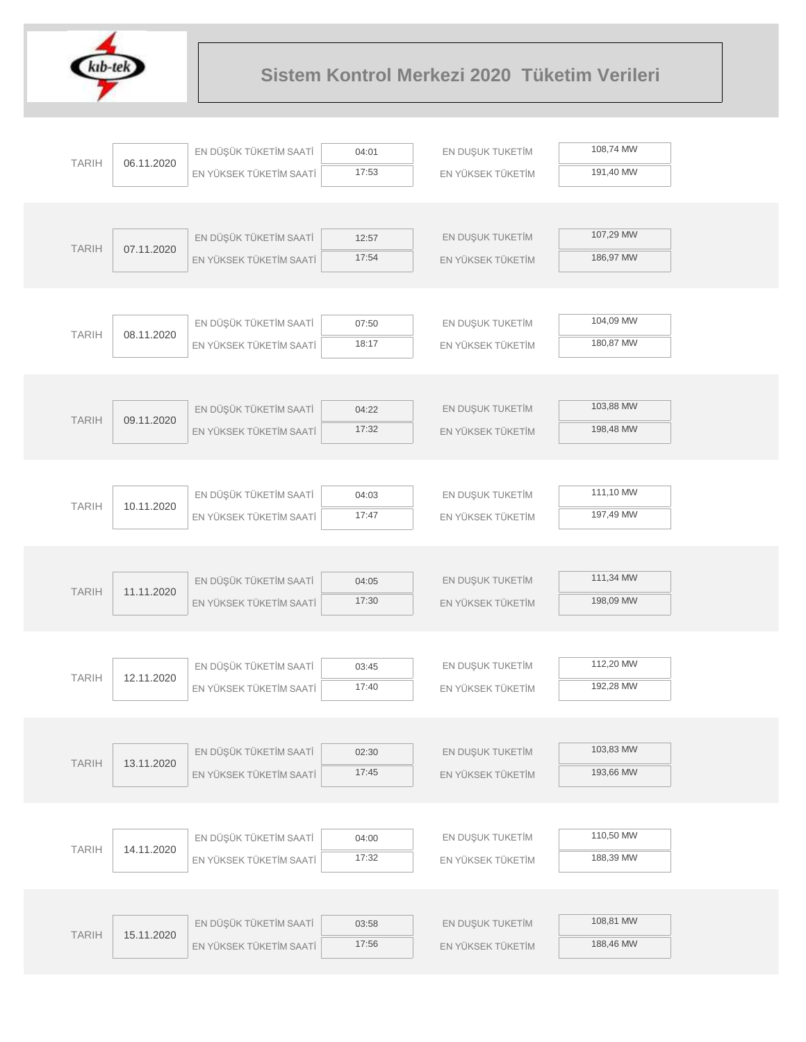

|              |            | EN DÜŞÜK TÜKETİM SAATİ  | 04:01 | EN DUŞUK TUKETİM  | 108,74 MW |  |
|--------------|------------|-------------------------|-------|-------------------|-----------|--|
| <b>TARIH</b> | 06.11.2020 | EN YÜKSEK TÜKETİM SAATİ | 17:53 | EN YÜKSEK TÜKETİM | 191,40 MW |  |
|              |            |                         |       |                   |           |  |
|              |            |                         |       |                   |           |  |
| <b>TARIH</b> | 07.11.2020 | EN DÜŞÜK TÜKETİM SAATİ  | 12:57 | EN DUŞUK TUKETİM  | 107,29 MW |  |
|              |            | EN YÜKSEK TÜKETİM SAATİ | 17:54 | EN YÜKSEK TÜKETİM | 186,97 MW |  |
|              |            |                         |       |                   |           |  |
|              |            |                         |       |                   |           |  |
| <b>TARIH</b> | 08.11.2020 | EN DÜŞÜK TÜKETİM SAATİ  | 07:50 | EN DUŞUK TUKETİM  | 104,09 MW |  |
|              |            | EN YÜKSEK TÜKETİM SAATİ | 18:17 | EN YÜKSEK TÜKETİM | 180,87 MW |  |
|              |            |                         |       |                   |           |  |
|              |            |                         |       |                   |           |  |
| <b>TARIH</b> | 09.11.2020 | EN DÜŞÜK TÜKETİM SAATİ  | 04:22 | EN DUŞUK TUKETİM  | 103,88 MW |  |
|              |            | EN YÜKSEK TÜKETİM SAATİ | 17:32 | EN YÜKSEK TÜKETİM | 198,48 MW |  |
|              |            |                         |       |                   |           |  |
|              |            |                         |       |                   | 111,10 MW |  |
| <b>TARIH</b> | 10.11.2020 | EN DÜŞÜK TÜKETİM SAATİ  | 04:03 | EN DUŞUK TUKETİM  |           |  |
|              |            | EN YÜKSEK TÜKETİM SAATİ | 17:47 | EN YÜKSEK TÜKETİM | 197,49 MW |  |
|              |            |                         |       |                   |           |  |
|              |            | EN DÜŞÜK TÜKETİM SAATİ  | 04:05 | EN DUŞUK TUKETİM  | 111,34 MW |  |
| <b>TARIH</b> | 11.11.2020 | EN YÜKSEK TÜKETİM SAATİ | 17:30 | EN YÜKSEK TÜKETİM | 198,09 MW |  |
|              |            |                         |       |                   |           |  |
|              |            |                         |       |                   |           |  |
|              |            | EN DÜŞÜK TÜKETİM SAATİ  | 03:45 | EN DUŞUK TUKETİM  | 112,20 MW |  |
| <b>TARIH</b> | 12.11.2020 | EN YÜKSEK TÜKETİM SAATİ | 17:40 | EN YÜKSEK TÜKETİM | 192,28 MW |  |
|              |            |                         |       |                   |           |  |
|              |            |                         |       |                   |           |  |
|              |            | EN DÜŞÜK TÜKETİM SAATİ  | 02:30 | EN DUŞUK TUKETİM  | 103,83 MW |  |
| <b>TARIH</b> | 13.11.2020 | EN YÜKSEK TÜKETİM SAATİ | 17:45 | EN YÜKSEK TÜKETİM | 193,66 MW |  |
|              |            |                         |       |                   |           |  |
|              |            |                         |       |                   |           |  |
|              |            | EN DÜŞÜK TÜKETİM SAATİ  | 04:00 | EN DUŞUK TUKETİM  | 110,50 MW |  |
| <b>TARIH</b> | 14.11.2020 | EN YÜKSEK TÜKETİM SAATİ | 17:32 | EN YÜKSEK TÜKETİM | 188,39 MW |  |
|              |            |                         |       |                   |           |  |
|              |            |                         |       |                   |           |  |
| <b>TARIH</b> | 15.11.2020 | EN DÜŞÜK TÜKETİM SAATİ  | 03:58 | EN DUŞUK TUKETİM  | 108,81 MW |  |
|              |            | EN YÜKSEK TÜKETİM SAATİ | 17:56 | EN YÜKSEK TÜKETİM | 188,46 MW |  |
|              |            |                         |       |                   |           |  |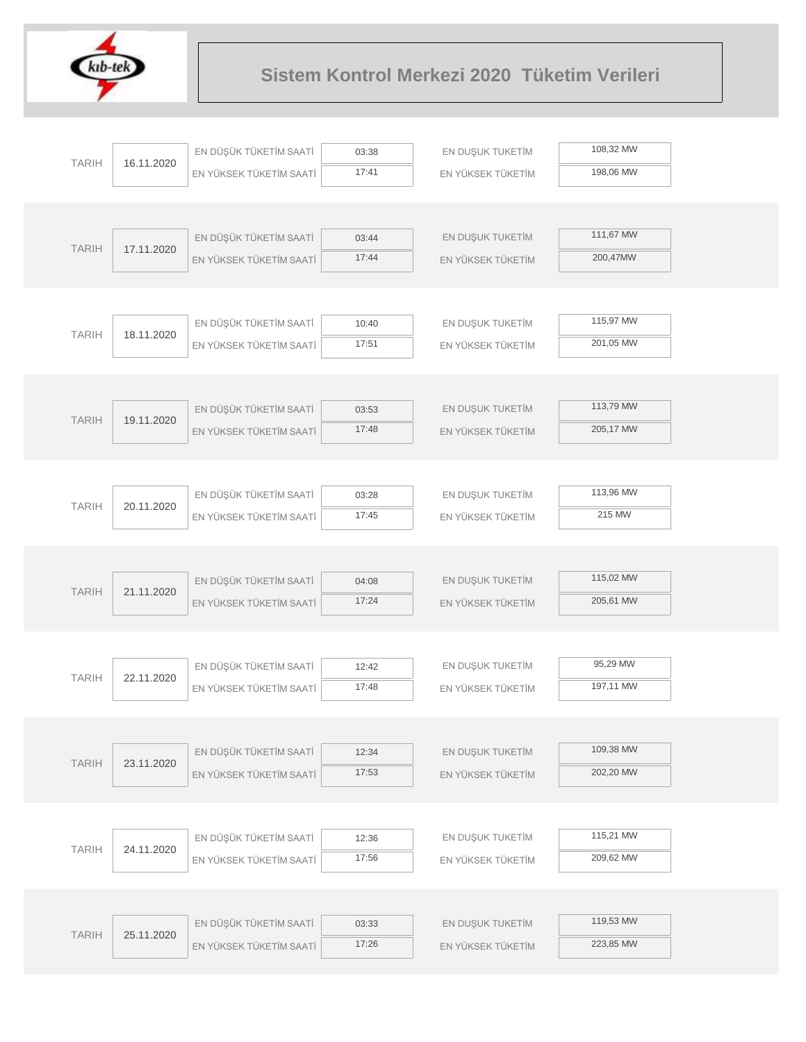

|              |            | EN DÜŞÜK TÜKETİM SAATİ  | 03:38          | EN DUŞUK TUKETİM  | 108,32 MW |  |
|--------------|------------|-------------------------|----------------|-------------------|-----------|--|
| <b>TARIH</b> | 16.11.2020 | EN YÜKSEK TÜKETİM SAATİ | 17:41          | EN YÜKSEK TÜKETİM | 198,06 MW |  |
|              |            |                         |                |                   |           |  |
|              |            |                         |                |                   |           |  |
| <b>TARIH</b> | 17.11.2020 | EN DÜŞÜK TÜKETİM SAATİ  | 03:44          | EN DUŞUK TUKETİM  | 111,67 MW |  |
|              |            | EN YÜKSEK TÜKETİM SAATİ | 17:44          | EN YÜKSEK TÜKETİM | 200,47MW  |  |
|              |            |                         |                |                   |           |  |
|              |            |                         |                |                   |           |  |
| <b>TARIH</b> | 18.11.2020 | EN DÜŞÜK TÜKETİM SAATİ  | 10:40          | EN DUŞUK TUKETİM  | 115,97 MW |  |
|              |            | EN YÜKSEK TÜKETİM SAATİ | 17:51          | EN YÜKSEK TÜKETİM | 201,05 MW |  |
|              |            |                         |                |                   |           |  |
|              |            |                         |                |                   | 113,79 MW |  |
| <b>TARIH</b> | 19.11.2020 | EN DÜŞÜK TÜKETİM SAATİ  | 03:53<br>17:48 | EN DUŞUK TUKETİM  | 205,17 MW |  |
|              |            | EN YÜKSEK TÜKETİM SAATİ |                | EN YÜKSEK TÜKETİM |           |  |
|              |            |                         |                |                   |           |  |
|              |            | EN DÜŞÜK TÜKETİM SAATİ  | 03:28          | EN DUŞUK TUKETİM  | 113,96 MW |  |
| <b>TARIH</b> | 20.11.2020 | EN YÜKSEK TÜKETİM SAATİ | 17:45          | EN YÜKSEK TÜKETİM | 215 MW    |  |
|              |            |                         |                |                   |           |  |
|              |            |                         |                |                   |           |  |
|              |            | EN DÜŞÜK TÜKETİM SAATİ  | 04:08          | EN DUŞUK TUKETİM  | 115,02 MW |  |
| <b>TARIH</b> | 21.11.2020 | EN YÜKSEK TÜKETİM SAATİ | 17:24          | EN YÜKSEK TÜKETİM | 205,61 MW |  |
|              |            |                         |                |                   |           |  |
|              |            |                         |                |                   |           |  |
| <b>TARIH</b> | 22.11.2020 | EN DÜŞÜK TÜKETİM SAATİ  | 12:42          | EN DUŞUK TUKETİM  | 95,29 MW  |  |
|              |            | EN YÜKSEK TÜKETİM SAATİ | 17:48          | EN YÜKSEK TÜKETİM | 197,11 MW |  |
|              |            |                         |                |                   |           |  |
|              |            |                         |                |                   |           |  |
| <b>TARIH</b> | 23.11.2020 | EN DÜŞÜK TÜKETİM SAATİ  | 12:34          | EN DUŞUK TUKETİM  | 109,38 MW |  |
|              |            | EN YÜKSEK TÜKETİM SAATİ | 17:53          | EN YÜKSEK TÜKETİM | 202,20 MW |  |
|              |            |                         |                |                   |           |  |
|              |            |                         |                |                   |           |  |
| <b>TARIH</b> | 24.11.2020 | EN DÜŞÜK TÜKETİM SAATİ  | 12:36          | EN DUŞUK TUKETİM  | 115,21 MW |  |
|              |            | EN YÜKSEK TÜKETİM SAATİ | 17:56          | EN YÜKSEK TÜKETİM | 209,62 MW |  |
|              |            |                         |                |                   |           |  |
|              |            | EN DÜŞÜK TÜKETİM SAATİ  | 03:33          | EN DUŞUK TUKETİM  | 119,53 MW |  |
| <b>TARIH</b> | 25.11.2020 |                         | 17:26          |                   | 223,85 MW |  |
|              |            | EN YÜKSEK TÜKETİM SAATİ |                | EN YÜKSEK TÜKETİM |           |  |
|              |            |                         |                |                   |           |  |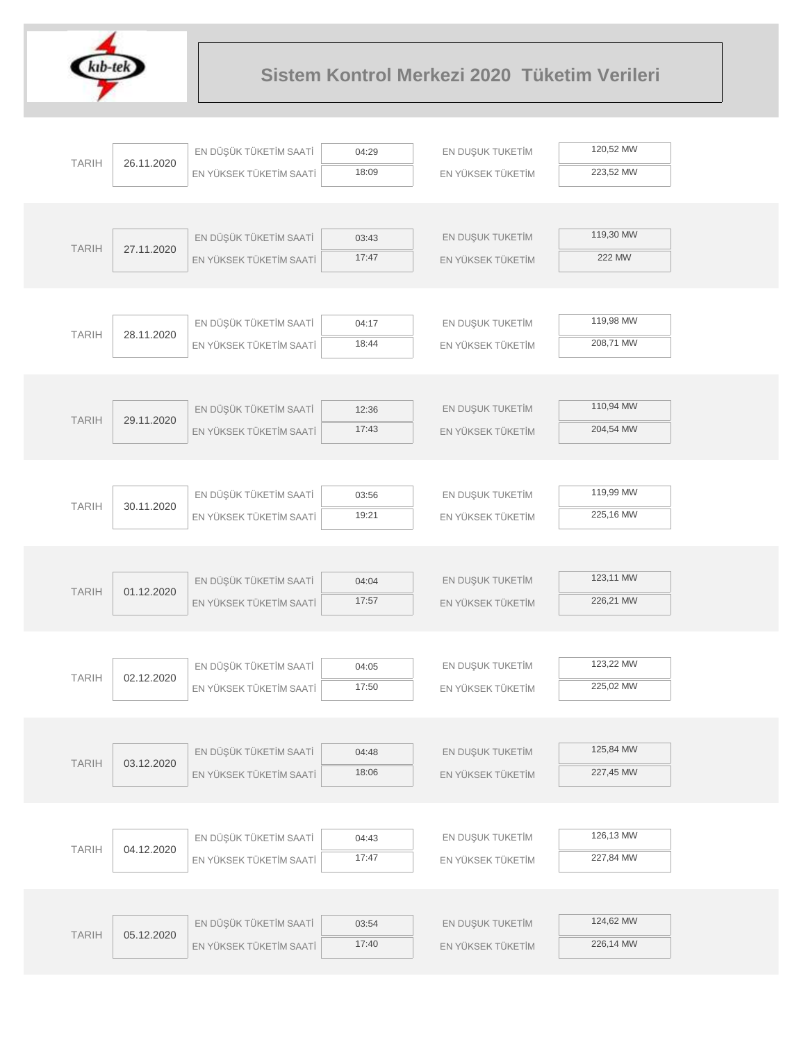

| <b>TARIH</b> | 26.11.2020 | EN DÜŞÜK TÜKETİM SAATİ  | 04:29 | EN DUŞUK TUKETİM  | 120,52 MW |  |
|--------------|------------|-------------------------|-------|-------------------|-----------|--|
|              |            | EN YÜKSEK TÜKETİM SAATİ | 18:09 | EN YÜKSEK TÜKETİM | 223,52 MW |  |
|              |            |                         |       |                   |           |  |
|              |            |                         |       |                   |           |  |
| <b>TARIH</b> | 27.11.2020 | EN DÜŞÜK TÜKETİM SAATİ  | 03:43 | EN DUŞUK TUKETİM  | 119,30 MW |  |
|              |            | EN YÜKSEK TÜKETİM SAATİ | 17:47 | EN YÜKSEK TÜKETİM | 222 MW    |  |
|              |            |                         |       |                   |           |  |
|              |            |                         |       |                   |           |  |
| <b>TARIH</b> | 28.11.2020 | EN DÜŞÜK TÜKETİM SAATİ  | 04:17 | EN DUŞUK TUKETİM  | 119,98 MW |  |
|              |            | EN YÜKSEK TÜKETİM SAATİ | 18:44 | EN YÜKSEK TÜKETİM | 208,71 MW |  |
|              |            |                         |       |                   |           |  |
|              |            |                         |       |                   | 110,94 MW |  |
| <b>TARIH</b> | 29.11.2020 | EN DÜŞÜK TÜKETİM SAATİ  | 12:36 | EN DUŞUK TUKETİM  | 204,54 MW |  |
|              |            | EN YÜKSEK TÜKETİM SAATİ | 17:43 | EN YÜKSEK TÜKETİM |           |  |
|              |            |                         |       |                   |           |  |
|              |            | EN DÜŞÜK TÜKETİM SAATİ  | 03:56 | EN DUŞUK TUKETİM  | 119,99 MW |  |
| <b>TARIH</b> | 30.11.2020 |                         | 19:21 |                   | 225,16 MW |  |
|              |            | EN YÜKSEK TÜKETİM SAATİ |       | EN YÜKSEK TÜKETİM |           |  |
|              |            |                         |       |                   |           |  |
|              |            | EN DÜŞÜK TÜKETİM SAATİ  | 04:04 | EN DUŞUK TUKETİM  | 123,11 MW |  |
| <b>TARIH</b> | 01.12.2020 | EN YÜKSEK TÜKETİM SAATİ | 17:57 | EN YÜKSEK TÜKETİM | 226,21 MW |  |
|              |            |                         |       |                   |           |  |
|              |            |                         |       |                   |           |  |
|              |            | EN DÜŞÜK TÜKETİM SAATİ  | 04:05 | EN DUŞUK TUKETİM  | 123,22 MW |  |
| <b>TARIH</b> | 02.12.2020 | EN YÜKSEK TÜKETİM SAATİ | 17:50 | EN YÜKSEK TÜKETİM | 225,02 MW |  |
|              |            |                         |       |                   |           |  |
|              |            |                         |       |                   |           |  |
|              |            | EN DÜŞÜK TÜKETİM SAATİ  | 04:48 | EN DUŞUK TUKETİM  | 125,84 MW |  |
| <b>TARIH</b> | 03.12.2020 | EN YÜKSEK TÜKETİM SAATİ | 18:06 | EN YÜKSEK TÜKETİM | 227,45 MW |  |
|              |            |                         |       |                   |           |  |
|              |            |                         |       |                   |           |  |
|              |            | EN DÜŞÜK TÜKETİM SAATİ  | 04:43 | EN DUŞUK TUKETİM  | 126,13 MW |  |
| <b>TARIH</b> | 04.12.2020 | EN YÜKSEK TÜKETİM SAATİ | 17:47 | EN YÜKSEK TÜKETİM | 227,84 MW |  |
|              |            |                         |       |                   |           |  |
|              |            |                         |       |                   |           |  |
|              |            | EN DÜŞÜK TÜKETİM SAATİ  | 03:54 | EN DUŞUK TUKETİM  | 124,62 MW |  |
| <b>TARIH</b> | 05.12.2020 | EN YÜKSEK TÜKETİM SAATİ | 17:40 | EN YÜKSEK TÜKETİM | 226,14 MW |  |
|              |            |                         |       |                   |           |  |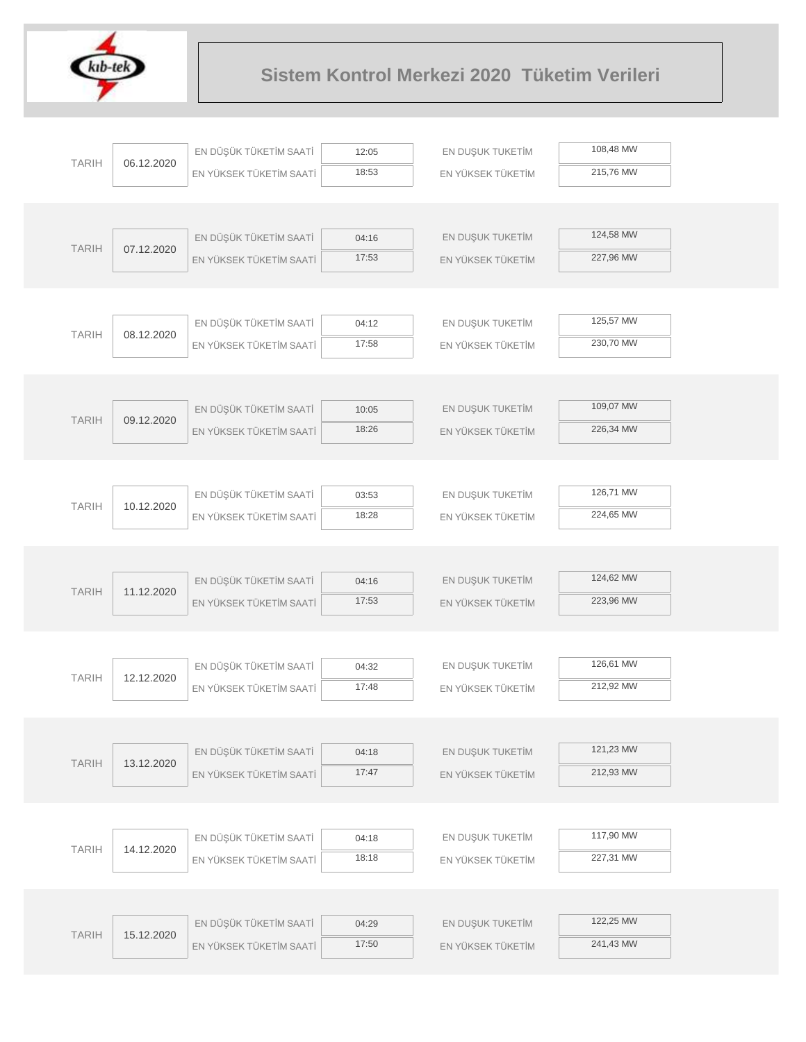

|              |            | EN DÜŞÜK TÜKETİM SAATİ  | 12:05 | EN DUŞUK TUKETİM  | 108,48 MW |  |
|--------------|------------|-------------------------|-------|-------------------|-----------|--|
| <b>TARIH</b> | 06.12.2020 | EN YÜKSEK TÜKETİM SAATİ | 18:53 | EN YÜKSEK TÜKETİM | 215,76 MW |  |
|              |            |                         |       |                   |           |  |
|              |            |                         |       |                   |           |  |
| <b>TARIH</b> |            | EN DÜŞÜK TÜKETİM SAATİ  | 04:16 | EN DUŞUK TUKETİM  | 124,58 MW |  |
|              | 07.12.2020 | EN YÜKSEK TÜKETİM SAATİ | 17:53 | EN YÜKSEK TÜKETİM | 227,96 MW |  |
|              |            |                         |       |                   |           |  |
|              |            |                         |       |                   |           |  |
| <b>TARIH</b> | 08.12.2020 | EN DÜŞÜK TÜKETİM SAATİ  | 04:12 | EN DUŞUK TUKETİM  | 125,57 MW |  |
|              |            | EN YÜKSEK TÜKETİM SAATİ | 17:58 | EN YÜKSEK TÜKETİM | 230,70 MW |  |
|              |            |                         |       |                   |           |  |
|              |            |                         |       |                   |           |  |
| <b>TARIH</b> | 09.12.2020 | EN DÜŞÜK TÜKETİM SAATİ  | 10:05 | EN DUŞUK TUKETİM  | 109,07 MW |  |
|              |            | EN YÜKSEK TÜKETİM SAATİ | 18:26 | EN YÜKSEK TÜKETİM | 226,34 MW |  |
|              |            |                         |       |                   |           |  |
|              |            |                         |       |                   |           |  |
| <b>TARIH</b> | 10.12.2020 | EN DÜŞÜK TÜKETİM SAATİ  | 03:53 | EN DUŞUK TUKETİM  | 126,71 MW |  |
|              |            | EN YÜKSEK TÜKETİM SAATİ | 18:28 | EN YÜKSEK TÜKETİM | 224,65 MW |  |
|              |            |                         |       |                   |           |  |
|              |            |                         |       |                   | 124,62 MW |  |
| <b>TARIH</b> | 11.12.2020 | EN DÜŞÜK TÜKETİM SAATİ  | 04:16 | EN DUŞUK TUKETİM  |           |  |
|              |            | EN YÜKSEK TÜKETİM SAATİ | 17:53 | EN YÜKSEK TÜKETİM | 223,96 MW |  |
|              |            |                         |       |                   |           |  |
|              |            | EN DÜŞÜK TÜKETİM SAATİ  | 04:32 | EN DUŞUK TUKETİM  | 126,61 MW |  |
| <b>TARIH</b> | 12.12.2020 |                         | 17:48 |                   | 212,92 MW |  |
|              |            | EN YÜKSEK TÜKETİM SAATİ |       | EN YÜKSEK TÜKETİM |           |  |
|              |            |                         |       |                   |           |  |
|              |            | EN DÜŞÜK TÜKETİM SAATİ  | 04:18 | EN DUŞUK TUKETİM  | 121,23 MW |  |
| <b>TARIH</b> | 13.12.2020 | EN YÜKSEK TÜKETİM SAATİ | 17:47 | EN YÜKSEK TÜKETİM | 212,93 MW |  |
|              |            |                         |       |                   |           |  |
|              |            |                         |       |                   |           |  |
|              |            | EN DÜŞÜK TÜKETİM SAATİ  | 04:18 | EN DUŞUK TUKETİM  | 117,90 MW |  |
| <b>TARIH</b> | 14.12.2020 | EN YÜKSEK TÜKETİM SAATİ | 18:18 | EN YÜKSEK TÜKETİM | 227,31 MW |  |
|              |            |                         |       |                   |           |  |
|              |            |                         |       |                   |           |  |
|              |            | EN DÜŞÜK TÜKETİM SAATİ  | 04:29 | EN DUŞUK TUKETİM  | 122,25 MW |  |
| <b>TARIH</b> | 15.12.2020 | EN YÜKSEK TÜKETİM SAATİ | 17:50 | EN YÜKSEK TÜKETİM | 241,43 MW |  |
|              |            |                         |       |                   |           |  |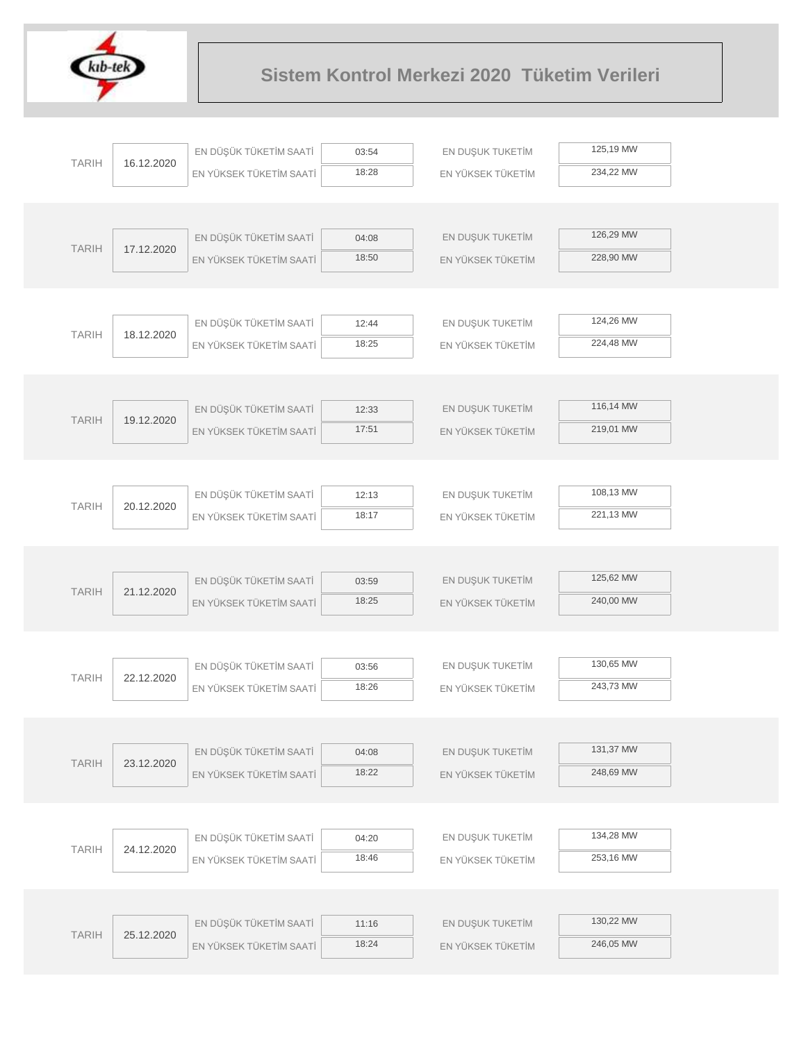

|  |              |            | EN DÜŞÜK TÜKETİM SAATİ  | 03:54          | EN DUŞUK TUKETİM  | 125,19 MW |  |
|--|--------------|------------|-------------------------|----------------|-------------------|-----------|--|
|  | <b>TARIH</b> | 16.12.2020 | EN YÜKSEK TÜKETİM SAATİ | 18:28          | EN YÜKSEK TÜKETİM | 234,22 MW |  |
|  |              |            |                         |                |                   |           |  |
|  |              |            |                         |                |                   |           |  |
|  | <b>TARIH</b> | 17.12.2020 | EN DÜŞÜK TÜKETİM SAATİ  | 04:08          | EN DUŞUK TUKETİM  | 126,29 MW |  |
|  |              |            | EN YÜKSEK TÜKETİM SAATİ | 18:50          | EN YÜKSEK TÜKETİM | 228,90 MW |  |
|  |              |            |                         |                |                   |           |  |
|  |              |            |                         |                |                   |           |  |
|  | <b>TARIH</b> | 18.12.2020 | EN DÜŞÜK TÜKETİM SAATİ  | 12:44          | EN DUŞUK TUKETİM  | 124,26 MW |  |
|  |              |            | EN YÜKSEK TÜKETİM SAATİ | 18:25          | EN YÜKSEK TÜKETİM | 224,48 MW |  |
|  |              |            |                         |                |                   |           |  |
|  |              |            | EN DÜŞÜK TÜKETİM SAATİ  |                | EN DUŞUK TUKETİM  | 116,14 MW |  |
|  | <b>TARIH</b> | 19.12.2020 | EN YÜKSEK TÜKETİM SAATİ | 12:33<br>17:51 | EN YÜKSEK TÜKETİM | 219,01 MW |  |
|  |              |            |                         |                |                   |           |  |
|  |              |            |                         |                |                   |           |  |
|  |              |            | EN DÜŞÜK TÜKETİM SAATİ  | 12:13          | EN DUŞUK TUKETİM  | 108,13 MW |  |
|  | <b>TARIH</b> | 20.12.2020 | EN YÜKSEK TÜKETİM SAATİ | 18:17          | EN YÜKSEK TÜKETİM | 221,13 MW |  |
|  |              |            |                         |                |                   |           |  |
|  |              |            |                         |                |                   |           |  |
|  | <b>TARIH</b> |            | EN DÜŞÜK TÜKETİM SAATİ  | 03:59          | EN DUŞUK TUKETİM  | 125,62 MW |  |
|  |              | 21.12.2020 | EN YÜKSEK TÜKETİM SAATİ | 18:25          | EN YÜKSEK TÜKETİM | 240,00 MW |  |
|  |              |            |                         |                |                   |           |  |
|  |              |            |                         |                |                   |           |  |
|  | <b>TARIH</b> | 22.12.2020 | EN DÜŞÜK TÜKETİM SAATİ  | 03:56          | EN DUŞUK TUKETİM  | 130,65 MW |  |
|  |              |            | EN YÜKSEK TÜKETİM SAATİ | 18:26          | EN YÜKSEK TÜKETİM | 243,73 MW |  |
|  |              |            |                         |                |                   |           |  |
|  |              |            |                         |                |                   | 131,37 MW |  |
|  | <b>TARIH</b> | 23.12.2020 | EN DÜŞÜK TÜKETİM SAATİ  | 04:08<br>18:22 | EN DUŞUK TUKETİM  | 248,69 MW |  |
|  |              |            | EN YÜKSEK TÜKETİM SAATİ |                | EN YÜKSEK TÜKETİM |           |  |
|  |              |            |                         |                |                   |           |  |
|  |              |            | EN DÜŞÜK TÜKETİM SAATİ  | 04:20          | EN DUŞUK TUKETİM  | 134,28 MW |  |
|  | <b>TARIH</b> | 24.12.2020 | EN YÜKSEK TÜKETİM SAATİ | 18:46          | EN YÜKSEK TÜKETİM | 253,16 MW |  |
|  |              |            |                         |                |                   |           |  |
|  |              |            |                         |                |                   |           |  |
|  |              |            | EN DÜŞÜK TÜKETİM SAATİ  | 11:16          | EN DUŞUK TUKETİM  | 130,22 MW |  |
|  | <b>TARIH</b> | 25.12.2020 | EN YÜKSEK TÜKETİM SAATİ | 18:24          | EN YÜKSEK TÜKETİM | 246,05 MW |  |
|  |              |            |                         |                |                   |           |  |